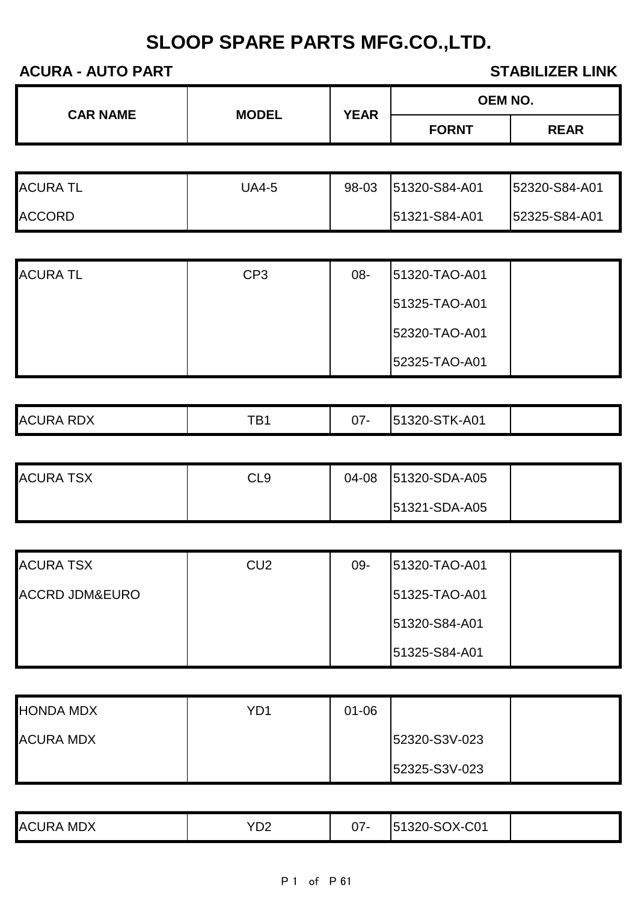| <b>CAR NAME</b><br><b>MODEL</b> | <b>YEAR</b> | <b>OEM NO.</b> |              |             |
|---------------------------------|-------------|----------------|--------------|-------------|
|                                 |             |                | <b>FORNT</b> | <b>REAR</b> |

| <b>ACURA TL</b> | JA4-5 | 98-03 | 51320-S84-A01 | 52320-S84-A01 |
|-----------------|-------|-------|---------------|---------------|
| <b>ACCORD</b>   |       |       | 51321-S84-A01 | 52325-S84-A01 |

| <b>ACURA TL</b> | CP <sub>3</sub> | 08- | 51320-TAO-A01 |  |
|-----------------|-----------------|-----|---------------|--|
|                 |                 |     | 51325-TAO-A01 |  |
|                 |                 |     | 52320-TAO-A01 |  |
|                 |                 |     | 52325-TAO-A01 |  |

| <b>ACURA RDX</b> | <b>TD1</b><br>D | ^7<br>0 | STK-A01<br><b>51320-S</b> |  |
|------------------|-----------------|---------|---------------------------|--|

| <b>ACURA TSX</b> | CL9 | 04-08 | 51320-SDA-A05 |  |
|------------------|-----|-------|---------------|--|
|                  |     |       | 51321-SDA-A05 |  |

| <b>ACURA TSX</b>          | CU <sub>2</sub> | 09- | 151320-TAO-A01 |  |
|---------------------------|-----------------|-----|----------------|--|
| <b>ACCRD JDM&amp;EURO</b> |                 |     | 51325-TAO-A01  |  |
|                           |                 |     | 51320-S84-A01  |  |
|                           |                 |     | 51325-S84-A01  |  |

| <b>HONDA MDX</b> | YD1 | $01 - 06$ |               |  |
|------------------|-----|-----------|---------------|--|
| <b>ACURA MDX</b> |     |           | 52320-S3V-023 |  |
|                  |     |           | 52325-S3V-023 |  |

| <b>ACURA</b><br>A MDX | YD2 | ∩¬<br>J7. | 51320-SOX-C01 |  |
|-----------------------|-----|-----------|---------------|--|
|-----------------------|-----|-----------|---------------|--|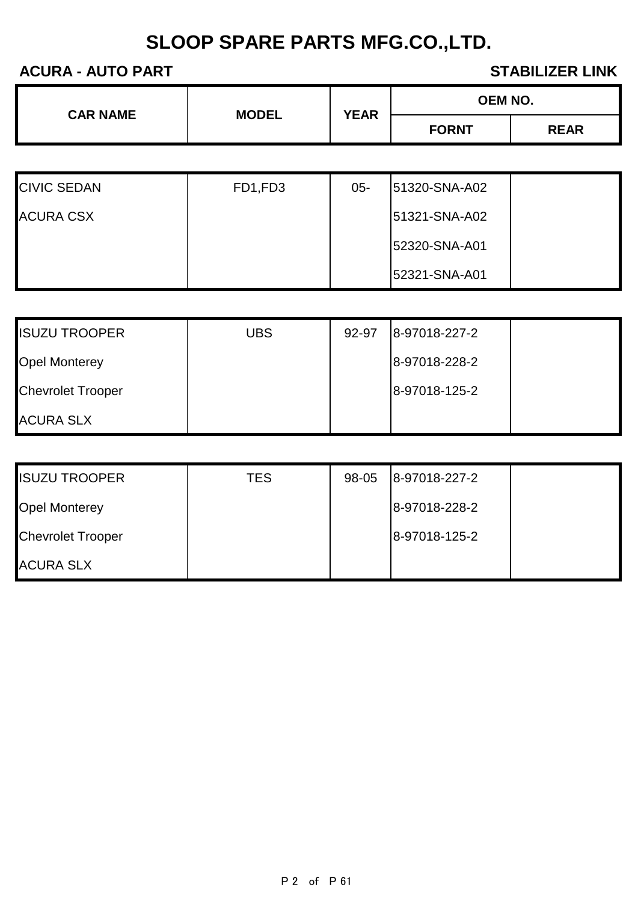| <b>CAR NAME</b> |              | <b>YEAR</b> | <b>OEM NO.</b> |             |
|-----------------|--------------|-------------|----------------|-------------|
|                 | <b>MODEL</b> |             | <b>FORNT</b>   | <b>REAR</b> |
|                 |              |             |                |             |

| <b>CIVIC SEDAN</b> | FD1,FD3 | $05 -$ | 51320-SNA-A02 |  |
|--------------------|---------|--------|---------------|--|
| <b>ACURA CSX</b>   |         |        | 51321-SNA-A02 |  |
|                    |         |        | 52320-SNA-A01 |  |
|                    |         |        | 52321-SNA-A01 |  |

| <b>ISUZU TROOPER</b>     | <b>UBS</b> | 92-97 | 8-97018-227-2 |  |
|--------------------------|------------|-------|---------------|--|
| <b>Opel Monterey</b>     |            |       | 8-97018-228-2 |  |
| <b>Chevrolet Trooper</b> |            |       | 8-97018-125-2 |  |
| <b>ACURA SLX</b>         |            |       |               |  |

| <b>ISUZU TROOPER</b>     | TES | 98-05 | 8-97018-227-2 |  |
|--------------------------|-----|-------|---------------|--|
| <b>Opel Monterey</b>     |     |       | 8-97018-228-2 |  |
| <b>Chevrolet Trooper</b> |     |       | 8-97018-125-2 |  |
| <b>ACURA SLX</b>         |     |       |               |  |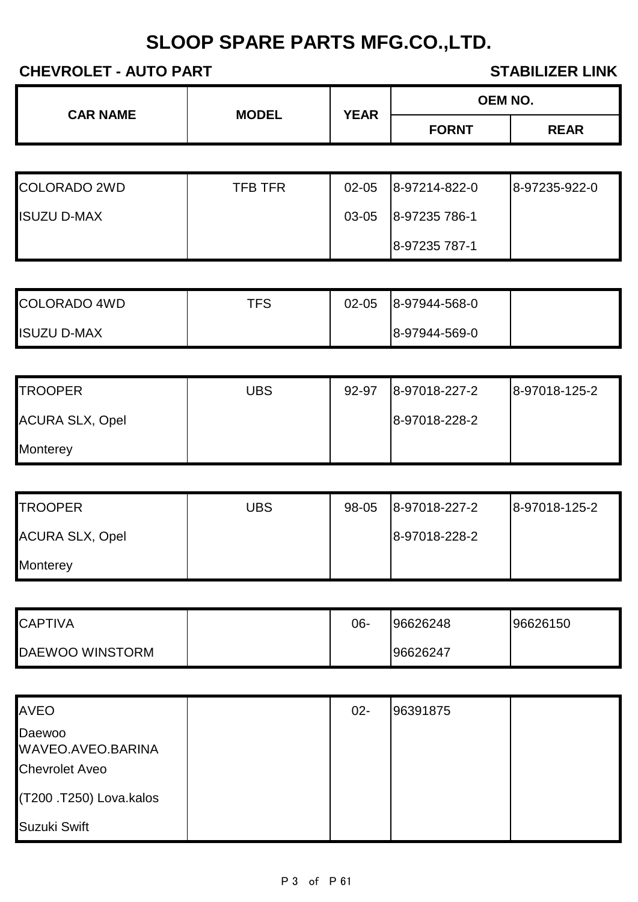## **CHEVROLET - AUTO PART STABILIZER LINK**

| <b>CAR NAME</b><br><b>MODEL</b> | <b>YEAR</b> | <b>OEM NO.</b> |              |             |
|---------------------------------|-------------|----------------|--------------|-------------|
|                                 |             |                | <b>FORNT</b> | <b>REAR</b> |

| <b>COLORADO 2WD</b> | TFB TFR | $02 - 05$ | 8-97214-822-0 | 8-97235-922-0 |
|---------------------|---------|-----------|---------------|---------------|
| <b>ISUZU D-MAX</b>  |         | 03-05     | 8-97235 786-1 |               |
|                     |         |           | 8-97235 787-1 |               |

| <b>COLORADO 4WD</b> | TFS | $02 - 05$ | 8-97944-568-0 |  |
|---------------------|-----|-----------|---------------|--|
| <b>ISUZU D-MAX</b>  |     |           | 8-97944-569-0 |  |

| <b>TROOPER</b>         | <b>UBS</b> | 92-97 | 8-97018-227-2 | 8-97018-125-2 |
|------------------------|------------|-------|---------------|---------------|
| <b>ACURA SLX, Opel</b> |            |       | 8-97018-228-2 |               |
| <b>Monterey</b>        |            |       |               |               |

| <b>TROOPER</b>         | UBS | 98-05 | 8-97018-227-2 | 8-97018-125-2 |
|------------------------|-----|-------|---------------|---------------|
| <b>ACURA SLX, Opel</b> |     |       | 8-97018-228-2 |               |
| Monterey               |     |       |               |               |

| <b>CAPTIVA</b>  | 06- | 96626248 | 96626150 |
|-----------------|-----|----------|----------|
| DAEWOO WINSTORM |     | 96626247 |          |

| <b>AVEO</b>                                          | $02 -$ | 96391875 |  |
|------------------------------------------------------|--------|----------|--|
| Daewoo<br>WAVEO.AVEO.BARINA<br><b>Chevrolet Aveo</b> |        |          |  |
| (T200 .T250) Lova.kalos                              |        |          |  |
| Suzuki Swift                                         |        |          |  |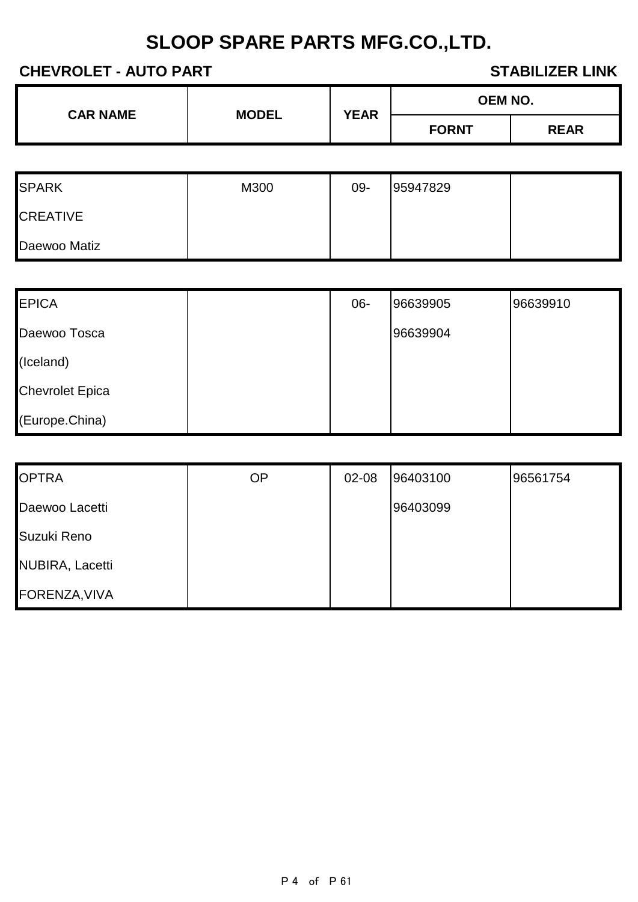### **CHEVROLET - AUTO PART STABILIZER LINK**

| <b>CAR NAME</b> | <b>MODEL</b> | <b>YEAR</b> | <b>OEM NO.</b> |             |
|-----------------|--------------|-------------|----------------|-------------|
|                 |              |             | <b>FORNT</b>   | <b>REAR</b> |

| <b>SPARK</b>    | M300 | 09- | 95947829 |  |
|-----------------|------|-----|----------|--|
| <b>CREATIVE</b> |      |     |          |  |
| Daewoo Matiz    |      |     |          |  |

| <b>EPICA</b>           | $06 -$ | 96639905 | 96639910 |
|------------------------|--------|----------|----------|
| Daewoo Tosca           |        | 96639904 |          |
| (Iceland)              |        |          |          |
| <b>Chevrolet Epica</b> |        |          |          |
| (Europe.China)         |        |          |          |

| <b>OPTRA</b>           | <b>OP</b> | 02-08 | 96403100 | 96561754 |
|------------------------|-----------|-------|----------|----------|
| Daewoo Lacetti         |           |       | 96403099 |          |
| Suzuki Reno            |           |       |          |          |
| <b>NUBIRA, Lacetti</b> |           |       |          |          |
| FORENZA, VIVA          |           |       |          |          |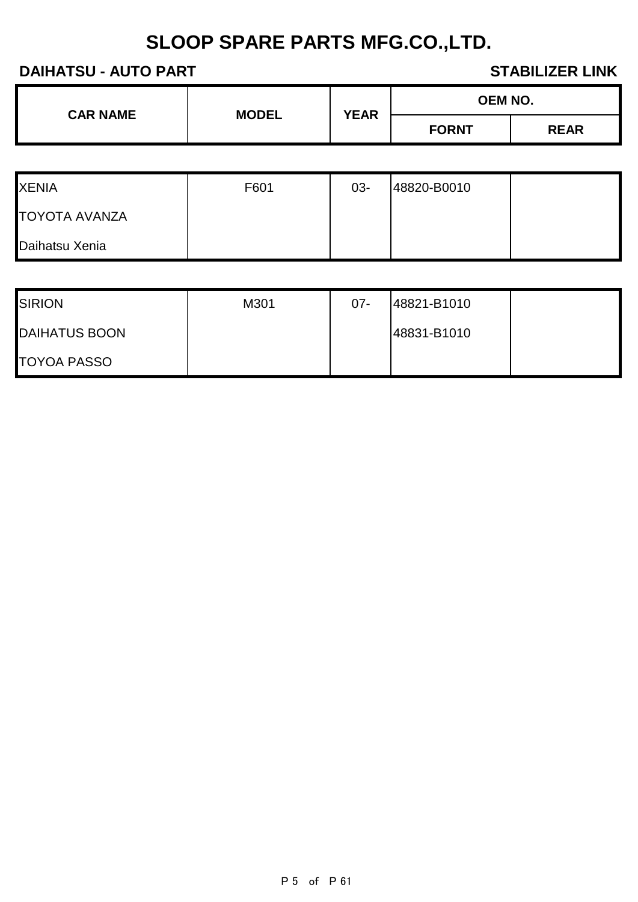### **DAIHATSU - AUTO PART STABILIZER LINK**

| <b>CAR NAME</b> | <b>MODEL</b> | <b>OEM NO.</b><br><b>YEAR</b><br><b>FORNT</b> |  |
|-----------------|--------------|-----------------------------------------------|--|
|                 |              |                                               |  |

| <b>XENIA</b>         | F601 | $03 -$ | 48820-B0010 |  |
|----------------------|------|--------|-------------|--|
| <b>TOYOTA AVANZA</b> |      |        |             |  |
| Daihatsu Xenia       |      |        |             |  |

| <b>SIRION</b>        | M301 | $07 -$ | 48821-B1010 |  |
|----------------------|------|--------|-------------|--|
| <b>DAIHATUS BOON</b> |      |        | 48831-B1010 |  |
| <b>TOYOA PASSO</b>   |      |        |             |  |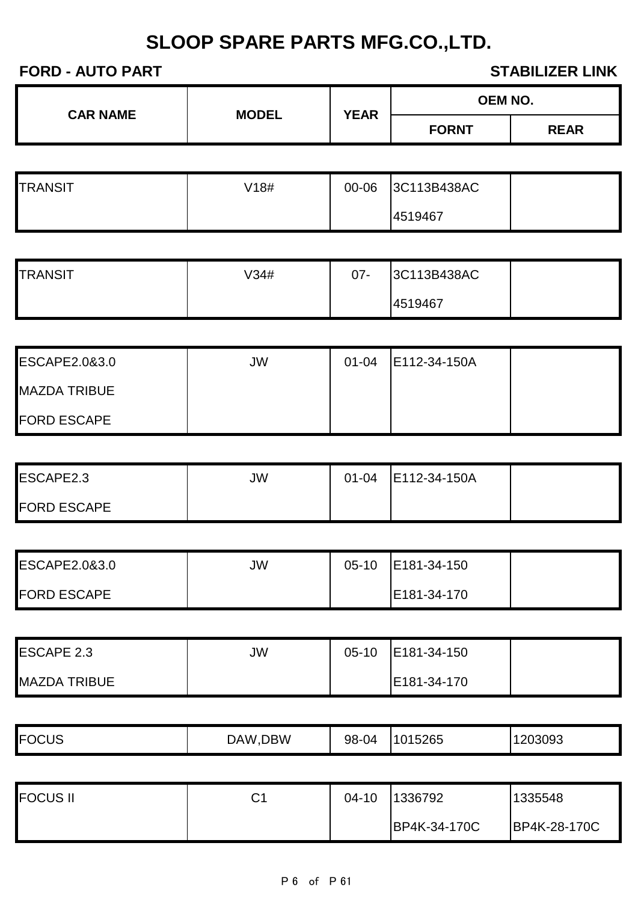| <b>CAR NAME</b> | <b>MODEL</b> | <b>YEAR</b> | <b>OEM NO.</b> |             |
|-----------------|--------------|-------------|----------------|-------------|
|                 |              |             | <b>FORNT</b>   | <b>REAR</b> |

| <b>TRANSIT</b> | V18# | 00-06 | 3C113B438AC |  |
|----------------|------|-------|-------------|--|
|                |      |       | 4519467     |  |

| <b>TRANSIT</b> | √34# | $07 -$ | 3C113B438AC |  |
|----------------|------|--------|-------------|--|
|                |      |        | 4519467     |  |

| <b>ESCAPE2.0&amp;3.0</b> | JW | $01 - 04$ | E112-34-150A |  |
|--------------------------|----|-----------|--------------|--|
| <b>MAZDA TRIBUE</b>      |    |           |              |  |
| <b>FORD ESCAPE</b>       |    |           |              |  |

| ESCAPE2.3          | JW | $01 - 04$ | E112-34-150A |  |
|--------------------|----|-----------|--------------|--|
| <b>FORD ESCAPE</b> |    |           |              |  |

| <b>ESCAPE2.0&amp;3.0</b> | JW | $05-10$ | E181-34-150 |  |
|--------------------------|----|---------|-------------|--|
| <b>FORD ESCAPE</b>       |    |         | E181-34-170 |  |

| <b>ESCAPE 2.3</b>   | JW | $05-10$ | E181-34-150 |  |
|---------------------|----|---------|-------------|--|
| <b>MAZDA TRIBUE</b> |    |         | E181-34-170 |  |

|  | <b>FOCUS</b><br>∞∪ບ | DBW<br>JAW. | 98-04 | 15265<br>ገ1 5<br>- | 203093<br>. . |
|--|---------------------|-------------|-------|--------------------|---------------|
|--|---------------------|-------------|-------|--------------------|---------------|

| <b>FOCUS II</b> | ⌒ィ<br>$\mathbf{\dot{v}}$ . | $04-10$ | 1336792      | 1335548      |
|-----------------|----------------------------|---------|--------------|--------------|
|                 |                            |         | BP4K-34-170C | BP4K-28-170C |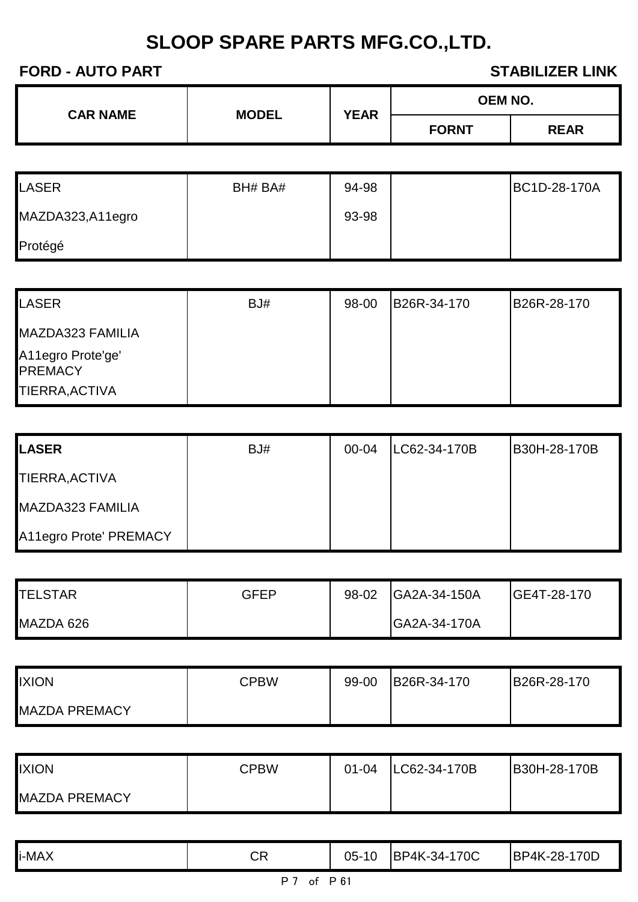| <b>CAR NAME</b><br><b>MODEL</b> | <b>YEAR</b> | <b>OEM NO.</b> |             |
|---------------------------------|-------------|----------------|-------------|
|                                 |             | <b>FORNT</b>   | <b>REAR</b> |

| <b>LASER</b>     | BH# BA# | 94-98 | BC1D-28-170A |
|------------------|---------|-------|--------------|
| MAZDA323,A11egro |         | 93-98 |              |
| Protégé          |         |       |              |

| LASER                               | BJ# | 98-00 | B26R-34-170 | B26R-28-170 |
|-------------------------------------|-----|-------|-------------|-------------|
| MAZDA323 FAMILIA                    |     |       |             |             |
| A11egro Prote'ge'<br><b>PREMACY</b> |     |       |             |             |
| TIERRA, ACTIVA                      |     |       |             |             |

| <b>I</b> LASER         | BJ# | 00-04 | LC62-34-170B | B30H-28-170B |
|------------------------|-----|-------|--------------|--------------|
| TIERRA, ACTIVA         |     |       |              |              |
| MAZDA323 FAMILIA       |     |       |              |              |
| A11egro Prote' PREMACY |     |       |              |              |

| <b>TELSTAR</b> | <b>GFEP</b> | 98-02 | GA2A-34-150A | <b>IGE4T-28-170</b> |
|----------------|-------------|-------|--------------|---------------------|
| MAZDA 626      |             |       | GA2A-34-170A |                     |

| <b>IXION</b>         | CPBW | 99-00 | B26R-34-170 | B26R-28-170 |
|----------------------|------|-------|-------------|-------------|
| <b>MAZDA PREMACY</b> |      |       |             |             |

| <b>IXION</b>         | <b>CPBW</b> | $01 - 04$ | LC62-34-170B | B30H-28-170B |
|----------------------|-------------|-----------|--------------|--------------|
| <b>MAZDA PREMACY</b> |             |           |              |              |

| i-MAX | <b>CR</b> | 05-<br>10 | 170C<br><b>BP4K-34-</b> | BP4K-28-170D |
|-------|-----------|-----------|-------------------------|--------------|
|       |           |           |                         |              |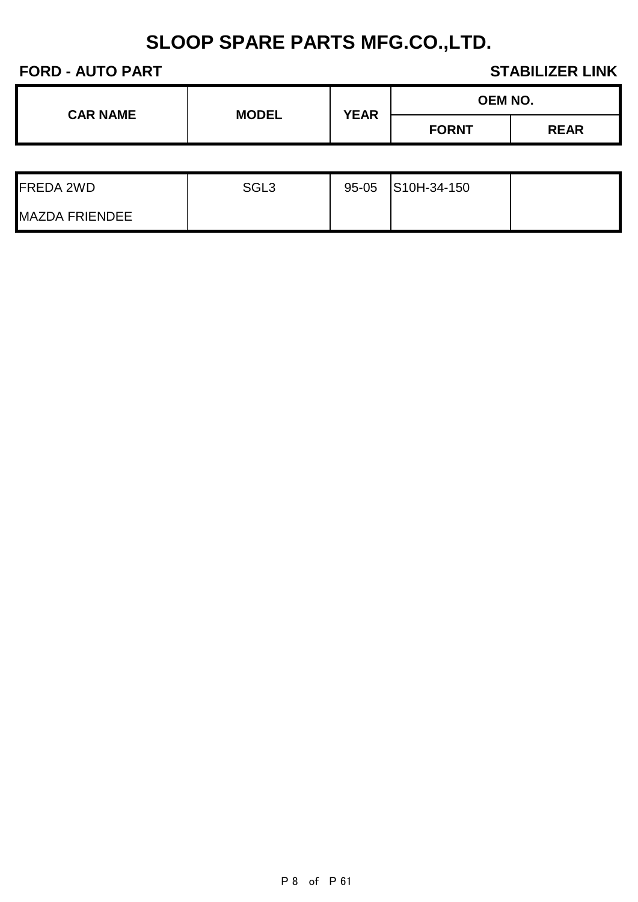| <b>CAR NAME</b> | <b>MODEL</b> | <b>YEAR</b> | <b>OEM NO.</b> |             |
|-----------------|--------------|-------------|----------------|-------------|
|                 |              |             | <b>FORNT</b>   | <b>REAR</b> |

| <b>FREDA 2WD</b>      | SGL3 | $95 - 05$ | S10H-34-150 |  |
|-----------------------|------|-----------|-------------|--|
| <b>MAZDA FRIENDEE</b> |      |           |             |  |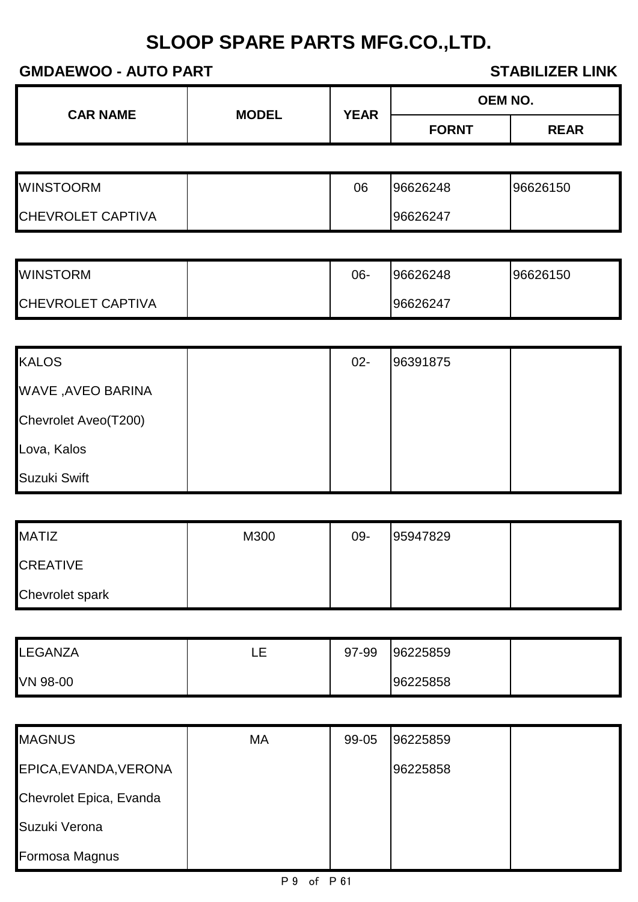**GMDAEWOO - AUTO PART STABILIZER LINK** 

| <b>CAR NAME</b> | <b>MODEL</b> | <b>YEAR</b> | <b>OEM NO.</b> |             |
|-----------------|--------------|-------------|----------------|-------------|
|                 |              |             | <b>FORNT</b>   | <b>REAR</b> |

| <b>WINSTOORM</b>         | 06 | 96626248 | 96626150 |
|--------------------------|----|----------|----------|
| <b>CHEVROLET CAPTIVA</b> |    | 96626247 |          |

| <b>WINSTORM</b>          | 06- | 96626248 | 96626150 |
|--------------------------|-----|----------|----------|
| <b>CHEVROLET CAPTIVA</b> |     | 96626247 |          |

| <b>KALOS</b>         | $02 -$ | 96391875 |  |
|----------------------|--------|----------|--|
| WAVE , AVEO BARINA   |        |          |  |
| Chevrolet Aveo(T200) |        |          |  |
| Lova, Kalos          |        |          |  |
| Suzuki Swift         |        |          |  |

| <b>MATIZ</b>           | M300 | 09- | 95947829 |  |
|------------------------|------|-----|----------|--|
| <b>CREATIVE</b>        |      |     |          |  |
| <b>Chevrolet spark</b> |      |     |          |  |

| LEGANZA  | ᅳ | 97-99 | 96225859 |  |
|----------|---|-------|----------|--|
| VN 98-00 |   |       | 96225858 |  |

| <b>MAGNUS</b>           | MA | 99-05 | 96225859 |  |
|-------------------------|----|-------|----------|--|
| EPICA, EVANDA, VERONA   |    |       | 96225858 |  |
| Chevrolet Epica, Evanda |    |       |          |  |
| Suzuki Verona           |    |       |          |  |
| Formosa Magnus          |    |       |          |  |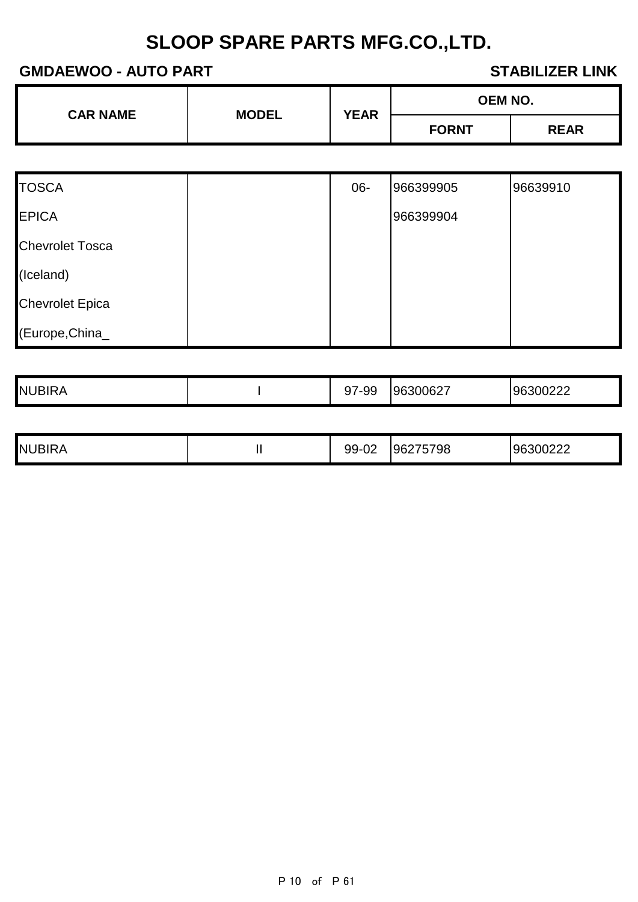### **GMDAEWOO - AUTO PART STABILIZER LINK**

| <b>CAR NAME</b> | <b>MODEL</b> | <b>YEAR</b> | <b>OEM NO.</b> |             |
|-----------------|--------------|-------------|----------------|-------------|
|                 |              |             | <b>FORNT</b>   | <b>REAR</b> |

| <b>TOSCA</b>           | $06 -$ | 966399905 | 96639910 |
|------------------------|--------|-----------|----------|
| <b>EPICA</b>           |        | 966399904 |          |
| <b>Chevrolet Tosca</b> |        |           |          |
| (Iceland)              |        |           |          |
| <b>Chevrolet Epica</b> |        |           |          |
| (Europe, China_        |        |           |          |

| <b>NUBIRA</b> | 7-99 | 96300627 | 96300222 |
|---------------|------|----------|----------|

|  | <b>NUBIRA</b> | . . | $\sim$<br>aa<br>◡◡<br>◡▵ | 96275798 | 96300222 |
|--|---------------|-----|--------------------------|----------|----------|
|--|---------------|-----|--------------------------|----------|----------|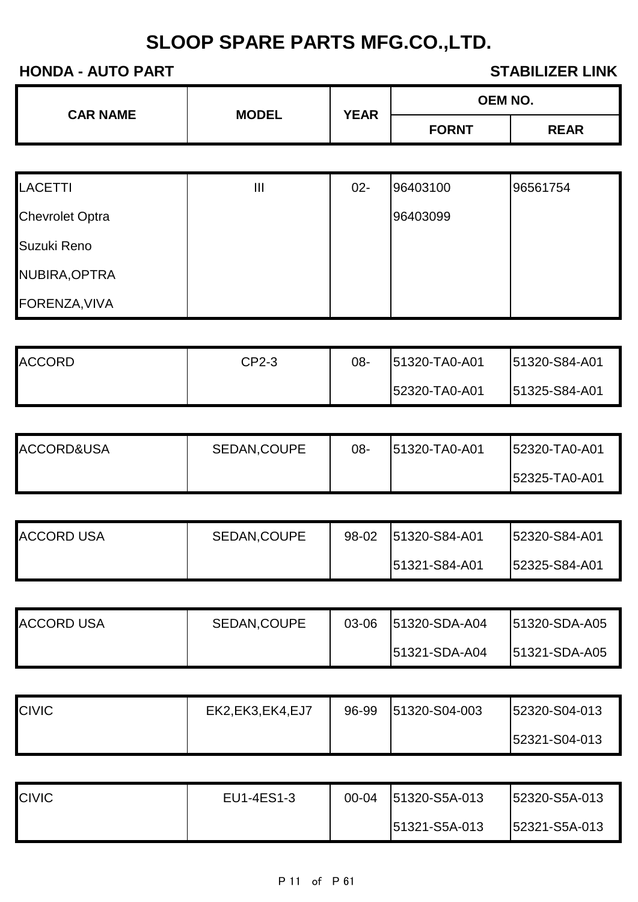| <b>CAR NAME</b> | <b>MODEL</b> | <b>YEAR</b> | <b>OEM NO.</b> |             |
|-----------------|--------------|-------------|----------------|-------------|
|                 |              |             | <b>FORNT</b>   | <b>REAR</b> |

| <b>LACETTI</b>         | Ш | $02 -$ | 96403100 | 96561754 |
|------------------------|---|--------|----------|----------|
| <b>Chevrolet Optra</b> |   |        | 96403099 |          |
| Suzuki Reno            |   |        |          |          |
| NUBIRA, OPTRA          |   |        |          |          |
| FORENZA, VIVA          |   |        |          |          |

| <b>ACCORD</b> | CP2-3 | იგ- | 51320-TA0-A01 | 51320-S84-A01        |
|---------------|-------|-----|---------------|----------------------|
|               |       |     | 52320-TA0-A01 | <b>51325-S84-A01</b> |

| ACCORD&USA | SEDAN, COUPE | 08- | 51320-TA0-A01 | <b>52320-TA0-A01</b> |
|------------|--------------|-----|---------------|----------------------|
|            |              |     |               | <b>52325-TA0-A01</b> |

| <b>ACCORD USA</b> | SEDAN, COUPE | 98-02 | 51320-S84-A01 | 152320-S84-A01 |
|-------------------|--------------|-------|---------------|----------------|
|                   |              |       | 51321-S84-A01 | 52325-S84-A01  |

| <b>ACCORD USA</b> | SEDAN, COUPE | 03-06 | 51320-SDA-A04 | 151320-SDA-A05       |
|-------------------|--------------|-------|---------------|----------------------|
|                   |              |       | 51321-SDA-A04 | <b>51321-SDA-A05</b> |

| <b>CIVIC</b> | EK2, EK3, EK4, EJ7 | 96-99 | 51320-S04-003 | <b>52320-S04-013</b> |
|--------------|--------------------|-------|---------------|----------------------|
|              |                    |       |               | <b>52321-S04-013</b> |

| <b>CIVIC</b> | EU1-4ES1-3 | $00 - 04$ | 51320-S5A-013        | <b>152320-S5A-013</b> |
|--------------|------------|-----------|----------------------|-----------------------|
|              |            |           | <b>51321-S5A-013</b> | 52321-S5A-013         |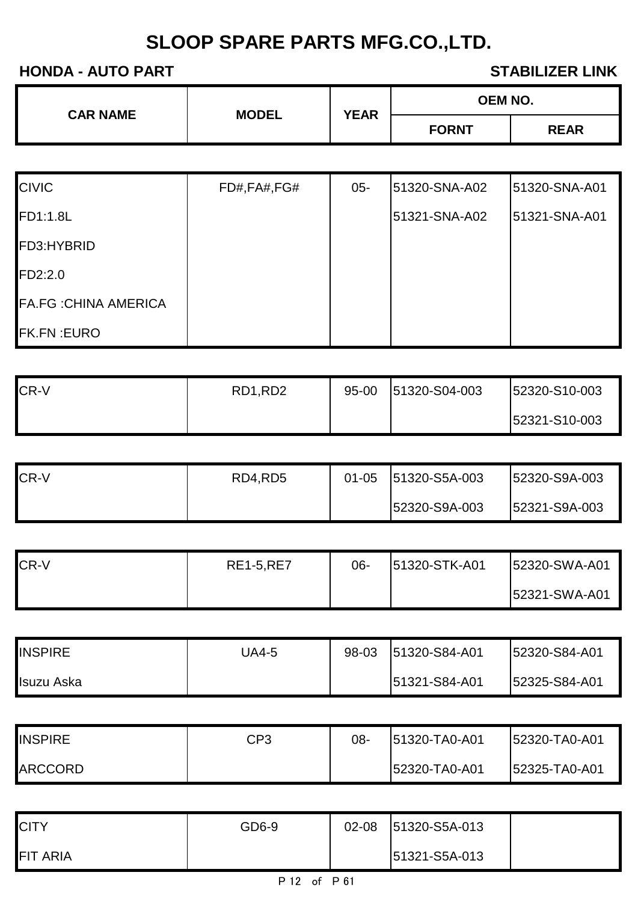| <b>CAR NAME</b> | <b>MODEL</b> | <b>YEAR</b> |              | <b>OEM NO.</b> |  |
|-----------------|--------------|-------------|--------------|----------------|--|
|                 |              |             | <b>FORNT</b> | <b>REAR</b>    |  |

| <b>CIVIC</b>                 | FD#,FA#,FG# | $05 -$ | 51320-SNA-A02 | 51320-SNA-A01 |
|------------------------------|-------------|--------|---------------|---------------|
| FD1:1.8L                     |             |        | 51321-SNA-A02 | 51321-SNA-A01 |
| FD3:HYBRID                   |             |        |               |               |
| FD2:2.0                      |             |        |               |               |
| <b>FA.FG : CHINA AMERICA</b> |             |        |               |               |
| <b>FK.FN:EURO</b>            |             |        |               |               |

| CR-V | RD1,RD2 | $95 - 00$ | 51320-S04-003 | 52320-S10-003 |
|------|---------|-----------|---------------|---------------|
|      |         |           |               | 52321-S10-003 |

| <b>CR-V</b> | RD4,RD5 | $01 - 05$ | 51320-S5A-003 | 52320-S9A-003 |
|-------------|---------|-----------|---------------|---------------|
|             |         |           | 52320-S9A-003 | 52321-S9A-003 |

| CR-V | <b>RE1-5, RE7</b> | 06- | 51320-STK-A01 | 52320-SWA-A01 |
|------|-------------------|-----|---------------|---------------|
|      |                   |     |               | 52321-SWA-A01 |

| <b>INSPIRE</b> | JA4-5 | 98-03 | 51320-S84-A01 | 52320-S84-A01 |
|----------------|-------|-------|---------------|---------------|
| Isuzu Aska     |       |       | 51321-S84-A01 | 52325-S84-A01 |

| <b>INSPIRE</b> | CP3 | 08- | 51320-TA0-A01 | 52320-TA0-A01 |
|----------------|-----|-----|---------------|---------------|
| <b>ARCCORD</b> |     |     | 52320-TA0-A01 | 52325-TA0-A01 |

| <b>CITY</b>     | GD6-9 | $02 - 08$ | 51320-S5A-013 |  |
|-----------------|-------|-----------|---------------|--|
| <b>FIT ARIA</b> |       |           | 51321-S5A-013 |  |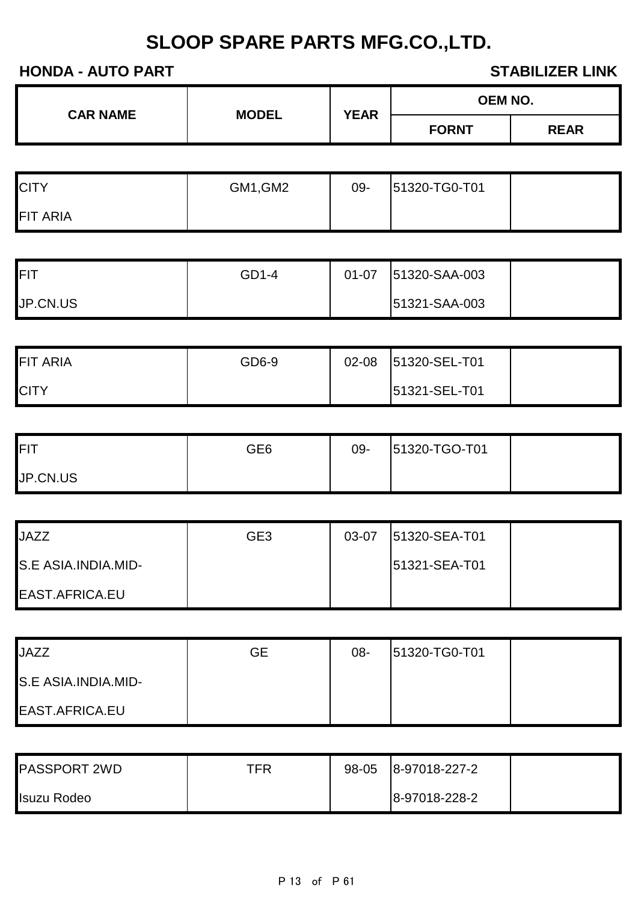| <b>CAR NAME</b> | <b>MODEL</b> | OEM NO.<br><b>YEAR</b><br><b>FORNT</b> |  |             |
|-----------------|--------------|----------------------------------------|--|-------------|
|                 |              |                                        |  | <b>REAR</b> |
|                 |              |                                        |  |             |

| <b>CITY</b>     | GM1, GM2 | 09- | 51320-TG0-T01 |  |
|-----------------|----------|-----|---------------|--|
| <b>FIT ARIA</b> |          |     |               |  |

| <b>FIT</b> | GD1-4 | $01 - 07$ | 51320-SAA-003 |  |
|------------|-------|-----------|---------------|--|
| JP.CN.US   |       |           | 51321-SAA-003 |  |

| <b>FIT ARIA</b> | GD6-9 | $02 - 08$ | 51320-SEL-T01 |  |
|-----------------|-------|-----------|---------------|--|
| <b>CITY</b>     |       |           | 51321-SEL-T01 |  |

| <b>IFIT</b> | GE6 | 09- | 51320-TGO-T01 |  |
|-------------|-----|-----|---------------|--|
| JP.CN.US    |     |     |               |  |

| <b>JAZZ</b>           | GE <sub>3</sub> | 03-07 | 51320-SEA-T01 |  |
|-----------------------|-----------------|-------|---------------|--|
| S.E ASIA.INDIA.MID-   |                 |       | 51321-SEA-T01 |  |
| <b>EAST.AFRICA.EU</b> |                 |       |               |  |

| <b>JAZZ</b>         | <b>GE</b> | $08 -$ | 51320-TG0-T01 |  |
|---------------------|-----------|--------|---------------|--|
| S.E ASIA.INDIA.MID- |           |        |               |  |
| EAST.AFRICA.EU      |           |        |               |  |

| <b>PASSPORT 2WD</b> | TFR | 98-05 | 8-97018-227-2 |  |
|---------------------|-----|-------|---------------|--|
| <b>Isuzu Rodeo</b>  |     |       | 8-97018-228-2 |  |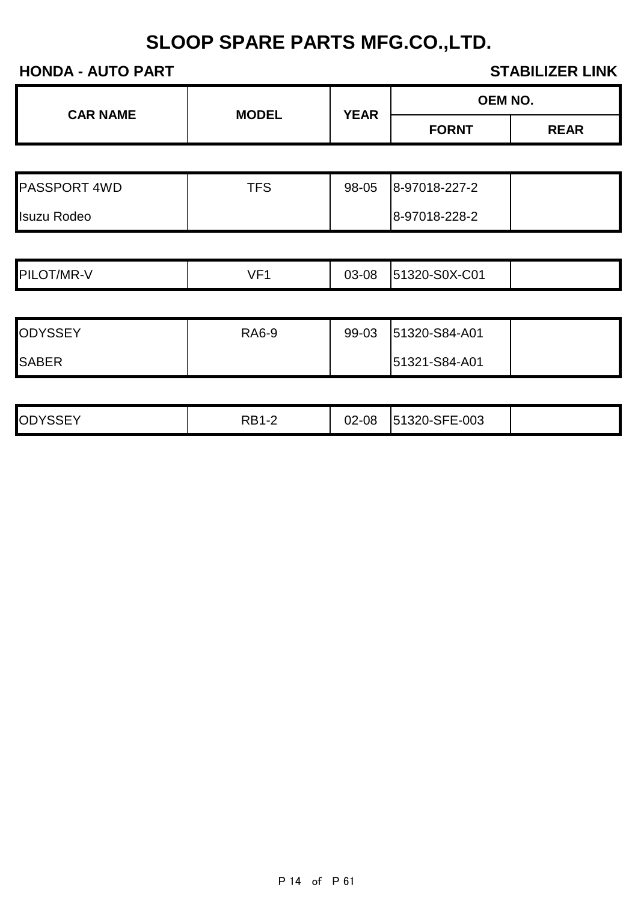| <b>CAR NAME</b> | <b>MODEL</b> |             | OEM NO.      |             |
|-----------------|--------------|-------------|--------------|-------------|
|                 |              | <b>YEAR</b> | <b>FORNT</b> | <b>REAR</b> |

| <b>PASSPORT 4WD</b> | TFS | 98-05 | 8-97018-227-2 |  |
|---------------------|-----|-------|---------------|--|
| <b>Isuzu Rodeo</b>  |     |       | 8-97018-228-2 |  |

|                 | $\sqrt{2}$ |       |               |  |
|-----------------|------------|-------|---------------|--|
| PILO<br>`T/MR-V | . .        | 03-08 | 51320-S0X-C01 |  |

| <b>ODYSSEY</b> | <b>RA6-9</b> | 99-03 | 51320-S84-A01 |  |
|----------------|--------------|-------|---------------|--|
| <b>SABER</b>   |              |       | 51321-S84-A01 |  |

| 1320-SFE-003<br><b>ODYSSEY</b><br>DD <sub>1</sub><br>02-08<br>-<br>151<br>.<br>ND. |  |
|------------------------------------------------------------------------------------|--|
|------------------------------------------------------------------------------------|--|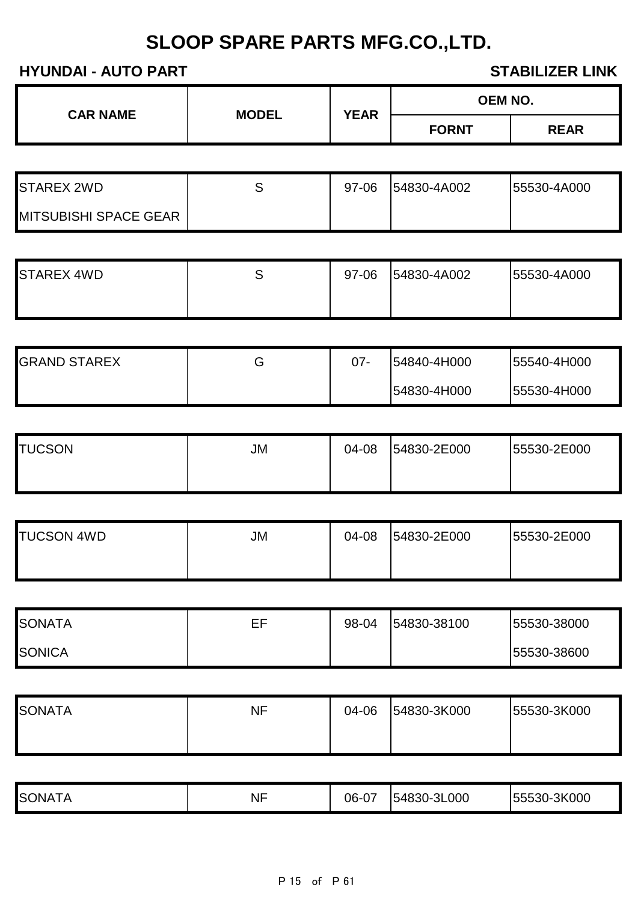| <b>CAR NAME</b> | <b>MODEL</b> | <b>YEAR</b> | <b>OEM NO.</b> |             |
|-----------------|--------------|-------------|----------------|-------------|
|                 |              |             | <b>FORNT</b>   | <b>REAR</b> |

| STAREX 2WD                   | 97-06 | 54830-4A002 | <b>55530-4A000</b> |
|------------------------------|-------|-------------|--------------------|
| <b>MITSUBISHI SPACE GEAR</b> |       |             |                    |

| <b>STAREX 4WD</b> | 97-06 | 54830-4A002 | 55530-4A000 |
|-------------------|-------|-------------|-------------|
|                   |       |             |             |

| <b>GRAND STAREX</b> | ت | 07- | 54840-4H000 | 55540-4H000 |
|---------------------|---|-----|-------------|-------------|
|                     |   |     | 54830-4H000 | 55530-4H000 |

| <b>TUCSON</b> | JM | 04-08 | 54830-2E000 | 55530-2E000 |
|---------------|----|-------|-------------|-------------|
|               |    |       |             |             |

| <b>TUCSON 4WD</b> | JM | 04-08 | 54830-2E000 | 55530-2E000 |
|-------------------|----|-------|-------------|-------------|
|                   |    |       |             |             |

| <b>ISONATA</b> | FF | 98-04 | 54830-38100 | 55530-38000  |
|----------------|----|-------|-------------|--------------|
| <b>SONICA</b>  |    |       |             | 155530-38600 |

| <b>SONATA</b> | <b>NF</b> | 04-06 | 54830-3K000 | 55530-3K000 |
|---------------|-----------|-------|-------------|-------------|
|               |           |       |             |             |
|               |           |       |             |             |

| <b>SO</b><br><b>ONA</b><br>I A | <b>NF</b> | 06-07 | 54830-3L000 | -3K000<br>$F$ $F$ $F$ $\cap$ $\cap$<br>-05550- |
|--------------------------------|-----------|-------|-------------|------------------------------------------------|
|                                |           |       |             |                                                |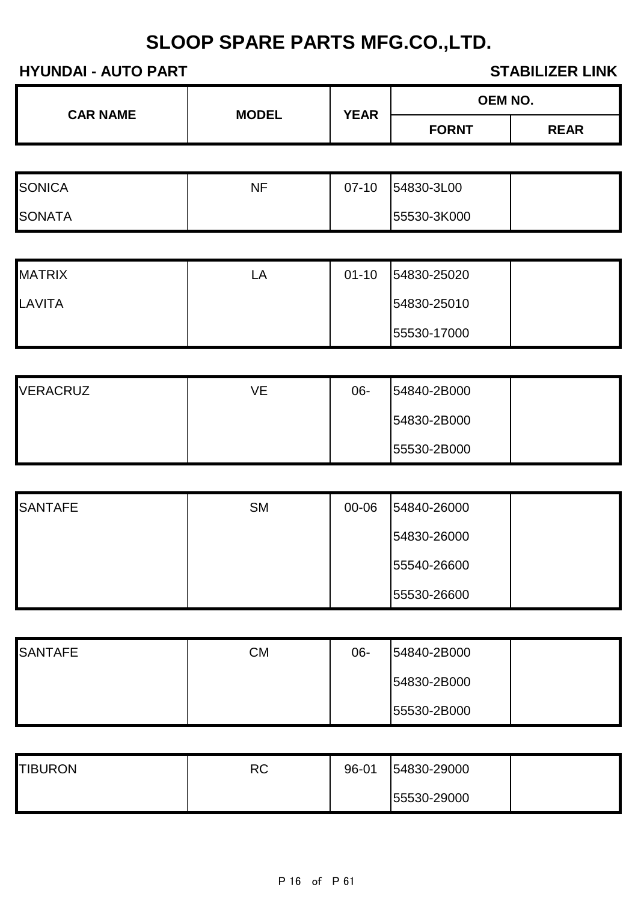| <b>CAR NAME</b> | <b>MODEL</b> | <b>YEAR</b> | <b>OEM NO.</b> |             |
|-----------------|--------------|-------------|----------------|-------------|
|                 |              |             | <b>FORNT</b>   | <b>REAR</b> |

| <b>SONICA</b>  | ΝF | $07-10$ | 54830-3L00  |  |
|----------------|----|---------|-------------|--|
| <b>ISONATA</b> |    |         | 55530-3K000 |  |

| <b>MATRIX</b> | LA | $01 - 10$ | 54830-25020 |  |
|---------------|----|-----------|-------------|--|
| LAVITA        |    |           | 54830-25010 |  |
|               |    |           | 55530-17000 |  |

| <b>VERACRUZ</b> | ٧E | $06 -$ | 54840-2B000 |  |
|-----------------|----|--------|-------------|--|
|                 |    |        | 54830-2B000 |  |
|                 |    |        | 55530-2B000 |  |

| <b>SANTAFE</b> | <b>SM</b> | 00-06 | 54840-26000 |  |
|----------------|-----------|-------|-------------|--|
|                |           |       | 54830-26000 |  |
|                |           |       | 55540-26600 |  |
|                |           |       | 55530-26600 |  |

| <b>SANTAFE</b> | <b>CM</b> | $06 -$ | 54840-2B000 |  |
|----------------|-----------|--------|-------------|--|
|                |           |        | 54830-2B000 |  |
|                |           |        | 55530-2B000 |  |

| <b>TIBURON</b> | RC | 96-01 | 54830-29000 |  |
|----------------|----|-------|-------------|--|
|                |    |       | 55530-29000 |  |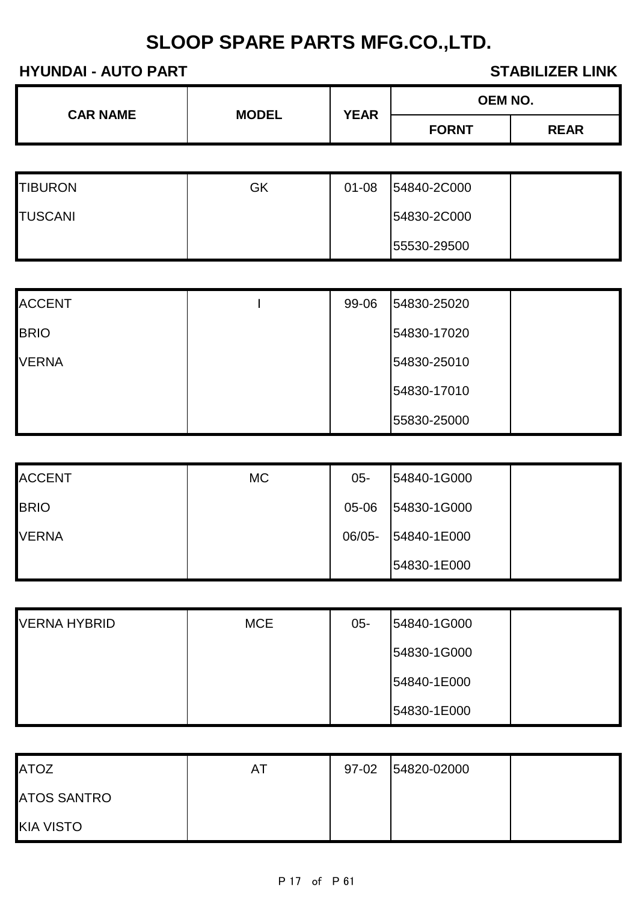| <b>CAR NAME</b> | <b>MODEL</b> | <b>YEAR</b> | <b>OEM NO.</b> |             |  |
|-----------------|--------------|-------------|----------------|-------------|--|
|                 |              |             | <b>FORNT</b>   | <b>REAR</b> |  |

| <b>TIBURON</b> | GK | $01 - 08$ | 54840-2C000 |  |
|----------------|----|-----------|-------------|--|
| <b>TUSCANI</b> |    |           | 54830-2C000 |  |
|                |    |           | 55530-29500 |  |

| <b>ACCENT</b> | 99-06 | 54830-25020 |  |
|---------------|-------|-------------|--|
| <b>BRIO</b>   |       | 54830-17020 |  |
| <b>VERNA</b>  |       | 54830-25010 |  |
|               |       | 54830-17010 |  |
|               |       | 55830-25000 |  |

| <b>ACCENT</b> | <b>MC</b> | $05 -$ | 54840-1G000 |  |
|---------------|-----------|--------|-------------|--|
| <b>BRIO</b>   |           | 05-06  | 54830-1G000 |  |
| <b>VERNA</b>  |           | 06/05- | 54840-1E000 |  |
|               |           |        | 54830-1E000 |  |

| <b>VERNA HYBRID</b> | <b>MCE</b> | $05 -$ | 54840-1G000 |  |
|---------------------|------------|--------|-------------|--|
|                     |            |        | 54830-1G000 |  |
|                     |            |        | 54840-1E000 |  |
|                     |            |        | 54830-1E000 |  |

| <b>ATOZ</b>        | ΑI | 97-02 | 54820-02000 |  |
|--------------------|----|-------|-------------|--|
| <b>ATOS SANTRO</b> |    |       |             |  |
| <b>KIA VISTO</b>   |    |       |             |  |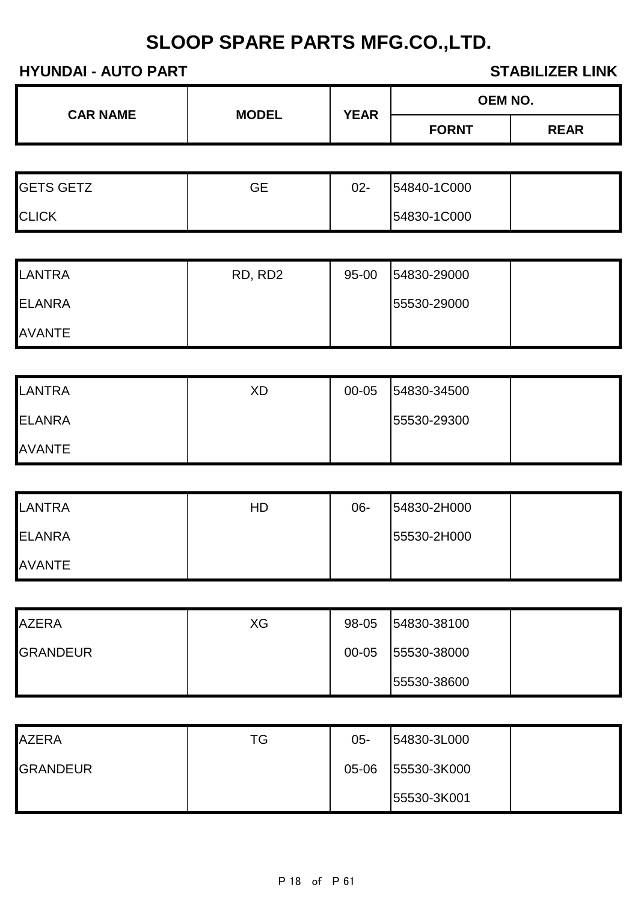| <b>CAR NAME</b> | <b>MODEL</b> |             | <b>OEM NO.</b> |             |
|-----------------|--------------|-------------|----------------|-------------|
|                 |              | <b>YEAR</b> | <b>FORNT</b>   | <b>REAR</b> |

| <b>GETS GETZ</b> | GЕ | $02 -$ | 54840-1C000 |  |
|------------------|----|--------|-------------|--|
| <b>CLICK</b>     |    |        | 54830-1C000 |  |

| LANTRA        | RD, RD2 | $95 - 00$ | 54830-29000 |  |
|---------------|---------|-----------|-------------|--|
| <b>ELANRA</b> |         |           | 55530-29000 |  |
| <b>AVANTE</b> |         |           |             |  |

| <b>LANTRA</b> | XD | 00-05 | 54830-34500 |  |
|---------------|----|-------|-------------|--|
| <b>ELANRA</b> |    |       | 55530-29300 |  |
| <b>AVANTE</b> |    |       |             |  |

| <b>LANTRA</b> | HD | 06- | 54830-2H000 |  |
|---------------|----|-----|-------------|--|
| <b>ELANRA</b> |    |     | 55530-2H000 |  |
| <b>AVANTE</b> |    |     |             |  |

| <b>AZERA</b>    | ХG | 98-05 | 54830-38100 |  |
|-----------------|----|-------|-------------|--|
| <b>GRANDEUR</b> |    | 00-05 | 55530-38000 |  |
|                 |    |       | 55530-38600 |  |

| <b>AZERA</b>    | TG | $05 -$ | 54830-3L000 |  |
|-----------------|----|--------|-------------|--|
| <b>GRANDEUR</b> |    | 05-06  | 55530-3K000 |  |
|                 |    |        | 55530-3K001 |  |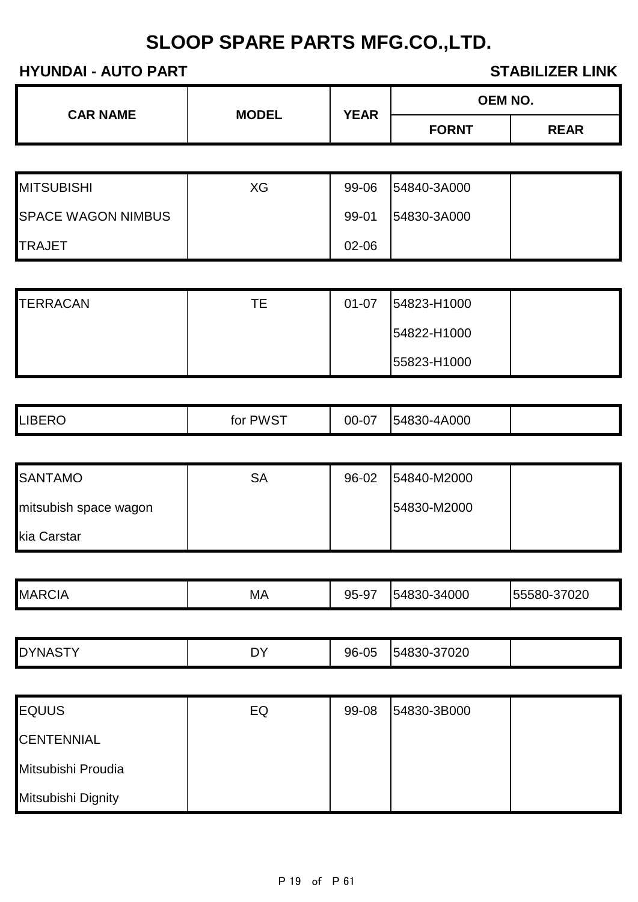| <b>CAR NAME</b><br><b>MODEL</b> |             | <b>OEM NO.</b> |             |
|---------------------------------|-------------|----------------|-------------|
|                                 | <b>YEAR</b> | <b>FORNT</b>   | <b>REAR</b> |

| <b>MITSUBISHI</b>         | XG | 99-06     | 54840-3A000 |  |
|---------------------------|----|-----------|-------------|--|
| <b>SPACE WAGON NIMBUS</b> |    | 99-01     | 54830-3A000 |  |
| <b>TRAJET</b>             |    | $02 - 06$ |             |  |

| <b>TERRACAN</b> | ТE | $01 - 07$ | 54823-H1000 |  |
|-----------------|----|-----------|-------------|--|
|                 |    |           | 54822-H1000 |  |
|                 |    |           | 55823-H1000 |  |

| <b>LIBERO</b> | , PWST<br>tor<br>ີ | $\sim$ $-$<br>00-07 | 54830-4A000 |  |
|---------------|--------------------|---------------------|-------------|--|
|---------------|--------------------|---------------------|-------------|--|

| <b>SANTAMO</b>        | SА | 96-02 | 54840-M2000 |  |
|-----------------------|----|-------|-------------|--|
| mitsubish space wagon |    |       | 54830-M2000 |  |
| kia Carstar           |    |       |             |  |

| МA<br>154830-J<br>הההר<br>37 UZU<br>--<br>ັບ<br>ັ | <b>MAR</b><br>२CIA |  | 95.9 | -34000 | $\overline{\phantom{a}}$ |
|---------------------------------------------------|--------------------|--|------|--------|--------------------------|
|---------------------------------------------------|--------------------|--|------|--------|--------------------------|

|  | <b>DYNASTY</b><br>◡ | nv<br><u>ו ש</u> | 96-05 | 54830-37020 |  |
|--|---------------------|------------------|-------|-------------|--|
|--|---------------------|------------------|-------|-------------|--|

| <b>EQUUS</b>       | EQ | 99-08 | 54830-3B000 |  |
|--------------------|----|-------|-------------|--|
| <b>CENTENNIAL</b>  |    |       |             |  |
| Mitsubishi Proudia |    |       |             |  |
| Mitsubishi Dignity |    |       |             |  |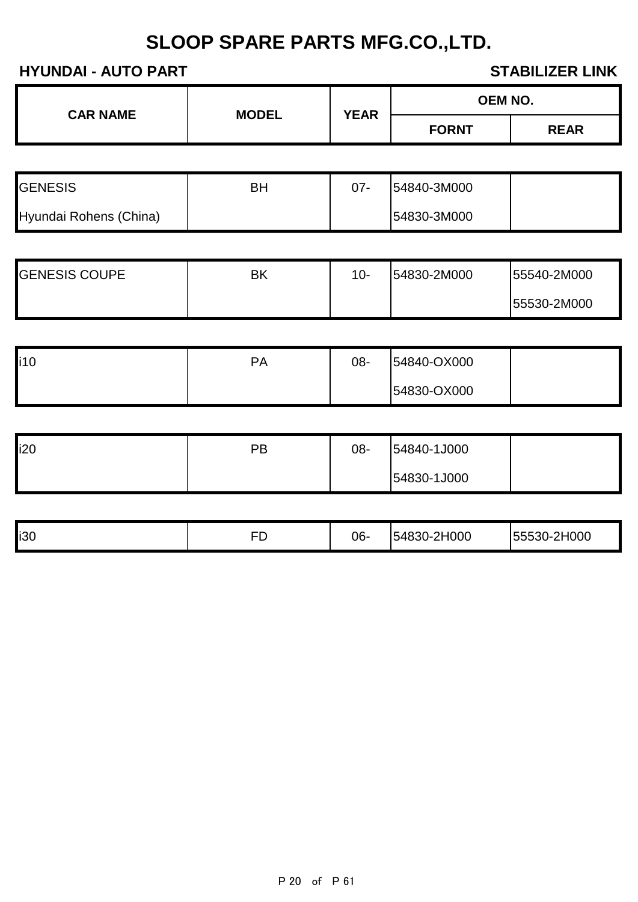| <b>CAR NAME</b> | <b>MODEL</b> | <b>YEAR</b> | <b>OEM NO.</b> |             |
|-----------------|--------------|-------------|----------------|-------------|
|                 |              |             | <b>FORNT</b>   | <b>REAR</b> |

| <b>GENESIS</b>         | ΒH | $07 -$ | 54840-3M000 |  |
|------------------------|----|--------|-------------|--|
| Hyundai Rohens (China) |    |        | 54830-3M000 |  |

| <b>GENESIS COUPE</b> | ΒK | $10-$ | 54830-2M000 | 55540-2M000 |
|----------------------|----|-------|-------------|-------------|
|                      |    |       |             | 55530-2M000 |

| <b>li10</b> | PA | 08- | 54840-OX000 |  |
|-------------|----|-----|-------------|--|
|             |    |     | 54830-OX000 |  |

| i20 | PВ | 08- | 54840-1J000 |  |
|-----|----|-----|-------------|--|
|     |    |     | 54830-1J000 |  |

| i30<br><b>1548</b><br>∽.<br>.<br>--<br><u>,</u><br>. . |    |     |                   |          |
|--------------------------------------------------------|----|-----|-------------------|----------|
|                                                        | -- | 06- | H000<br>$\bigcap$ | $-2H000$ |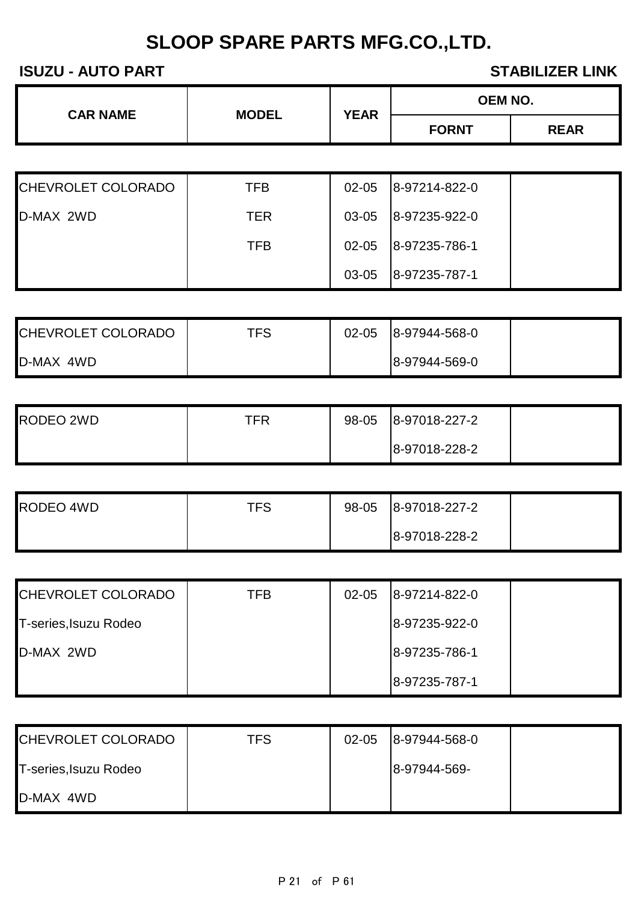## **ISUZU - AUTO PART STABILIZER LINK**

| <b>CAR NAME</b>           |              | <b>OEM NO.</b><br><b>YEAR</b><br><b>FORNT</b> |               |             |
|---------------------------|--------------|-----------------------------------------------|---------------|-------------|
|                           | <b>MODEL</b> |                                               |               | <b>REAR</b> |
|                           |              |                                               |               |             |
| <b>CHEVROLET COLORADO</b> | <b>TFB</b>   | $02 - 05$                                     | 8-97214-822-0 |             |
| D-MAX 2WD                 | <b>TER</b>   | 03-05                                         | 8-97235-922-0 |             |
|                           | TFB          | $02 - 05$                                     | 8-97235-786-1 |             |

| CHEVROLET COLORADO | <b>TFS</b> | $02 - 05$ | 8-97944-568-0 |  |
|--------------------|------------|-----------|---------------|--|
| D-MAX 4WD          |            |           | 8-97944-569-0 |  |

03-05 8-97235-787-1

| RODEO 2WD | TFR | 98-05 | 8-97018-227-2 |  |
|-----------|-----|-------|---------------|--|
|           |     |       | 8-97018-228-2 |  |

| <b>RODEO 4WD</b> | TFS | 98-05 | 8-97018-227-2 |  |
|------------------|-----|-------|---------------|--|
|                  |     |       | 8-97018-228-2 |  |

| CHEVROLET COLORADO    | TFB | $02 - 05$ | 8-97214-822-0 |  |
|-----------------------|-----|-----------|---------------|--|
| T-series, Isuzu Rodeo |     |           | 8-97235-922-0 |  |
| D-MAX 2WD             |     |           | 8-97235-786-1 |  |
|                       |     |           | 8-97235-787-1 |  |

| CHEVROLET COLORADO    | TFS | $02 - 05$ | 8-97944-568-0 |  |
|-----------------------|-----|-----------|---------------|--|
| T-series, Isuzu Rodeo |     |           | 8-97944-569-  |  |
| D-MAX 4WD             |     |           |               |  |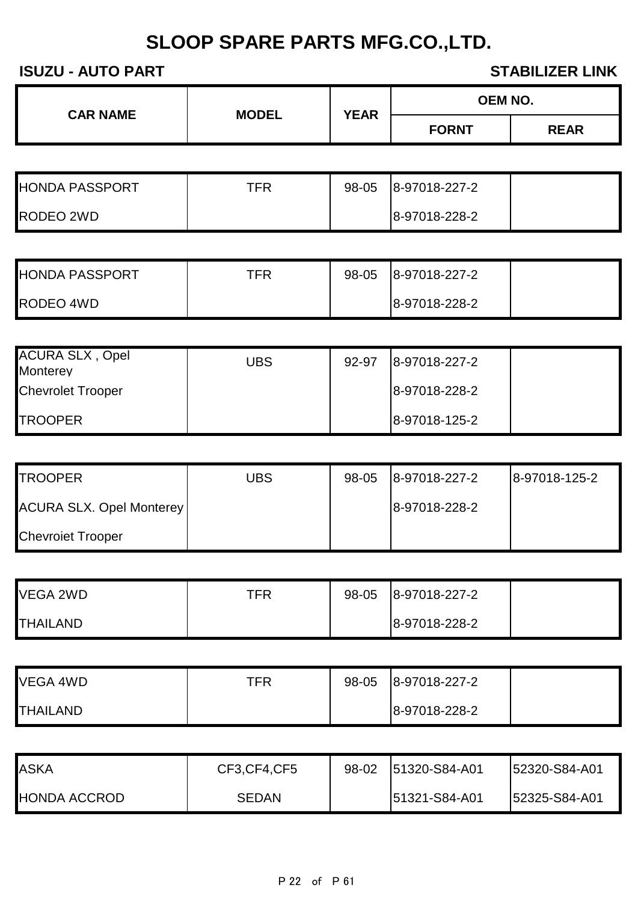## **ISUZU - AUTO PART STABILIZER LINK**

| <b>REAR</b><br><b>FORNT</b> |  | <b>CAR NAME</b><br><b>MODEL</b> | <b>YEAR</b> | <b>OEM NO.</b> |  |
|-----------------------------|--|---------------------------------|-------------|----------------|--|
|                             |  |                                 |             |                |  |

| <b>HONDA PASSPORT</b> | TFR | 98-05 | 8-97018-227-2 |  |
|-----------------------|-----|-------|---------------|--|
| <b>RODEO 2WD</b>      |     |       | 8-97018-228-2 |  |

| <b>HONDA PASSPORT</b> | TFR | 98-05 | 8-97018-227-2 |  |
|-----------------------|-----|-------|---------------|--|
| RODEO 4WD             |     |       | 8-97018-228-2 |  |

| <b>ACURA SLX, Opel</b><br><b>Monterey</b> | UBS | 92-97 | 8-97018-227-2 |  |
|-------------------------------------------|-----|-------|---------------|--|
| <b>Chevrolet Trooper</b>                  |     |       | 8-97018-228-2 |  |
| <b>ITROOPER</b>                           |     |       | 8-97018-125-2 |  |

| <b>TROOPER</b>                  | UBS | 98-05 | 8-97018-227-2 | 8-97018-125-2 |
|---------------------------------|-----|-------|---------------|---------------|
| <b>ACURA SLX. Opel Monterey</b> |     |       | 8-97018-228-2 |               |
| <b>Chevroiet Trooper</b>        |     |       |               |               |

| VEGA 2WD        | TFR | 98-05 | 8-97018-227-2 |  |
|-----------------|-----|-------|---------------|--|
| <b>THAILAND</b> |     |       | 8-97018-228-2 |  |

| VEGA 4WD        | TFR | 98-05 | 8-97018-227-2 |  |
|-----------------|-----|-------|---------------|--|
| <b>THAILAND</b> |     |       | 8-97018-228-2 |  |

| <b>ASKA</b>  | CF3, CF4, CF5 | 98-02 | 51320-S84-A01 | <b>52320-S84-A01</b> |
|--------------|---------------|-------|---------------|----------------------|
| HONDA ACCROD | <b>SEDAN</b>  |       | 51321-S84-A01 | 52325-S84-A01        |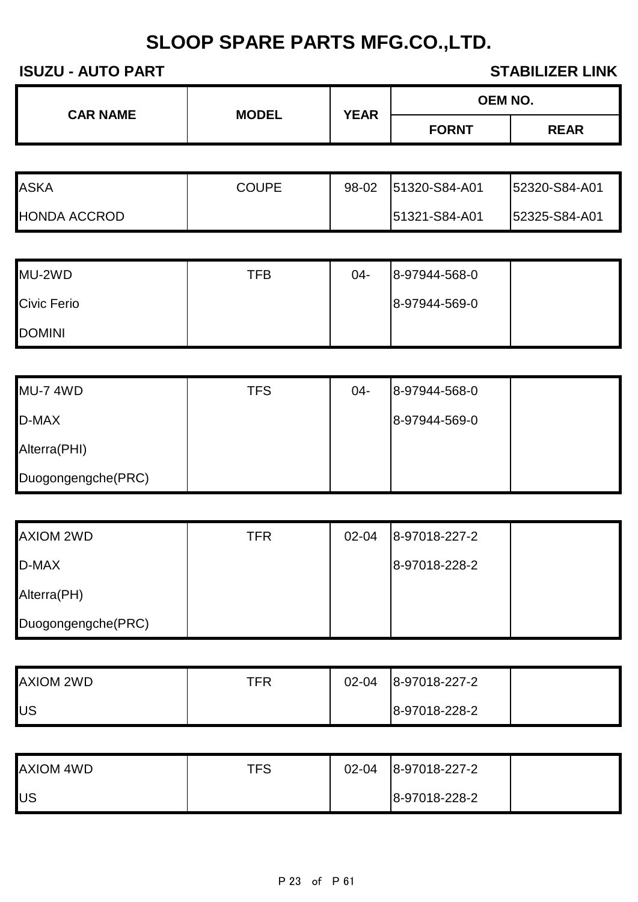## **ISUZU - AUTO PART STABILIZER LINK**

| <b>CAR NAME</b><br><b>MODEL</b> | <b>YEAR</b> | OEM NO. |              |             |
|---------------------------------|-------------|---------|--------------|-------------|
|                                 |             |         | <b>FORNT</b> | <b>REAR</b> |

| <b>ASKA</b>  | <b>COUPE</b> | 98-02 | 51320-S84-A01 | 52320-S84-A01 |
|--------------|--------------|-------|---------------|---------------|
| HONDA ACCROD |              |       | 51321-S84-A01 | 52325-S84-A01 |

| MU-2WD             | TFB | 04- | 8-97944-568-0 |  |
|--------------------|-----|-----|---------------|--|
| <b>Civic Ferio</b> |     |     | 8-97944-569-0 |  |
| <b>DOMINI</b>      |     |     |               |  |

| <b>MU-7 4WD</b>    | <b>TFS</b> | $04 -$ | 8-97944-568-0 |  |
|--------------------|------------|--------|---------------|--|
| D-MAX              |            |        | 8-97944-569-0 |  |
| Alterra(PHI)       |            |        |               |  |
| Duogongengche(PRC) |            |        |               |  |

| <b>AXIOM 2WD</b>   | <b>TFR</b> | 02-04 | 8-97018-227-2 |  |
|--------------------|------------|-------|---------------|--|
| D-MAX              |            |       | 8-97018-228-2 |  |
| Alterra(PH)        |            |       |               |  |
| Duogongengche(PRC) |            |       |               |  |

| AXIOM 2WD | TFR | $02 - 04$ | 8-97018-227-2 |  |
|-----------|-----|-----------|---------------|--|
| US        |     |           | 8-97018-228-2 |  |

| <b>AXIOM 4WD</b> | TFS | $02 - 04$ | 8-97018-227-2 |  |
|------------------|-----|-----------|---------------|--|
| US               |     |           | 8-97018-228-2 |  |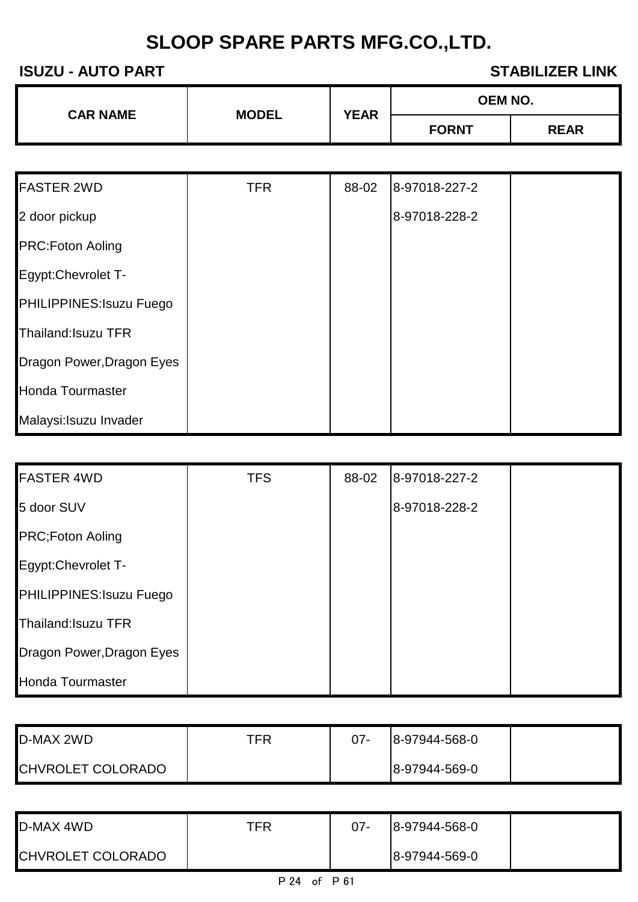## **ISUZU - AUTO PART STABILIZER LINK**

| <b>CAR NAME</b> | <b>MODEL</b> | <b>OEM NO.</b><br><b>YEAR</b><br><b>FORNT</b> |  |
|-----------------|--------------|-----------------------------------------------|--|
|                 |              |                                               |  |

| <b>FASTER 2WD</b>          | <b>TFR</b> | 88-02 | 8-97018-227-2 |  |
|----------------------------|------------|-------|---------------|--|
| 2 door pickup              |            |       | 8-97018-228-2 |  |
| <b>PRC:Foton Aoling</b>    |            |       |               |  |
| Egypt: Chevrolet T-        |            |       |               |  |
| PHILIPPINES: Isuzu Fuego   |            |       |               |  |
| <b>Thailand: Isuzu TFR</b> |            |       |               |  |
| Dragon Power, Dragon Eyes  |            |       |               |  |
| <b>Honda Tourmaster</b>    |            |       |               |  |
| Malaysi: Isuzu Invader     |            |       |               |  |

| <b>FASTER 4WD</b>         | <b>TFS</b> | 88-02 | 8-97018-227-2 |  |
|---------------------------|------------|-------|---------------|--|
| 5 door SUV                |            |       | 8-97018-228-2 |  |
| <b>PRC;Foton Aoling</b>   |            |       |               |  |
| Egypt:Chevrolet T-        |            |       |               |  |
| PHILIPPINES: Isuzu Fuego  |            |       |               |  |
| Thailand: Isuzu TFR       |            |       |               |  |
| Dragon Power, Dragon Eyes |            |       |               |  |
| <b>Honda Tourmaster</b>   |            |       |               |  |

| D-MAX 2WD                | TFR | $07 -$ | 8-97944-568-0 |  |
|--------------------------|-----|--------|---------------|--|
| <b>CHVROLET COLORADO</b> |     |        | 8-97944-569-0 |  |

| D-MAX 4WD         | TFR | $07 -$ | 8-97944-568-0 |  |
|-------------------|-----|--------|---------------|--|
| CHVROLET COLORADO |     |        | 8-97944-569-0 |  |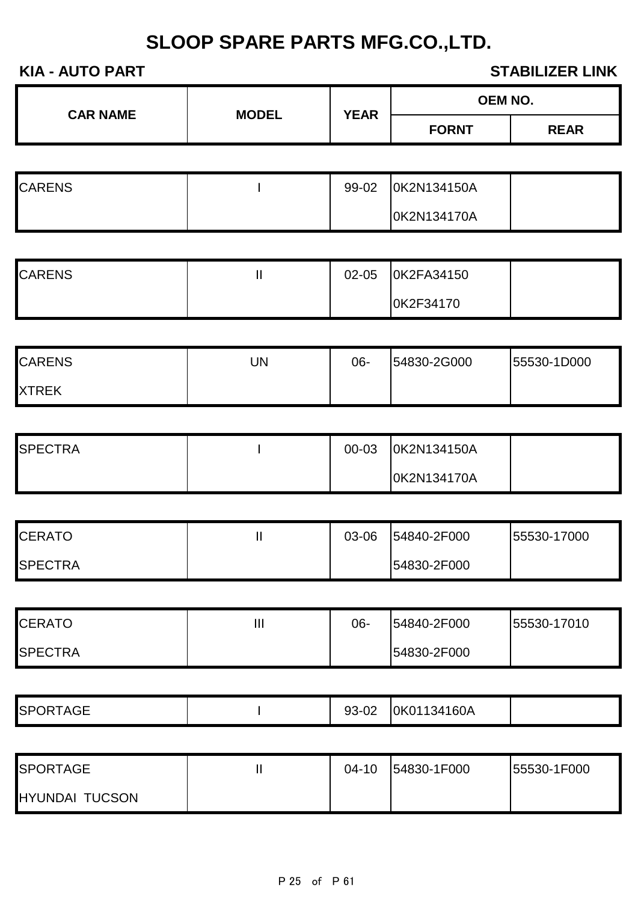| <b>KIA - AUTO PART</b><br><b>STABILIZER LINK</b> |              |              |             |                |
|--------------------------------------------------|--------------|--------------|-------------|----------------|
| <b>CAR NAME</b>                                  | <b>MODEL</b> | <b>YEAR</b>  |             | <b>OEM NO.</b> |
|                                                  |              | <b>FORNT</b> | <b>REAR</b> |                |
|                                                  |              |              |             |                |
| <b>CARENS</b>                                    |              | 99-02        | 0K2N134150A |                |
|                                                  |              |              | 0K2N134170A |                |
|                                                  |              |              |             |                |
| <b>CARENS</b>                                    | $\mathbf{I}$ | 02-05        | 0K2FA34150  |                |
|                                                  |              |              | 0K2F34170   |                |
|                                                  |              |              |             |                |
| <b>CARENS</b>                                    | <b>UN</b>    | 06-          | 54830-2G000 | 55530-1D000    |
| <b>XTREK</b>                                     |              |              |             |                |

| <b>SPECTRA</b> | 00-03 | OK2N134150A |  |
|----------------|-------|-------------|--|
|                |       | OK2N134170A |  |

| <b>CERATO</b>   | 03-06 | 54840-2F000 | 55530-17000 |
|-----------------|-------|-------------|-------------|
| <b>ISPECTRA</b> |       | 54830-2F000 |             |

| <b>CERATO</b>  | Ш | 06- | 54840-2F000 | 155530-17010 |
|----------------|---|-----|-------------|--------------|
| <b>SPECTRA</b> |   |     | 54830-2F000 |              |

| SPORTA<br><b>TAGE</b> | ∩r<br>ົດ<br>ອວ-ບ∠ | 01134160A<br>ιυκυ |  |
|-----------------------|-------------------|-------------------|--|
|                       |                   |                   |  |

| <b>SPORTAGE</b>       | $04 - 10$ | 54830-1F000 | 55530-1F000 |
|-----------------------|-----------|-------------|-------------|
| <b>HYUNDAI TUCSON</b> |           |             |             |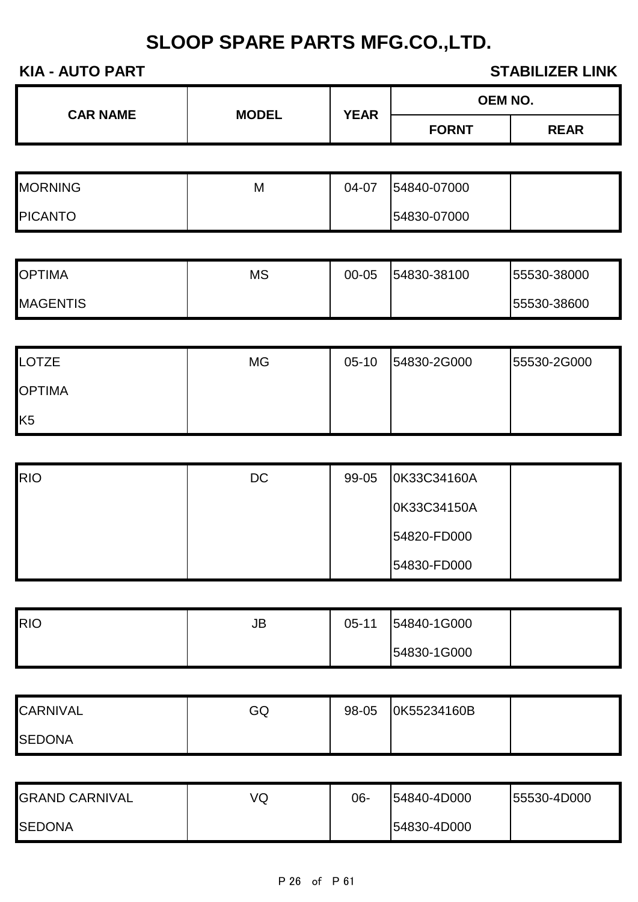| <b>CAR NAME</b> | <b>MODEL</b> | <b>YEAR</b> | <b>OEM NO.</b> |             |
|-----------------|--------------|-------------|----------------|-------------|
|                 |              |             | <b>FORNT</b>   | <b>REAR</b> |

| <b>MORNING</b> | M | 04-07 | 54840-07000 |  |
|----------------|---|-------|-------------|--|
| <b>PICANTO</b> |   |       | 54830-07000 |  |

| <b>OPTIMA</b>   | <b>MS</b> | 00-05 | 54830-38100 | 155530-38000 |
|-----------------|-----------|-------|-------------|--------------|
| <b>MAGENTIS</b> |           |       |             | 155530-38600 |

| <b>LOTZE</b>   | <b>MG</b> | $05-10$ | 54830-2G000 | 55530-2G000 |
|----------------|-----------|---------|-------------|-------------|
| <b>OPTIMA</b>  |           |         |             |             |
| K <sub>5</sub> |           |         |             |             |

| <b>RIO</b> | DC | 99-05 | 0K33C34160A |  |
|------------|----|-------|-------------|--|
|            |    |       | 0K33C34150A |  |
|            |    |       | 54820-FD000 |  |
|            |    |       | 54830-FD000 |  |

| RIO | JB | $05 - 11$ | 54840-1G000 |  |
|-----|----|-----------|-------------|--|
|     |    |           | 54830-1G000 |  |

| <b>CARNIVAL</b> | GQ | 98-05 | OK55234160B |  |
|-----------------|----|-------|-------------|--|
| <b>ISEDONA</b>  |    |       |             |  |

| <b>GRAND CARNIVAL</b> | VQ | 06- | 54840-4D000 | 155530-4D000 |
|-----------------------|----|-----|-------------|--------------|
| <b>SEDONA</b>         |    |     | 54830-4D000 |              |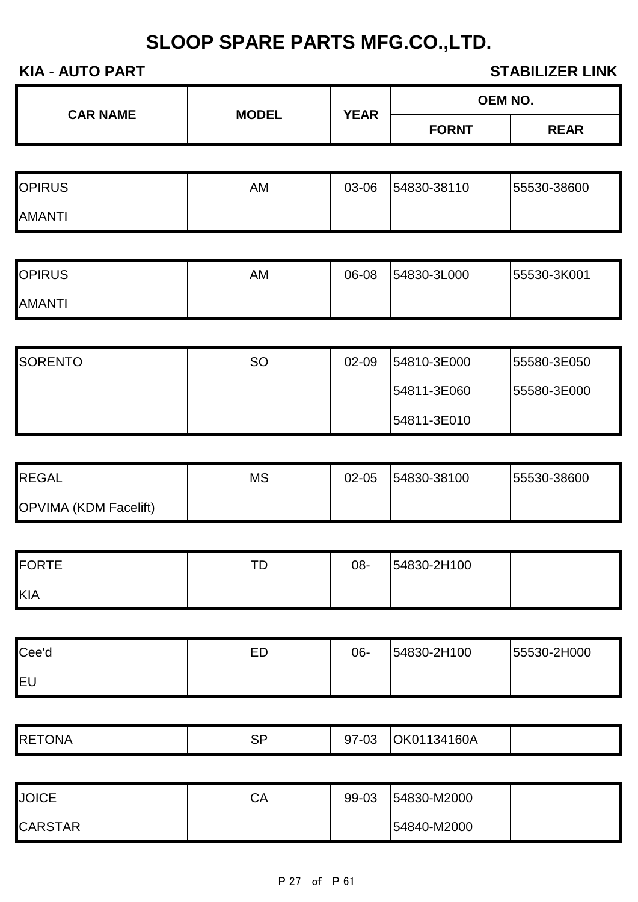| <b>CAR NAME</b> | <b>MODEL</b> | <b>YEAR</b> | <b>OEM NO.</b> |             |
|-----------------|--------------|-------------|----------------|-------------|
|                 |              |             | <b>FORNT</b>   | <b>REAR</b> |
|                 |              |             |                |             |

| <b>OPIRUS</b> | AM | 03-06 | 54830-38110 | 55530-38600 |
|---------------|----|-------|-------------|-------------|
| <b>AMANTI</b> |    |       |             |             |

| <b>OPIRUS</b> | AM | 06-08 | 54830-3L000 | 55530-3K001 |
|---------------|----|-------|-------------|-------------|
| <b>AMANTI</b> |    |       |             |             |

| <b>SORENTO</b> | <b>SO</b> | 02-09 | 54810-3E000 | 155580-3E050 |
|----------------|-----------|-------|-------------|--------------|
|                |           |       | 54811-3E060 | 155580-3E000 |
|                |           |       | 54811-3E010 |              |

| <b>REGAL</b>                 | MS | $02 - 05$ | 54830-38100 | 55530-38600 |
|------------------------------|----|-----------|-------------|-------------|
| <b>OPVIMA (KDM Facelift)</b> |    |           |             |             |

| <b>FORTE</b> | тr<br>◡ | 08- | 54830-2H100 |  |
|--------------|---------|-----|-------------|--|
| KIA          |         |     |             |  |

| Cee'd      | ED | 06- | 54830-2H100 | 55530-2H000 |
|------------|----|-----|-------------|-------------|
| <b>IEU</b> |    |     |             |             |

| <b>RETONA</b> | SP<br><u>.</u> | מה דה<br>''- / ل<br>UL | 34160A<br>١1<br>$^{\prime}$ )K, |  |
|---------------|----------------|------------------------|---------------------------------|--|
|               |                |                        |                                 |  |

| <b>JOICE</b>   | СΑ | 99-03 | 54830-M2000 |  |
|----------------|----|-------|-------------|--|
| <b>CARSTAR</b> |    |       | 54840-M2000 |  |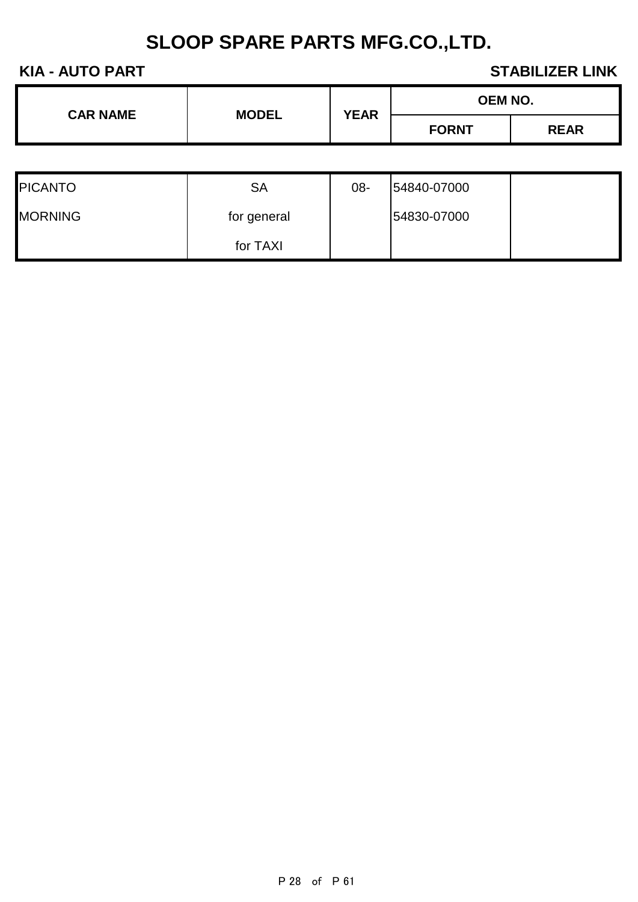| <b>CAR NAME</b> | <b>MODEL</b> | <b>YEAR</b> | <b>OEM NO.</b> |             |
|-----------------|--------------|-------------|----------------|-------------|
|                 |              |             | <b>FORNT</b>   | <b>REAR</b> |

| <b>PICANTO</b> | SА          | 08- | 54840-07000 |  |
|----------------|-------------|-----|-------------|--|
| <b>MORNING</b> | for general |     | 54830-07000 |  |
|                | for TAXI    |     |             |  |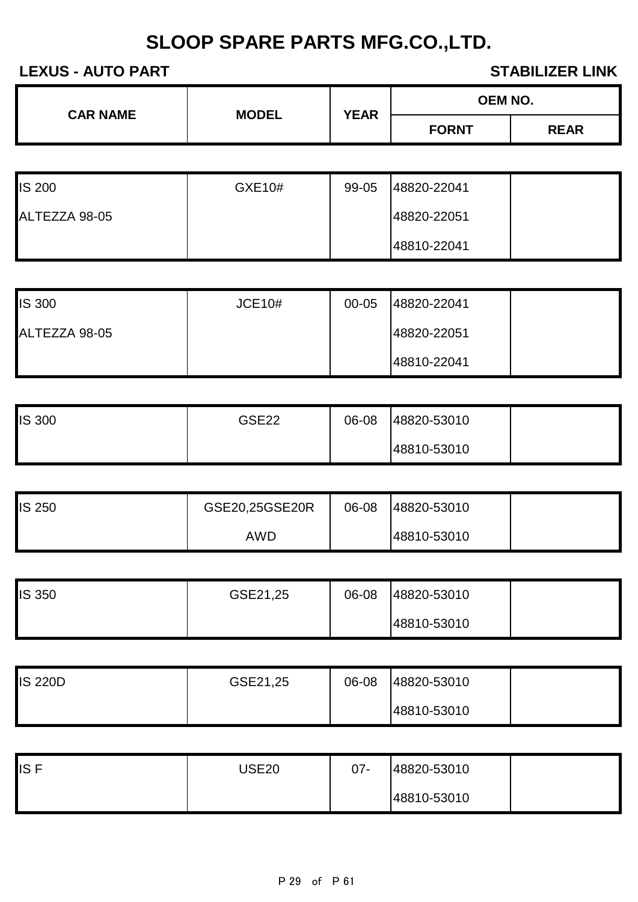| <b>CAR NAME</b> | <b>MODEL</b> |                             | <b>OEM NO.</b> |  |
|-----------------|--------------|-----------------------------|----------------|--|
|                 |              | <b>YEAR</b><br><b>FORNT</b> | <b>REAR</b>    |  |

| <b>IS 200</b> | GXE10# | 99-05 | 48820-22041 |  |
|---------------|--------|-------|-------------|--|
| ALTEZZA 98-05 |        |       | 48820-22051 |  |
|               |        |       | 48810-22041 |  |

| <b>IS 300</b> | <b>JCE10#</b> | 00-05 | 48820-22041 |  |
|---------------|---------------|-------|-------------|--|
| ALTEZZA 98-05 |               |       | 48820-22051 |  |
|               |               |       | 48810-22041 |  |

| <b>IS 300</b> | <b>GSE22</b> | 06-08 | 48820-53010 |  |
|---------------|--------------|-------|-------------|--|
|               |              |       | 48810-53010 |  |

| <b>IS 250</b> | GSE20,25GSE20R | 06-08 | 48820-53010 |  |
|---------------|----------------|-------|-------------|--|
|               | AWD            |       | 48810-53010 |  |

| <b>IS 350</b> | GSE21,25 | 06-08 | 48820-53010 |  |
|---------------|----------|-------|-------------|--|
|               |          |       | 48810-53010 |  |

| <b>IS 220D</b> | GSE21,25 | 06-08 | 48820-53010 |  |
|----------------|----------|-------|-------------|--|
|                |          |       | 48810-53010 |  |

| <b>ISF</b> | <b>JSE20</b> | $07 -$ | 48820-53010 |  |
|------------|--------------|--------|-------------|--|
|            |              |        | 48810-53010 |  |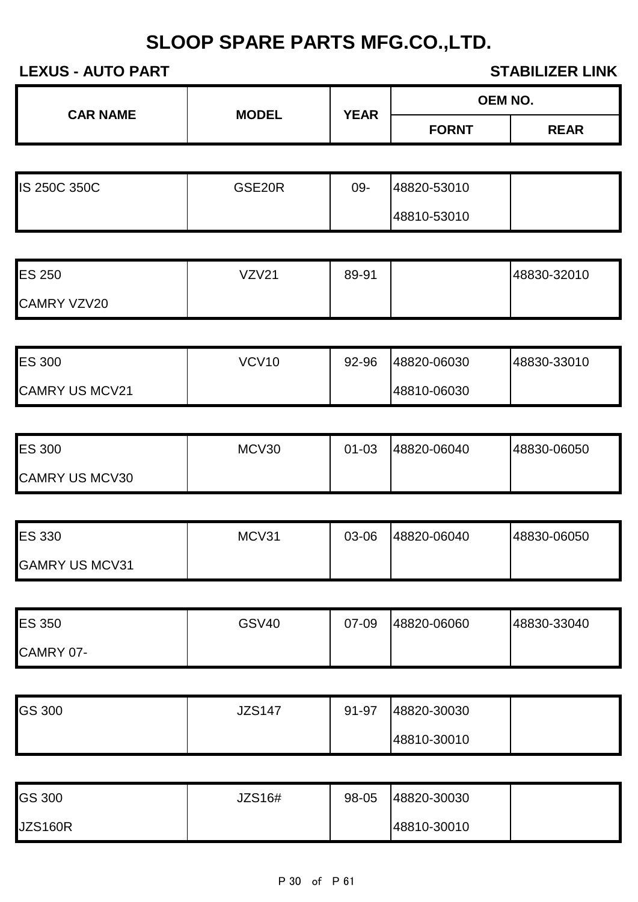| <b>CAR NAME</b><br><b>MODEL</b> | <b>YEAR</b> | <b>OEM NO.</b> |              |             |
|---------------------------------|-------------|----------------|--------------|-------------|
|                                 |             |                | <b>FORNT</b> | <b>REAR</b> |
|                                 |             |                |              |             |

| <b>IS 250C 350C</b> | GSE20R | 09- | 48820-53010 |  |
|---------------------|--------|-----|-------------|--|
|                     |        |     | 48810-53010 |  |

| <b>ES 250</b>      | VZV2 <sup>1</sup> | 89-91 | 48830-32010 |
|--------------------|-------------------|-------|-------------|
| <b>CAMRY VZV20</b> |                   |       |             |

| <b>ES 300</b>         | VCV10 | 92-96 | 48820-06030 | 48830-33010 |
|-----------------------|-------|-------|-------------|-------------|
| <b>CAMRY US MCV21</b> |       |       | 48810-06030 |             |

| <b>ES 300</b>         | MCV30 | 01-03 | 48820-06040 | 48830-06050 |
|-----------------------|-------|-------|-------------|-------------|
| <b>CAMRY US MCV30</b> |       |       |             |             |

| <b>ES 330</b>         | MCV31 | 03-06 | 48820-06040 | 48830-06050 |
|-----------------------|-------|-------|-------------|-------------|
| <b>GAMRY US MCV31</b> |       |       |             |             |

| <b>ES 350</b>    | GSV40 | 07-09 | 48820-06060 | 48830-33040 |
|------------------|-------|-------|-------------|-------------|
| <b>CAMRY 07-</b> |       |       |             |             |

| GS 300 | <b>JZS147</b> | 91-97 | 48820-30030 |  |
|--------|---------------|-------|-------------|--|
|        |               |       | 48810-30010 |  |

| <b>GS 300</b>  | JZS16# | 98-05 | 48820-30030 |  |
|----------------|--------|-------|-------------|--|
| <b>JZS160R</b> |        |       | 48810-30010 |  |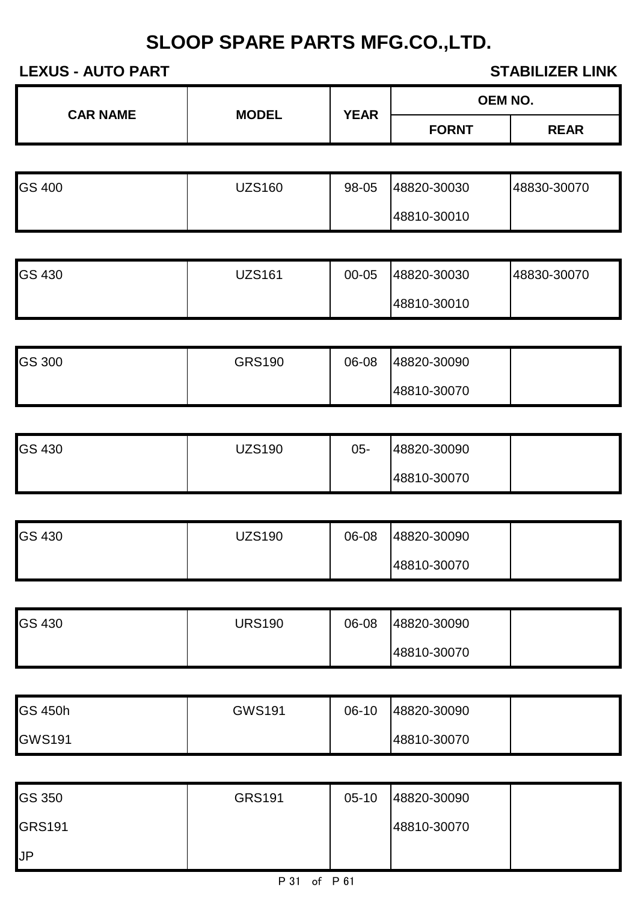|  | <b>CAR NAME</b><br><b>MODEL</b> | <b>YEAR</b> | <b>OEM NO.</b> |             |
|--|---------------------------------|-------------|----------------|-------------|
|  |                                 |             | <b>FORNT</b>   | <b>REAR</b> |

| <b>GS 400</b> | JZS160 | 98-05 | 48820-30030 | 48830-30070 |
|---------------|--------|-------|-------------|-------------|
|               |        |       | 48810-30010 |             |

| <b>GS 430</b> | <b>JZS161</b> | $00 - 05$ | 48820-30030 | 48830-30070 |
|---------------|---------------|-----------|-------------|-------------|
|               |               |           | 48810-30010 |             |

| <b>GS 300</b> | <b>GRS190</b> | 06-08 | 48820-30090 |  |
|---------------|---------------|-------|-------------|--|
|               |               |       | 48810-30070 |  |

| <b>GS 430</b> | <b>JZS190</b> | 05- | 48820-30090 |  |
|---------------|---------------|-----|-------------|--|
|               |               |     | 48810-30070 |  |

| <b>GS 430</b> | JZS190 | 06-08 | 48820-30090 |  |
|---------------|--------|-------|-------------|--|
|               |        |       | 48810-30070 |  |

| <b>GS 430</b> | <b>URS190</b> | 06-08 | 48820-30090 |  |
|---------------|---------------|-------|-------------|--|
|               |               |       | 48810-30070 |  |

| <b>GS 450h</b> | <b>GWS191</b> | 06-10 | 48820-30090 |  |
|----------------|---------------|-------|-------------|--|
| <b>GWS191</b>  |               |       | 48810-30070 |  |

| <b>GS 350</b> | <b>GRS191</b> | $05-10$ | 48820-30090 |  |
|---------------|---------------|---------|-------------|--|
| GRS191        |               |         | 48810-30070 |  |
| JP.           |               |         |             |  |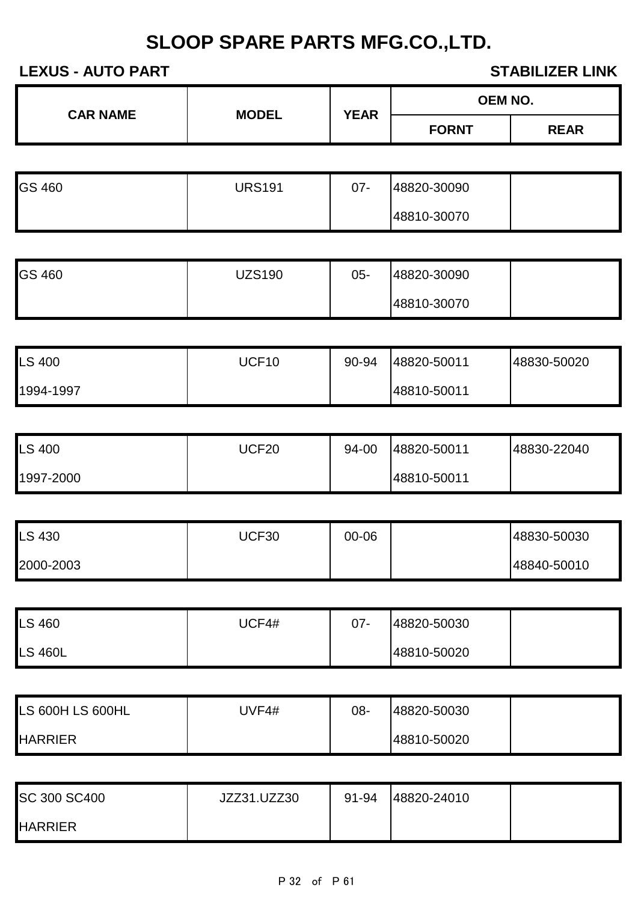| <b>CAR NAME</b> | <b>MODEL</b> | <b>YEAR</b> | <b>OEM NO.</b> |             |
|-----------------|--------------|-------------|----------------|-------------|
|                 |              |             | <b>FORNT</b>   | <b>REAR</b> |
|                 |              |             |                |             |

| <b>GS 460</b> | <b>JRS191</b> | $07 -$ | 48820-30090 |  |
|---------------|---------------|--------|-------------|--|
|               |               |        | 48810-30070 |  |

| <b>GS 460</b> | <b>JZS190</b> | $05 -$ | 48820-30090 |  |
|---------------|---------------|--------|-------------|--|
|               |               |        | 48810-30070 |  |

| <b>LS 400</b> | UCF10 | 90-94 | 48820-50011 | 48830-50020 |
|---------------|-------|-------|-------------|-------------|
| 1994-1997     |       |       | 48810-50011 |             |

| <b>LS 400</b> | JCF20 | 94-00 | 48820-50011 | 48830-22040 |
|---------------|-------|-------|-------------|-------------|
| 1997-2000     |       |       | 48810-50011 |             |

| <b>LS 430</b> | JCF30 | 00-06 | 48830-50030 |
|---------------|-------|-------|-------------|
| 2000-2003     |       |       | 48840-50010 |

| <b>LS 460</b>  | <b>JCF4#</b> | 07- | 48820-50030 |  |
|----------------|--------------|-----|-------------|--|
| <b>LS 460L</b> |              |     | 48810-50020 |  |

| LS 600H LS 600HL | JVF4# | 08- | 48820-50030 |  |
|------------------|-------|-----|-------------|--|
| <b>HARRIER</b>   |       |     | 48810-50020 |  |

| SC 300 SC400   | JZZ31.UZZ30 | 91-94 | 48820-24010 |  |
|----------------|-------------|-------|-------------|--|
| <b>HARRIER</b> |             |       |             |  |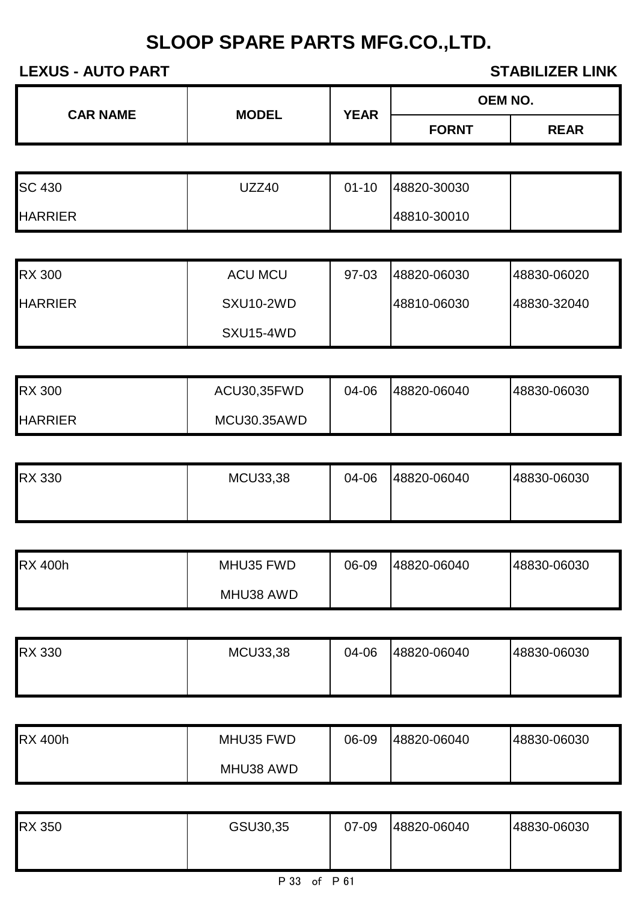| <b>CAR NAME</b> | <b>MODEL</b> | <b>YEAR</b> | <b>OEM NO.</b> |             |
|-----------------|--------------|-------------|----------------|-------------|
|                 |              |             | <b>FORNT</b>   | <b>REAR</b> |
|                 |              |             |                |             |

| <b>SC 430</b>  | JZZ40 | $01 - 10$ | 48820-30030 |  |
|----------------|-------|-----------|-------------|--|
| <b>HARRIER</b> |       |           | 48810-30010 |  |

| <b>RX 300</b>  | <b>ACU MCU</b> | 97-03 | 48820-06030 | 148830-06020 |
|----------------|----------------|-------|-------------|--------------|
| <b>HARRIER</b> | SXU10-2WD      |       | 48810-06030 | 48830-32040  |
|                | SXU15-4WD      |       |             |              |

| <b>RX 300</b>  | ACU30,35FWD | 04-06 | 48820-06040 | 48830-06030 |
|----------------|-------------|-------|-------------|-------------|
| <b>HARRIER</b> | MCU30.35AWD |       |             |             |

| <b>RX 330</b> | MCU33,38 | 04-06 | 48820-06040 | 48830-06030 |
|---------------|----------|-------|-------------|-------------|
|               |          |       |             |             |

| <b>RX 400h</b> | MHU35 FWD | 06-09 | 48820-06040 | 48830-06030 |
|----------------|-----------|-------|-------------|-------------|
|                | MHU38 AWD |       |             |             |

| <b>RX 330</b> | <b>MCU33,38</b> | 04-06 | 48820-06040 | 48830-06030 |
|---------------|-----------------|-------|-------------|-------------|
|               |                 |       |             |             |

| <b>RX 400h</b> | MHU35 FWD | 06-09 | 48820-06040 | 48830-06030 |
|----------------|-----------|-------|-------------|-------------|
|                | MHU38 AWD |       |             |             |

| <b>RX 350</b> | GSU30,35 | 07-09 | 48820-06040 | 48830-06030 |
|---------------|----------|-------|-------------|-------------|
|               |          |       |             |             |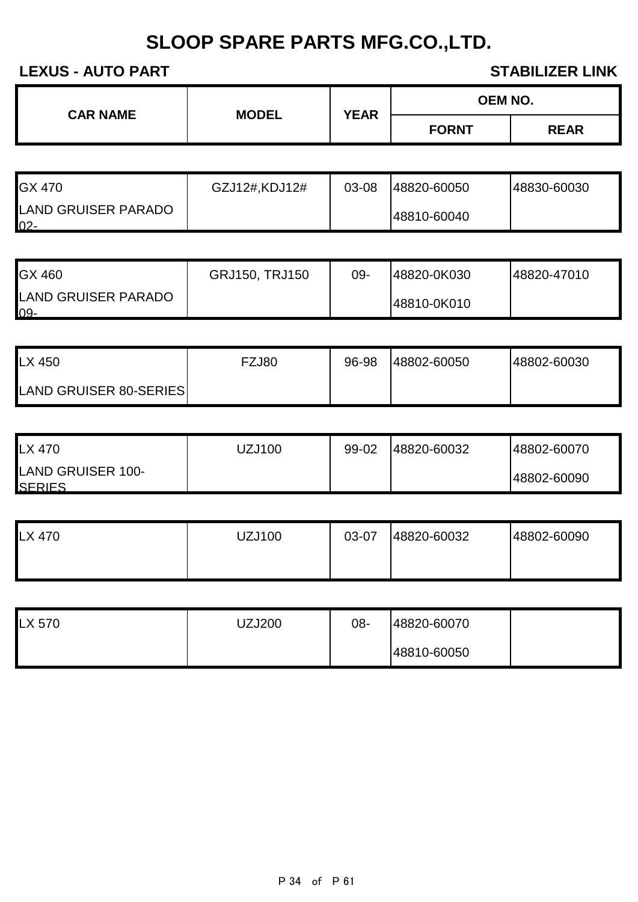| <b>CAR NAME</b><br><b>MODEL</b> |  | OEM NO.     |              |
|---------------------------------|--|-------------|--------------|
|                                 |  | <b>YEAR</b> | <b>FORNT</b> |

| <b>GX 470</b>                 | GZJ12#,KDJ12# | 03-08 | 48820-60050 | 48830-60030 |
|-------------------------------|---------------|-------|-------------|-------------|
| LAND GRUISER PARADO<br>$02 -$ |               |       | 48810-60040 |             |

| <b>GX 460</b>                     | GRJ150, TRJ150 | 09- | 48820-0K030 | 48820-47010 |
|-----------------------------------|----------------|-----|-------------|-------------|
| <b>LAND GRUISER PARADO</b><br>09- |                |     | 48810-0K010 |             |

| LX 450                        | FZJ80 | 96-98 | 48802-60050 | 48802-60030 |
|-------------------------------|-------|-------|-------------|-------------|
| <b>LAND GRUISER 80-SERIES</b> |       |       |             |             |

| LX 470                             | JZJ100 | 99-02 | 48820-60032 | 48802-60070 |
|------------------------------------|--------|-------|-------------|-------------|
| LAND GRUISER 100-<br><b>SERIES</b> |        |       |             | 48802-60090 |

| <b>LX 470</b> | <b>UZJ100</b> | 03-07 | 48820-60032 | 48802-60090 |
|---------------|---------------|-------|-------------|-------------|
|               |               |       |             |             |

| LX 570 | UZJ200 | 08- | 48820-60070 |  |
|--------|--------|-----|-------------|--|
|        |        |     | 48810-60050 |  |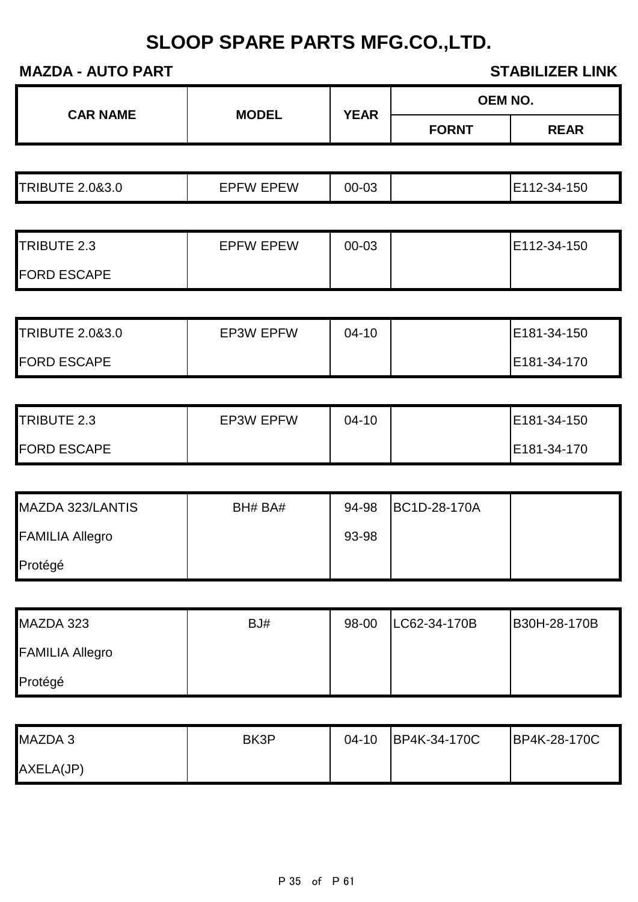|                            |                  |             |              | <b>OEM NO.</b> |
|----------------------------|------------------|-------------|--------------|----------------|
| <b>CAR NAME</b>            | <b>MODEL</b>     | <b>YEAR</b> | <b>FORNT</b> | <b>REAR</b>    |
|                            |                  |             |              |                |
| <b>TRIBUTE 2.0&amp;3.0</b> | <b>EPFW EPEW</b> | 00-03       |              | E112-34-150    |
|                            |                  |             |              |                |
| TRIBUTE 2.3                | <b>EPFW EPEW</b> | 00-03       |              | E112-34-150    |
| <b>FORD ESCAPE</b>         |                  |             |              |                |
|                            |                  |             |              |                |
| <b>TRIBUTE 2.0&amp;3.0</b> | <b>EP3W EPFW</b> | $04 - 10$   |              | E181-34-150    |
| <b>FORD ESCAPE</b>         |                  |             |              | E181-34-170    |
|                            |                  |             |              |                |
| TRIBUTE 2.3                | <b>EP3W EPFW</b> | $04 - 10$   |              | E181-34-150    |
| <b>FORD ESCAPE</b>         |                  |             |              | E181-34-170    |
|                            |                  |             |              |                |
| MAZDA 323/LANTIS           | BH# BA#          | 94-98       | BC1D-28-170A |                |
| <b>FAMILIA Allegro</b>     |                  | 93-98       |              |                |
| Protégé                    |                  |             |              |                |
|                            |                  |             |              |                |
| MAZDA 323                  | BJ#              | 98-00       | LC62-34-170B | B30H-28-170B   |
| <b>FAMILIA Allegro</b>     |                  |             |              |                |
| Protégé                    |                  |             |              |                |
|                            |                  |             |              |                |
| MAZDA 3                    | BK3P             | $04 - 10$   | BP4K-34-170C | BP4K-28-170C   |
| AXELA(JP)                  |                  |             |              |                |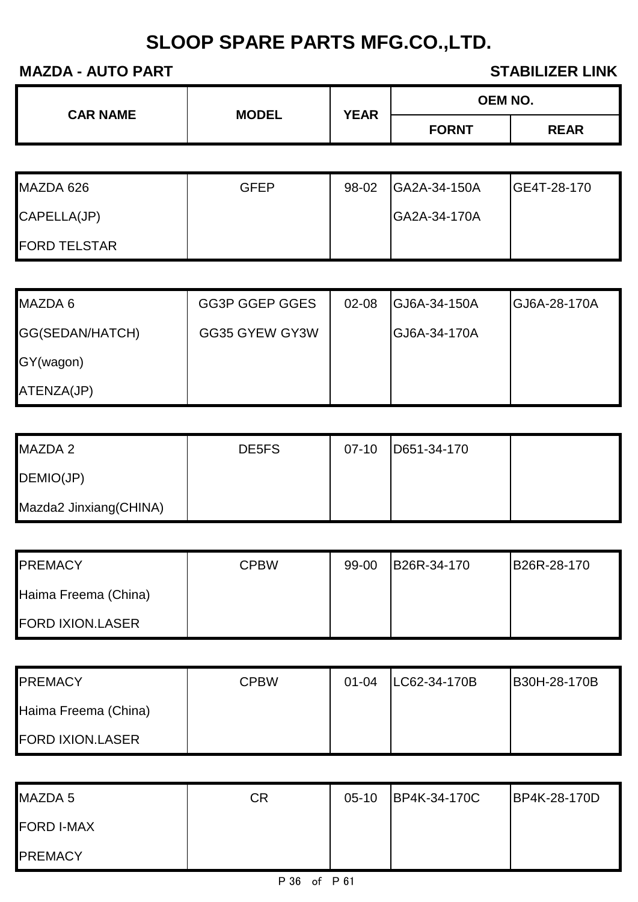| <b>CAR NAME</b> | <b>MODEL</b> | <b>YEAR</b> | <b>OEM NO.</b> |             |  |
|-----------------|--------------|-------------|----------------|-------------|--|
|                 |              |             | <b>FORNT</b>   | <b>REAR</b> |  |

| MAZDA 626           | <b>GFEP</b> | 98-02 | <b>IGA2A-34-150A</b> | IGE4T-28-170 |
|---------------------|-------------|-------|----------------------|--------------|
| CAPELLA(JP)         |             |       | <b>GA2A-34-170A</b>  |              |
| <b>FORD TELSTAR</b> |             |       |                      |              |

| MAZDA 6         | <b>GG3P GGEP GGES</b> | $02 - 08$ | <b>GJ6A-34-150A</b> | <b>IGJ6A-28-170A</b> |
|-----------------|-----------------------|-----------|---------------------|----------------------|
| GG(SEDAN/HATCH) | GG35 GYEW GY3W        |           | <b>GJ6A-34-170A</b> |                      |
| GY(wagon)       |                       |           |                     |                      |
| ATENZA(JP)      |                       |           |                     |                      |

| MAZDA 2                | DE5FS | $07-10$ | D651-34-170 |  |
|------------------------|-------|---------|-------------|--|
| DEMIO(JP)              |       |         |             |  |
| Mazda2 Jinxiang(CHINA) |       |         |             |  |

| <b>PREMACY</b>          | <b>CPBW</b> | 99-00 | B26R-34-170 | B26R-28-170 |
|-------------------------|-------------|-------|-------------|-------------|
| Haima Freema (China)    |             |       |             |             |
| <b>FORD IXION.LASER</b> |             |       |             |             |

| <b>PREMACY</b>          | <b>CPBW</b> | $01 - 04$ | LC62-34-170B | B30H-28-170B |
|-------------------------|-------------|-----------|--------------|--------------|
| Haima Freema (China)    |             |           |              |              |
| <b>FORD IXION.LASER</b> |             |           |              |              |

| MAZDA 5           | СR | $05-10$ | BP4K-34-170C | BP4K-28-170D |
|-------------------|----|---------|--------------|--------------|
| <b>FORD I-MAX</b> |    |         |              |              |
| <b>PREMACY</b>    |    |         |              |              |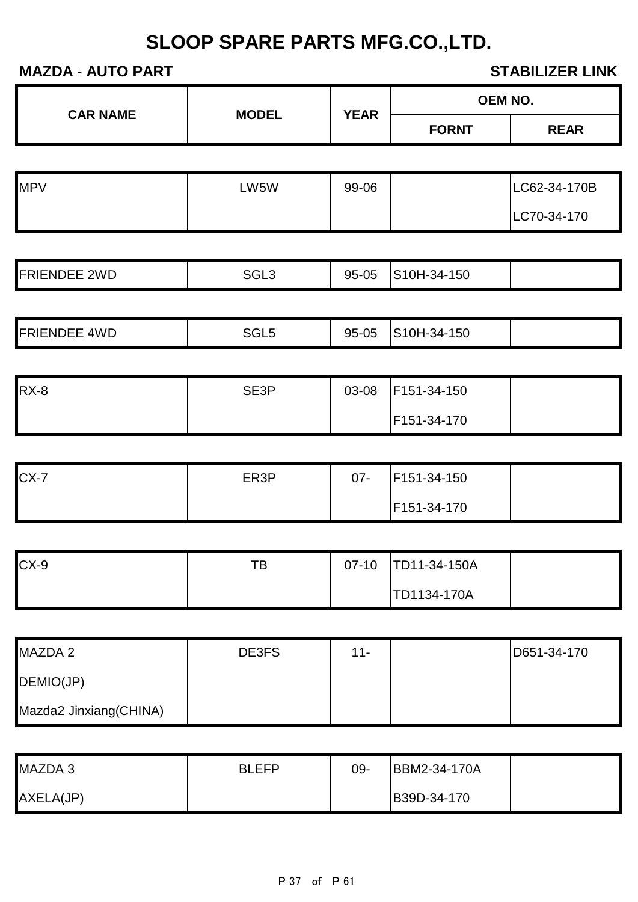| MALDA AVIVIANI      |                  |             |              | VIADILILLIN LIIVIN |
|---------------------|------------------|-------------|--------------|--------------------|
| <b>CAR NAME</b>     | <b>MODEL</b>     | <b>YEAR</b> |              | <b>OEM NO.</b>     |
|                     |                  |             | <b>FORNT</b> | <b>REAR</b>        |
|                     |                  |             |              |                    |
| <b>MPV</b>          | LW5W             | 99-06       |              | LC62-34-170B       |
|                     |                  |             |              | LC70-34-170        |
|                     |                  |             |              |                    |
| <b>FRIENDEE 2WD</b> | SGL <sub>3</sub> | 95-05       | S10H-34-150  |                    |
|                     |                  |             |              |                    |
| <b>FRIENDEE 4WD</b> | SGL <sub>5</sub> | 95-05       | S10H-34-150  |                    |

| <b>RX-8</b> | SE3P | 03-08 | F151-34-150 |  |
|-------------|------|-------|-------------|--|
|             |      |       | F151-34-170 |  |

| $CX-7$ | ER3P | $07 -$ | F151-34-150 |  |
|--------|------|--------|-------------|--|
|        |      |        | F151-34-170 |  |

| $CX-9$ | TВ | $07-10$ | TD11-34-150A |  |
|--------|----|---------|--------------|--|
|        |    |         | TD1134-170A  |  |

| MAZDA 2                | DE3FS | $11 -$ | D651-34-170 |
|------------------------|-------|--------|-------------|
| DEMIO(JP)              |       |        |             |
| Mazda2 Jinxiang(CHINA) |       |        |             |

| MAZDA 3   | <b>RIFFP</b> | 09- | BBM2-34-170A |  |
|-----------|--------------|-----|--------------|--|
| AXELA(JP) |              |     | B39D-34-170  |  |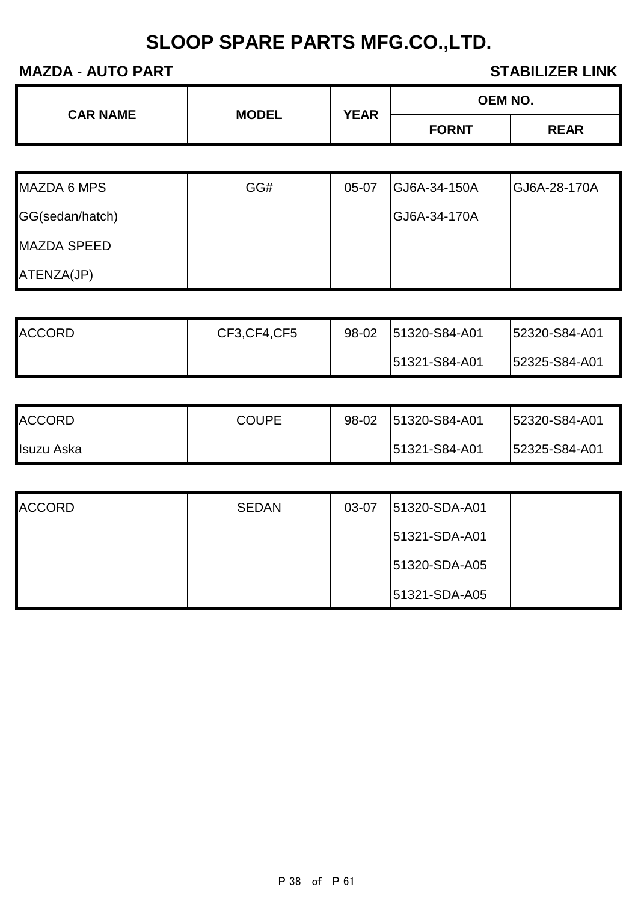| <b>CAR NAME</b> | <b>MODEL</b> | <b>YEAR</b> | <b>OEM NO.</b> |             |
|-----------------|--------------|-------------|----------------|-------------|
|                 |              |             | <b>FORNT</b>   | <b>REAR</b> |

| <b>MAZDA 6 MPS</b> | GG# | 05-07 | GJ6A-34-150A | GJ6A-28-170A |
|--------------------|-----|-------|--------------|--------------|
| GG(sedan/hatch)    |     |       | GJ6A-34-170A |              |
| <b>MAZDA SPEED</b> |     |       |              |              |
| ATENZA(JP)         |     |       |              |              |

| <b>ACCORD</b> | CF3, CF4, CF5 | 98-02 | 51320-S84-A01 | 52320-S84-A01 |
|---------------|---------------|-------|---------------|---------------|
|               |               |       | 51321-S84-A01 | 52325-S84-A01 |

| <b>ACCORD</b> | <b>COUPE</b> | 98-02 | 51320-S84-A01 | 52320-S84-A01 |
|---------------|--------------|-------|---------------|---------------|
| Isuzu Aska    |              |       | 51321-S84-A01 | 52325-S84-A01 |

| <b>ACCORD</b> | <b>SEDAN</b> | 03-07 | 51320-SDA-A01 |  |
|---------------|--------------|-------|---------------|--|
|               |              |       | 51321-SDA-A01 |  |
|               |              |       | 51320-SDA-A05 |  |
|               |              |       | 51321-SDA-A05 |  |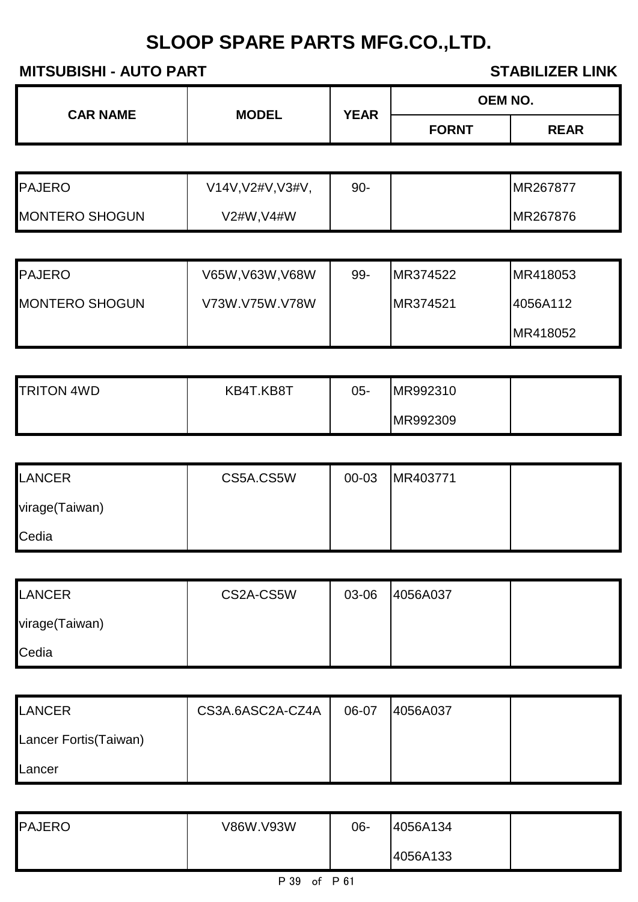**MITSUBISHI - AUTO PART STABILIZER LINK** 

| <b>CAR NAME</b>       |                   |             |              | <b>OEM NO.</b> |
|-----------------------|-------------------|-------------|--------------|----------------|
|                       | <b>MODEL</b>      | <b>YEAR</b> | <b>FORNT</b> | <b>REAR</b>    |
|                       |                   |             |              |                |
| <b>PAJERO</b>         | V14V, V2#V, V3#V, | $90 -$      |              | MR267877       |
| <b>MONTERO SHOGUN</b> | V2#W, V4#W        |             |              | MR267876       |
|                       |                   |             |              |                |
| PAJERO                | V65W, V63W, V68W  | 99-         | MR374522     | MR418053       |
| <b>MONTERO SHOGUN</b> | V73W.V75W.V78W    |             | MR374521     | 4056A112       |
|                       |                   |             |              | MR418052       |

| <b>TRITON 4WD</b> | KB4T.KB8T | 05- | MR992310 |  |
|-------------------|-----------|-----|----------|--|
|                   |           |     | MR992309 |  |

| <b>LANCER</b>  | CS5A.CS5W | 00-03 | MR403771 |  |
|----------------|-----------|-------|----------|--|
| virage(Taiwan) |           |       |          |  |
| Cedia          |           |       |          |  |

| <b>LANCER</b>  | CS2A-CS5W | 03-06 | 4056A037 |  |
|----------------|-----------|-------|----------|--|
| virage(Taiwan) |           |       |          |  |
| Cedia          |           |       |          |  |

| LANCER                | CS3A.6ASC2A-CZ4A | 06-07 | 4056A037 |  |
|-----------------------|------------------|-------|----------|--|
| Lancer Fortis(Taiwan) |                  |       |          |  |
| Lancer                |                  |       |          |  |

| <b>PAJERO</b> | V86W.V93W | 06- | 4056A134 |  |
|---------------|-----------|-----|----------|--|
|               |           |     | 4056A133 |  |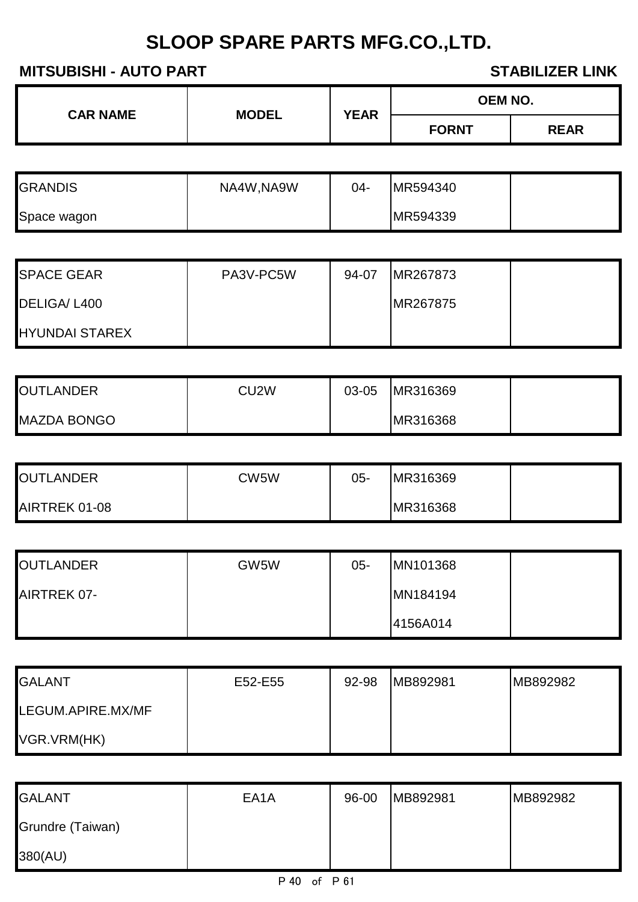## **MITSUBISHI - AUTO PART STABILIZER LINK**

| <b>CAR NAME</b> | <b>MODEL</b> | <b>YEAR</b> | OEM NO.      |             |
|-----------------|--------------|-------------|--------------|-------------|
|                 |              |             | <b>FORNT</b> | <b>REAR</b> |
|                 |              |             |              |             |
| <b>GRANDIS</b>  | NA4W, NA9W   | 04-         | MR594340     |             |

| MR594339<br>Space wagon |
|-------------------------|
|-------------------------|

| <b>SPACE GEAR</b>     | PA3V-PC5W | 94-07 | MR267873         |  |
|-----------------------|-----------|-------|------------------|--|
| DELIGA/L400           |           |       | <b>IMR267875</b> |  |
| <b>HYUNDAI STAREX</b> |           |       |                  |  |

| <b>OUTLANDER</b>   | CU2W | 03-05 | MR316369 |  |
|--------------------|------|-------|----------|--|
| <b>MAZDA BONGO</b> |      |       | MR316368 |  |

| <b>OUTLANDER</b> | CW5W | 05- | MR316369 |  |
|------------------|------|-----|----------|--|
| AIRTREK 01-08    |      |     | MR316368 |  |

| <b>OUTLANDER</b> | GW5W | $05 -$ | MN101368 |  |
|------------------|------|--------|----------|--|
| AIRTREK 07-      |      |        | MN184194 |  |
|                  |      |        | 4156A014 |  |

| <b>GALANT</b>     | E52-E55 | 92-98 | MB892981 | MB892982 |
|-------------------|---------|-------|----------|----------|
| LEGUM.APIRE.MX/MF |         |       |          |          |
| VGR.VRM(HK)       |         |       |          |          |

| <b>GALANT</b>    | EA <sub>1</sub> A | 96-00 | MB892981 | MB892982 |
|------------------|-------------------|-------|----------|----------|
| Grundre (Taiwan) |                   |       |          |          |
| 380(AU)          |                   |       |          |          |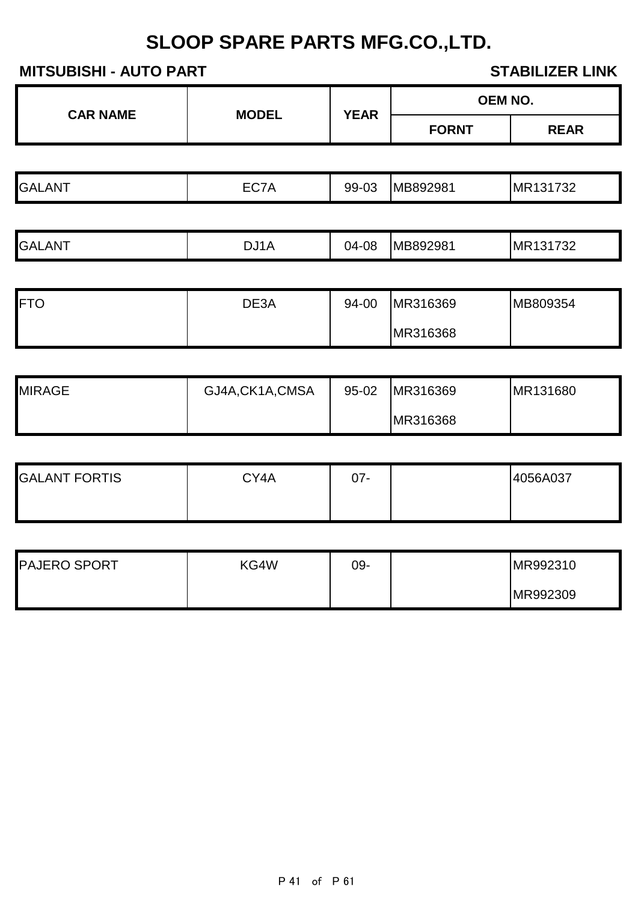**MITSUBISHI - AUTO PART STABILIZER LINK** 

| <b>MODEL</b> | <b>YEAR</b> | <b>OEM NO.</b> |             |
|--------------|-------------|----------------|-------------|
|              |             | <b>FORNT</b>   | <b>REAR</b> |
|              |             |                |             |
| EC7A         | 99-03       |                | MR131732    |
|              |             |                |             |
| DJ1A         | 04-08       | MB892981       | MR131732    |
|              |             |                | MB892981    |

| <b>IFTO</b> | DE3A | 94-00 | MR316369 | MB809354 |
|-------------|------|-------|----------|----------|
|             |      |       | MR316368 |          |

| <b>MIRAGE</b> | GJ4A, CK1A, CMSA | $95 - 02$ | MR316369 | MR131680 |
|---------------|------------------|-----------|----------|----------|
|               |                  |           | MR316368 |          |

| <b>GALANT FORTIS</b> | CY4A | 07- | 4056A037 |
|----------------------|------|-----|----------|
|                      |      |     |          |

| <b>PAJERO SPORT</b> | KG4W | 09- | MR992310 |
|---------------------|------|-----|----------|
|                     |      |     | MR992309 |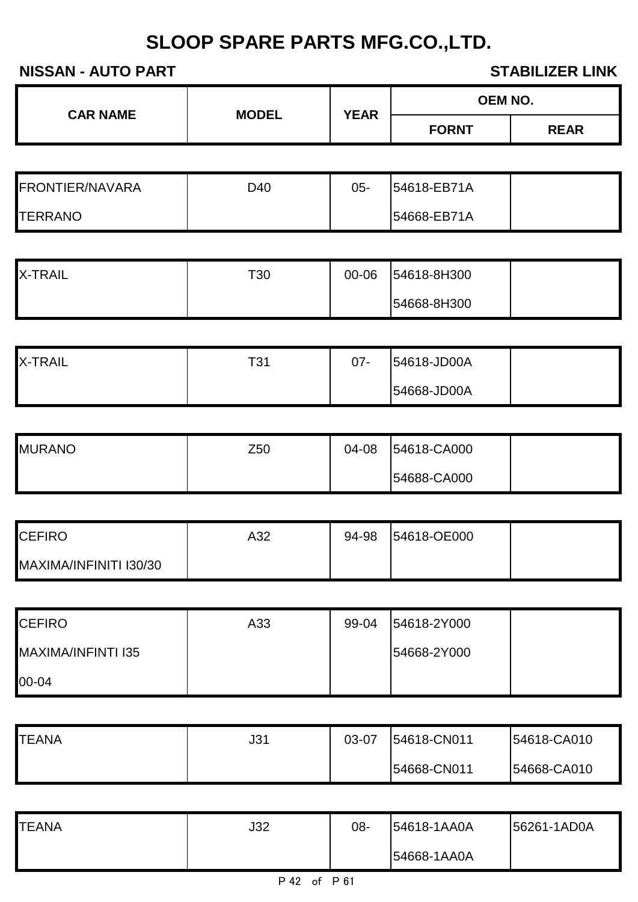| <b>CAR NAME</b> | <b>MODEL</b> | <b>YEAR</b> | <b>OEM NO.</b> |             |
|-----------------|--------------|-------------|----------------|-------------|
|                 |              |             | <b>FORNT</b>   | <b>REAR</b> |

| <b>FRONTIER/NAVARA</b> | D40 | 05- | 54618-EB71A |  |
|------------------------|-----|-----|-------------|--|
| <b>TERRANO</b>         |     |     | 54668-EB71A |  |

| <b>X-TRAIL</b> | T30 | 00-06 | 54618-8H300 |  |
|----------------|-----|-------|-------------|--|
|                |     |       | 54668-8H300 |  |

| <b>X-TRAIL</b> | T31 | 07- | 54618-JD00A |  |
|----------------|-----|-----|-------------|--|
|                |     |     | 54668-JD00A |  |

| <b>MURANO</b> | Z50 | 04-08 | 54618-CA000 |  |
|---------------|-----|-------|-------------|--|
|               |     |       | 54688-CA000 |  |

| <b>CEFIRO</b>          | A32 | 94-98 | 54618-OE000 |  |
|------------------------|-----|-------|-------------|--|
| MAXIMA/INFINITI I30/30 |     |       |             |  |

| <b>CEFIRO</b>      | A33 | 99-04 | 54618-2Y000 |  |
|--------------------|-----|-------|-------------|--|
| MAXIMA/INFINTI I35 |     |       | 54668-2Y000 |  |
| 00-04              |     |       |             |  |

| <b>TEANA</b> | J31 | 03-07 | 54618-CN011 | 54618-CA010 |
|--------------|-----|-------|-------------|-------------|
|              |     |       | 54668-CN011 | 54668-CA010 |

| <b>TEANA</b> | J32 | 08- | 54618-1AA0A | 56261-1AD0A |
|--------------|-----|-----|-------------|-------------|
|              |     |     | 54668-1AA0A |             |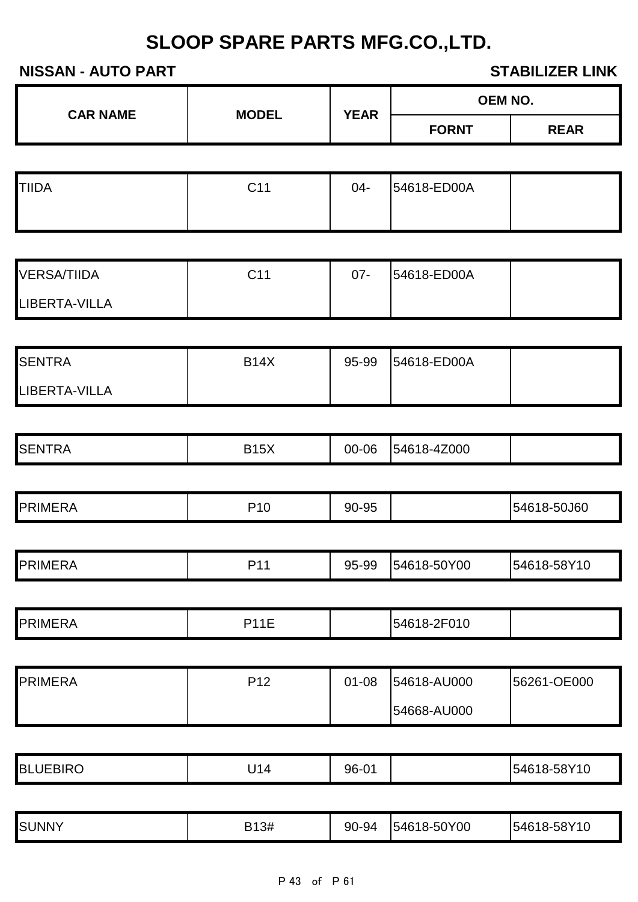|                      |                 |             |              | OEM NO.     |
|----------------------|-----------------|-------------|--------------|-------------|
| <b>CAR NAME</b>      | <b>MODEL</b>    | <b>YEAR</b> | <b>FORNT</b> | <b>REAR</b> |
|                      |                 |             |              |             |
| <b>TIIDA</b>         | C11             | $04-$       | 54618-ED00A  |             |
|                      |                 |             |              |             |
| <b>VERSA/TIIDA</b>   | C11             | $07 -$      | 54618-ED00A  |             |
| <b>LIBERTA-VILLA</b> |                 |             |              |             |
|                      |                 |             |              |             |
| <b>SENTRA</b>        | <b>B14X</b>     | 95-99       | 54618-ED00A  |             |
| LIBERTA-VILLA        |                 |             |              |             |
| <b>SENTRA</b>        | <b>B15X</b>     | 00-06       | 54618-4Z000  |             |
| <b>PRIMERA</b>       | P <sub>10</sub> | 90-95       |              | 54618-50J60 |
| <b>PRIMERA</b>       | P11             | 95-99       | 54618-50Y00  | 54618-58Y10 |
|                      |                 |             |              |             |
| <b>PRIMERA</b>       | <b>P11E</b>     |             | 54618-2F010  |             |
| <b>PRIMERA</b>       | P12             | $01 - 08$   | 54618-AU000  | 56261-OE000 |
|                      |                 |             | 54668-AU000  |             |
|                      |                 |             |              |             |
| <b>BLUEBIRO</b>      | U14             | 96-01       |              | 54618-58Y10 |

| <b>SUNNY</b> | B13#<br>ັ | 90-94 | 54618-50Y00 | 54618-58Y10 |
|--------------|-----------|-------|-------------|-------------|
|--------------|-----------|-------|-------------|-------------|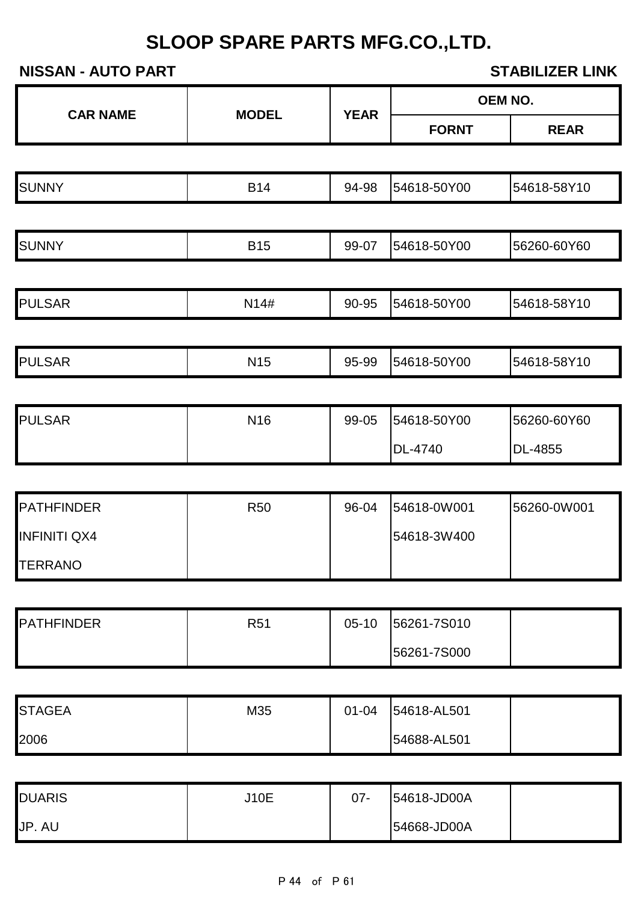|                         |              |             |                            | OEM NO.     |
|-------------------------|--------------|-------------|----------------------------|-------------|
| <b>CAR NAME</b>         | <b>MODEL</b> | <b>YEAR</b> | <b>FORNT</b>               | <b>REAR</b> |
|                         |              |             |                            |             |
| <b>SUNNY</b>            | <b>B14</b>   | 94-98       | 54618-50Y00                | 54618-58Y10 |
|                         |              |             |                            |             |
| <b>SUNNY</b>            | <b>B15</b>   | 99-07       | 54618-50Y00                | 56260-60Y60 |
| <b>PULSAR</b>           | N14#         | 90-95       | 54618-50Y00                | 54618-58Y10 |
|                         |              |             |                            |             |
| <b>PULSAR</b>           | <b>N15</b>   | 95-99       | 54618-50Y00                | 54618-58Y10 |
|                         |              |             |                            |             |
| <b>PULSAR</b>           | N16          | 99-05       | 54618-50Y00                | 56260-60Y60 |
|                         |              |             | DL-4740                    | DL-4855     |
|                         |              |             |                            |             |
| <b>PATHFINDER</b>       | <b>R50</b>   | 96-04       | 54618-0W001                | 56260-0W001 |
| <b>INFINITI QX4</b>     |              |             | 54618-3W400                |             |
| <b>TERRANO</b>          |              |             |                            |             |
| <b>PATHFINDER</b>       | <b>R51</b>   | $05-10$     | 56261-7S010                |             |
|                         |              |             | 56261-7S000                |             |
|                         |              |             |                            |             |
| <b>STAGEA</b>           | M35          | $01 - 04$   | 54618-AL501                |             |
| 2006                    |              |             | 54688-AL501                |             |
|                         |              |             |                            |             |
| <b>DUARIS</b><br>JP. AU | <b>J10E</b>  | $07 -$      | 54618-JD00A<br>54668-JD00A |             |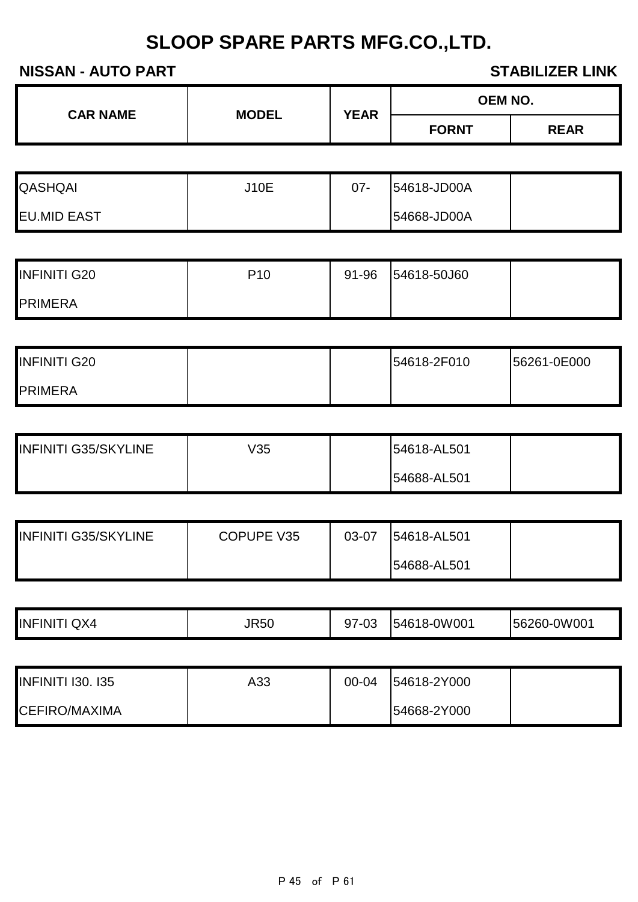| <b>CAR NAME</b> | <b>YEAR</b><br><b>MODEL</b> | <b>OEM NO.</b> |              |             |
|-----------------|-----------------------------|----------------|--------------|-------------|
|                 |                             |                | <b>FORNT</b> | <b>REAR</b> |

| <b>QASHQAI</b>     | <b>J10E</b> | $07 -$ | 54618-JD00A |  |
|--------------------|-------------|--------|-------------|--|
| <b>EU.MID EAST</b> |             |        | 54668-JD00A |  |

| <b>INFINITI G20</b> | P10 | 91-96 | 54618-50J60 |  |
|---------------------|-----|-------|-------------|--|
| <b>PRIMERA</b>      |     |       |             |  |

| <b>INFINITI G20</b> |  | 54618-2F010 | 56261-0E000 |
|---------------------|--|-------------|-------------|
| <b>PRIMERA</b>      |  |             |             |

| <b>INFINITI G35/SKYLINE</b> | V35 | 54618-AL501 |  |
|-----------------------------|-----|-------------|--|
|                             |     | 54688-AL501 |  |

| <b>INFINITI G35/SKYLINE</b> | COPUPE V35 | 03-07 | 54618-AL501 |  |
|-----------------------------|------------|-------|-------------|--|
|                             |            |       | 54688-AL501 |  |

| QX4<br>INFINIT | <b>JR50</b> | 03<br>ີ | 54618-0W001 | 156260-0W001 |
|----------------|-------------|---------|-------------|--------------|
|                |             |         |             |              |

| <b>INFINITI 130. 135</b> | A33 | $00 - 04$ | 54618-2Y000 |  |
|--------------------------|-----|-----------|-------------|--|
| <b>CEFIRO/MAXIMA</b>     |     |           | 54668-2Y000 |  |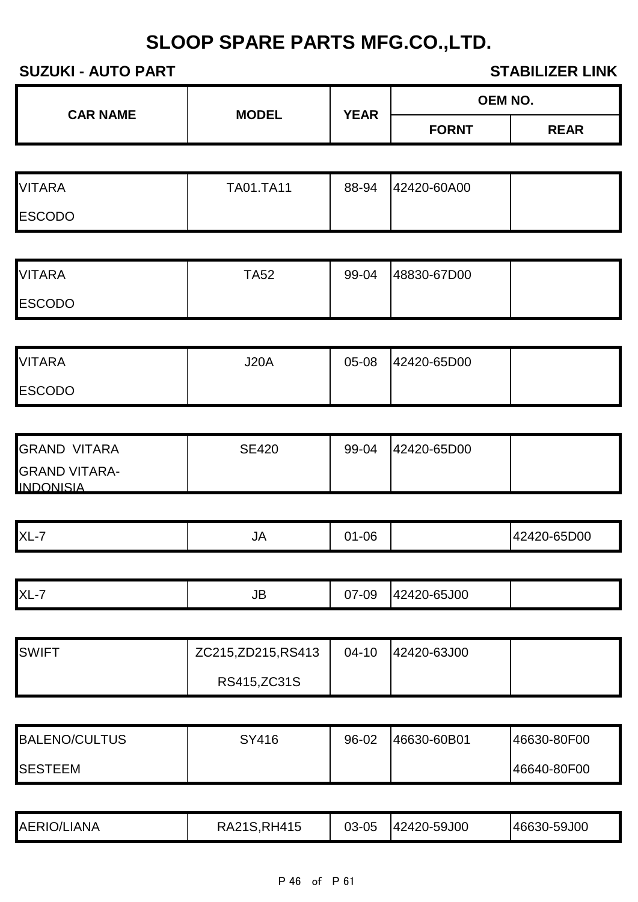### **SUZUKI - AUTO PART STABILIZER LINK**

| <b>CAR NAME</b> | <b>MODEL</b> | <b>YEAR</b> | <b>OEM NO.</b> |             |
|-----------------|--------------|-------------|----------------|-------------|
|                 |              |             | <b>FORNT</b>   | <b>REAR</b> |
|                 |              |             |                |             |

| <b>VITARA</b> | <b>TA01.TA11</b> | 88-94 | 42420-60A00 |  |
|---------------|------------------|-------|-------------|--|
| <b>ESCODO</b> |                  |       |             |  |

| <b>VITARA</b> | <b>TA52</b> | 99-04 | 48830-67D00 |  |
|---------------|-------------|-------|-------------|--|
| <b>ESCODO</b> |             |       |             |  |

| <b>VITARA</b> | <b>J20A</b> | 05-08 | 42420-65D00 |  |
|---------------|-------------|-------|-------------|--|
| <b>ESCODO</b> |             |       |             |  |

| <b>GRAND VITARA</b>                      | <b>SE420</b> | 99-04 | 42420-65D00 |  |
|------------------------------------------|--------------|-------|-------------|--|
| <b>GRAND VITARA-</b><br><b>INDONISIA</b> |              |       |             |  |

|  | XL-<br>$\overline{\phantom{a}}$ | JA | $\alpha$<br>. .<br>UL |  | 200 |
|--|---------------------------------|----|-----------------------|--|-----|
|--|---------------------------------|----|-----------------------|--|-----|

| $XL-7$<br>$\overline{\phantom{0}}$ | ◡◡ | $\cap$<br>י<br>◡ | 5J00<br>$\sim$ $\sim$<br>י הו<br>. |  |
|------------------------------------|----|------------------|------------------------------------|--|
|                                    |    |                  |                                    |  |

| <b>SWIFT</b> | ZC215,ZD215,RS413 | $04-10$ | 42420-63J00 |  |
|--------------|-------------------|---------|-------------|--|
|              | RS415, ZC31S      |         |             |  |

| <b>BALENO/CULTUS</b> | SY416 | 96-02 | 46630-60B01 | 46630-80F00 |
|----------------------|-------|-------|-------------|-------------|
| <b>SESTEEM</b>       |       |       |             | 46640-80F00 |

| <b>AERIO/LIANA</b><br>03-05<br><b>RH415</b><br>46630-59J00<br>2 A 2 1 C<br>42420-59J00<br>RAZ.<br>ن ب |  |
|-------------------------------------------------------------------------------------------------------|--|
|-------------------------------------------------------------------------------------------------------|--|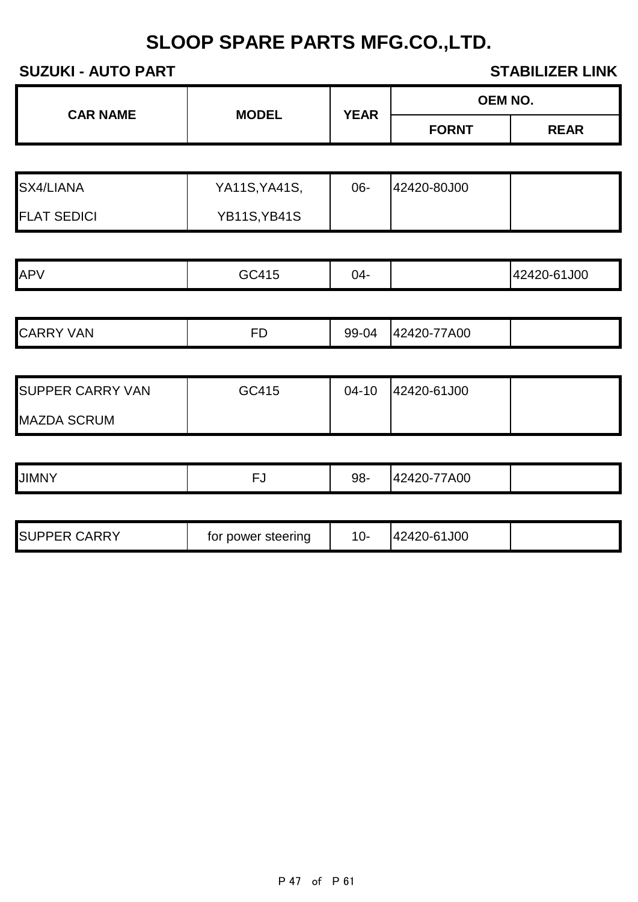## **SUZUKI - AUTO PART STABILIZER LINK**

|                         |                     |             |              | OEM NO.     |
|-------------------------|---------------------|-------------|--------------|-------------|
| <b>CAR NAME</b>         | <b>MODEL</b>        | <b>YEAR</b> | <b>FORNT</b> | <b>REAR</b> |
|                         |                     |             |              |             |
| SX4/LIANA               | YA11S, YA41S,       | 06-         | 42420-80J00  |             |
| <b>FLAT SEDICI</b>      | <b>YB11S, YB41S</b> |             |              |             |
|                         |                     |             |              |             |
| APV                     | GC415               | $04 -$      |              | 42420-61J00 |
|                         |                     |             |              |             |
| <b>CARRY VAN</b>        | <b>FD</b>           | 99-04       | 42420-77A00  |             |
|                         |                     |             |              |             |
| <b>SUPPER CARRY VAN</b> | GC415               | $04 - 10$   | 42420-61J00  |             |
| <b>MAZDA SCRUM</b>      |                     |             |              |             |
|                         |                     |             |              |             |
| <b>JIMNY</b>            | <b>FJ</b>           | 98-         | 42420-77A00  |             |
|                         |                     |             |              |             |
| <b>SUPPER CARRY</b>     | for power steering  | $10-$       | 42420-61J00  |             |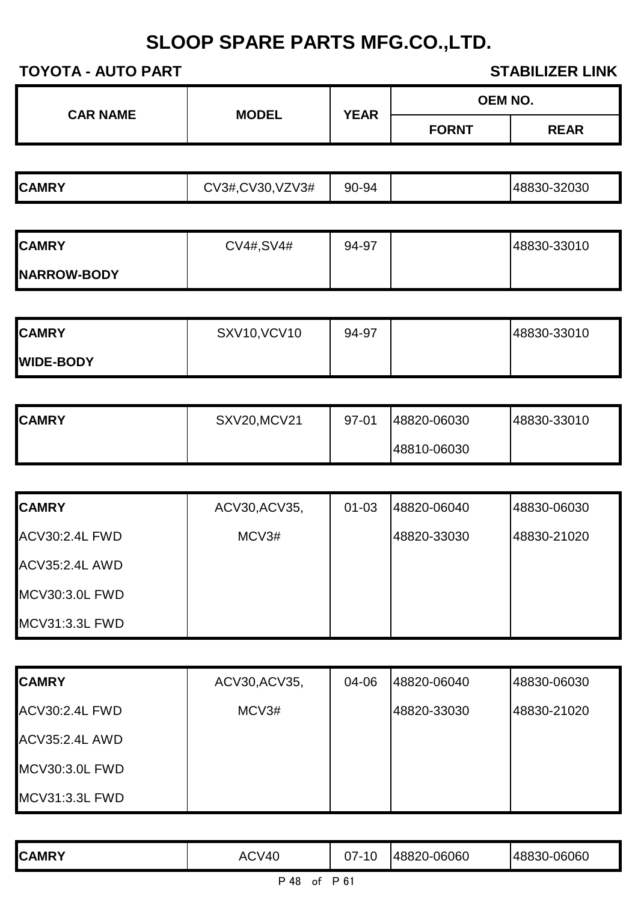| <b>CAR NAME</b> | <b>MODEL</b> | <b>YEAR</b> | <b>OEM NO.</b> |             |
|-----------------|--------------|-------------|----------------|-------------|
|                 |              |             | <b>FORNT</b>   | <b>REAR</b> |

| CV3#, CV30,<br><b>CAMRY</b> | VZV3#<br>90-94 | 48830-32030 |  |
|-----------------------------|----------------|-------------|--|
|-----------------------------|----------------|-------------|--|

| <b>CAMRY</b>       | CV4#, SV4# | 94-97 | 48830-33010 |
|--------------------|------------|-------|-------------|
| <b>NARROW-BODY</b> |            |       |             |

| <b>CAMRY</b>     | <b>SXV10, VCV10</b> | 94-97 | 48830-33010 |
|------------------|---------------------|-------|-------------|
| <b>WIDE-BODY</b> |                     |       |             |

| <b>CAMRY</b> | <b>SXV20, MCV21</b> | 97-01 | 48820-06030 | 48830-33010 |
|--------------|---------------------|-------|-------------|-------------|
|              |                     |       | 48810-06030 |             |

| <b>CAMRY</b>          | ACV30, ACV35, | $01 - 03$ | 48820-06040 | 48830-06030 |
|-----------------------|---------------|-----------|-------------|-------------|
| <b>ACV30:2.4L FWD</b> | MCV3#         |           | 48820-33030 | 48830-21020 |
| <b>ACV35:2.4L AWD</b> |               |           |             |             |
| <b>MCV30:3.0L FWD</b> |               |           |             |             |
| <b>MCV31:3.3L FWD</b> |               |           |             |             |

| <b>CAMRY</b>          | ACV30, ACV35, | 04-06 | 48820-06040 | 48830-06030 |
|-----------------------|---------------|-------|-------------|-------------|
| <b>ACV30:2.4L FWD</b> | MCV3#         |       | 48820-33030 | 48830-21020 |
| <b>ACV35:2.4L AWD</b> |               |       |             |             |
| MCV30:3.0L FWD        |               |       |             |             |
| MCV31:3.3L FWD        |               |       |             |             |

| <b>CAMRY</b>            | ACV40 | 10 | 48820-06060 | 48830-06060 |  |
|-------------------------|-------|----|-------------|-------------|--|
| <b>DA0</b><br>. m. e. 1 |       |    |             |             |  |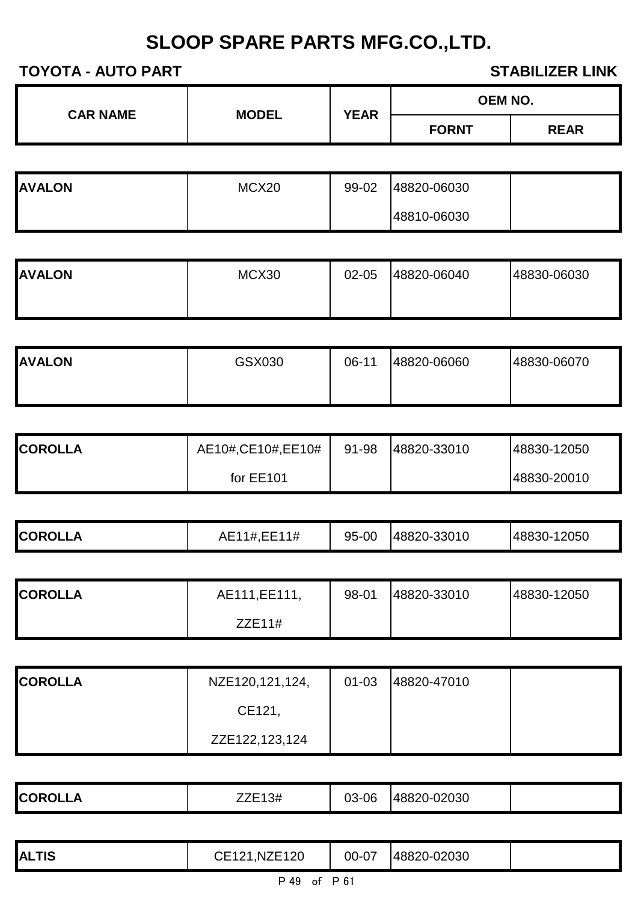| <b>CAR NAME</b><br><b>MODEL</b> | <b>YEAR</b> | <b>OEM NO.</b> |              |             |
|---------------------------------|-------------|----------------|--------------|-------------|
|                                 |             |                | <b>FORNT</b> | <b>REAR</b> |

| <b>AVALON</b> | MCX20 | 99-02 | 48820-06030 |  |
|---------------|-------|-------|-------------|--|
|               |       |       | 48810-06030 |  |

| <b>AVALON</b> | MCX30 | 02-05 | 48820-06040 | 48830-06030 |
|---------------|-------|-------|-------------|-------------|
|               |       |       |             |             |

| <b>AVALON</b> | GSX030 | 06-11 | 48820-06060 | 48830-06070 |
|---------------|--------|-------|-------------|-------------|
|               |        |       |             |             |

| <b>ICOROLLA</b> | AE10#,CE10#,EE10# | 91-98 | 48820-33010 | 48830-12050 |
|-----------------|-------------------|-------|-------------|-------------|
|                 | for EE101         |       |             | 48830-20010 |

| <b>COROLLA</b> | AE111, EE111, | 98-01 | 48820-33010 | 48830-12050 |
|----------------|---------------|-------|-------------|-------------|
|                | ZZE11#        |       |             |             |

| <b>COROLLA</b> | NZE120,121,124, | $01 - 03$ | 48820-47010 |  |
|----------------|-----------------|-----------|-------------|--|
|                | CE121,          |           |             |  |
|                | ZZE122,123,124  |           |             |  |

| <b>COROL'</b><br><b>KULLA</b> | ZE13#<br>___ | 03-06 | 48820-02030 |  |
|-------------------------------|--------------|-------|-------------|--|
|                               |              |       |             |  |

| <b>DAO</b>                                                 |  |  |  |  |  |
|------------------------------------------------------------|--|--|--|--|--|
| 1,NZE120<br>48820-02030<br>00-07<br><b>ALTIS</b><br>CE121. |  |  |  |  |  |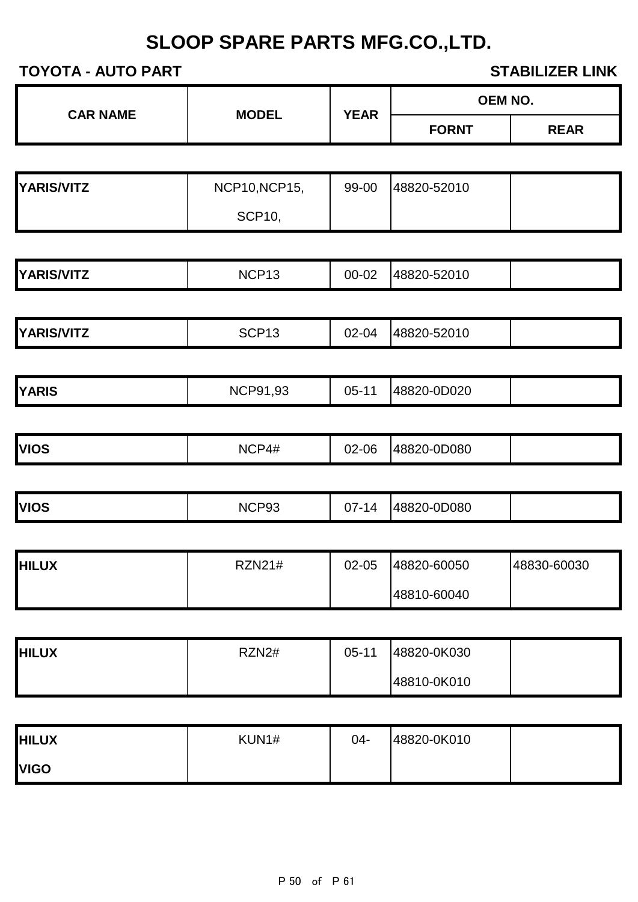| <b>CAR NAME</b>   |                      |             |              | <b>OEM NO.</b> |
|-------------------|----------------------|-------------|--------------|----------------|
|                   | <b>MODEL</b>         | <b>YEAR</b> | <b>FORNT</b> | <b>REAR</b>    |
|                   |                      |             |              |                |
| <b>YARIS/VITZ</b> | <b>NCP10, NCP15,</b> | 99-00       | 48820-52010  |                |
|                   | <b>SCP10,</b>        |             |              |                |
|                   |                      |             |              |                |
| YARIS/VITZ        | NCP <sub>13</sub>    | 00-02       | 48820-52010  |                |
|                   |                      |             |              |                |
| YARIS/VITZ        | SCP <sub>13</sub>    | 02-04       | 48820-52010  |                |
|                   |                      |             |              |                |
| <b>YARIS</b>      | <b>NCP91,93</b>      | $05-11$     | 48820-0D020  |                |
|                   |                      |             |              |                |
| <b>VIOS</b>       | NCP4#                | 02-06       | 48820-0D080  |                |
|                   |                      |             |              |                |
| <b>VIOS</b>       | NCP93                | $07 - 14$   | 48820-0D080  |                |
|                   |                      |             |              |                |
| <b>HILUX</b>      | <b>RZN21#</b>        | 02-05       | 48820-60050  | 48830-60030    |
|                   |                      |             | 48810-60040  |                |
|                   |                      |             |              |                |
| <b>HILUX</b>      | RZN2#                | $05 - 11$   | 48820-0K030  |                |
|                   |                      |             | 48810-0K010  |                |
|                   |                      |             |              |                |
| <b>HILUX</b>      | KUN1#                | $04-$       | 48820-0K010  |                |
| <b>VIGO</b>       |                      |             |              |                |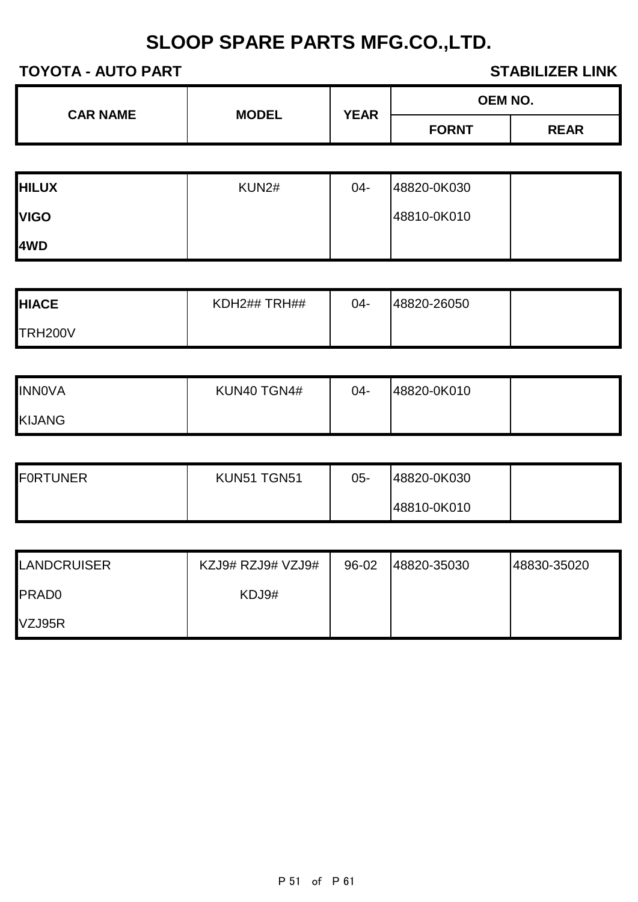| <b>CAR NAME</b> | <b>MODEL</b> | <b>YEAR</b> | <b>OEM NO.</b> |             |
|-----------------|--------------|-------------|----------------|-------------|
|                 |              |             | <b>FORNT</b>   | <b>REAR</b> |

| <b>HILUX</b> | KUN2# | 04- | 48820-0K030 |  |
|--------------|-------|-----|-------------|--|
| <b>VIGO</b>  |       |     | 48810-0K010 |  |
| 4WD          |       |     |             |  |

| <b>HIACE</b> | KDH2##TRH## | $04 -$ | 48820-26050 |  |
|--------------|-------------|--------|-------------|--|
| TRH200V      |             |        |             |  |

| <b>INNOVA</b> | KUN40 TGN4# | 04- | 48820-0K010 |  |
|---------------|-------------|-----|-------------|--|
| <b>KIJANG</b> |             |     |             |  |

| <b>FORTUNER</b> | KUN51 TGN51 | 05- | 48820-0K030 |  |
|-----------------|-------------|-----|-------------|--|
|                 |             |     | 48810-0K010 |  |

| <b>LANDCRUISER</b> | KZJ9# RZJ9# VZJ9# | 96-02 | 48820-35030 | 48830-35020 |
|--------------------|-------------------|-------|-------------|-------------|
| <b>PRADO</b>       | KDJ9#             |       |             |             |
| VZJ95R             |                   |       |             |             |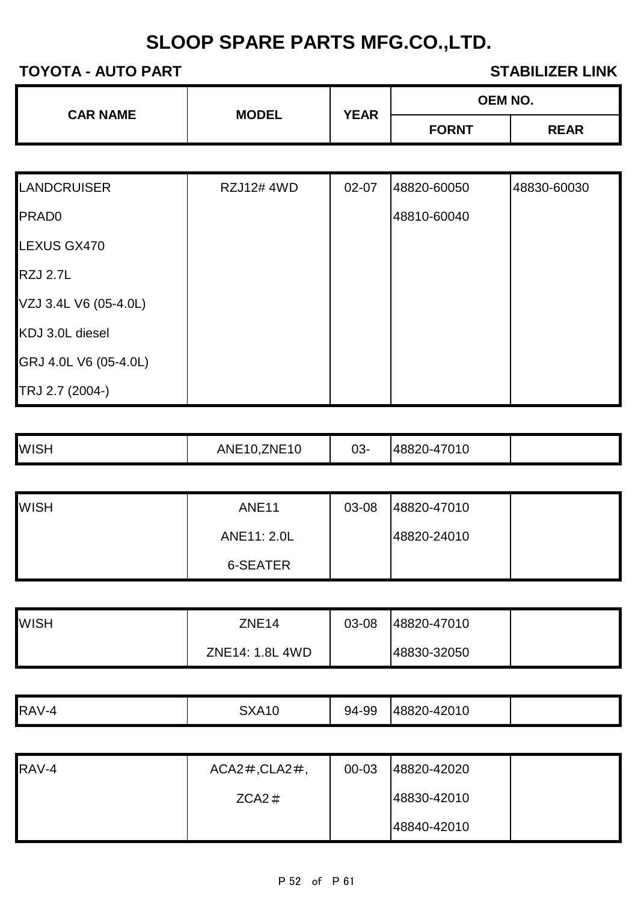| <b>CAR NAME</b><br><b>MODEL</b> | <b>YEAR</b> | <b>OEM NO.</b> |              |
|---------------------------------|-------------|----------------|--------------|
|                                 |             |                | <b>FORNT</b> |

| <b>LANDCRUISER</b>    | <b>RZJ12# 4WD</b> | 02-07 | 48820-60050 | 48830-60030 |
|-----------------------|-------------------|-------|-------------|-------------|
| <b>PRADO</b>          |                   |       | 48810-60040 |             |
| LEXUS GX470           |                   |       |             |             |
| <b>RZJ 2.7L</b>       |                   |       |             |             |
| VZJ 3.4L V6 (05-4.0L) |                   |       |             |             |
| KDJ 3.0L diesel       |                   |       |             |             |
| GRJ 4.0L V6 (05-4.0L) |                   |       |             |             |
| TRJ 2.7 (2004-)       |                   |       |             |             |

| ANE<br>. | <b>WISH</b> | <b>ZNE10</b> | 03- | 48820-47010 |  |
|----------|-------------|--------------|-----|-------------|--|
|----------|-------------|--------------|-----|-------------|--|

| <b>WISH</b> | <b>ANE11</b>    | 03-08 | 48820-47010 |  |
|-------------|-----------------|-------|-------------|--|
|             | ANE11: 2.0L     |       | 48820-24010 |  |
|             | <b>6-SEATER</b> |       |             |  |

| <b>WISH</b> | ZNE <sub>14</sub> | 03-08 | 48820-47010 |  |
|-------------|-------------------|-------|-------------|--|
|             | ZNE14: 1.8L 4WD   |       | 48830-32050 |  |

| RAV-4 | <b>SXA10</b> | 94-99 | 48820-42010 |  |
|-------|--------------|-------|-------------|--|

| RAV-4 | $ACA2\#$ , $CLA2\#$ , | 00-03 | 48820-42020 |  |
|-------|-----------------------|-------|-------------|--|
|       | $ZCA2 \#$             |       | 48830-42010 |  |
|       |                       |       | 48840-42010 |  |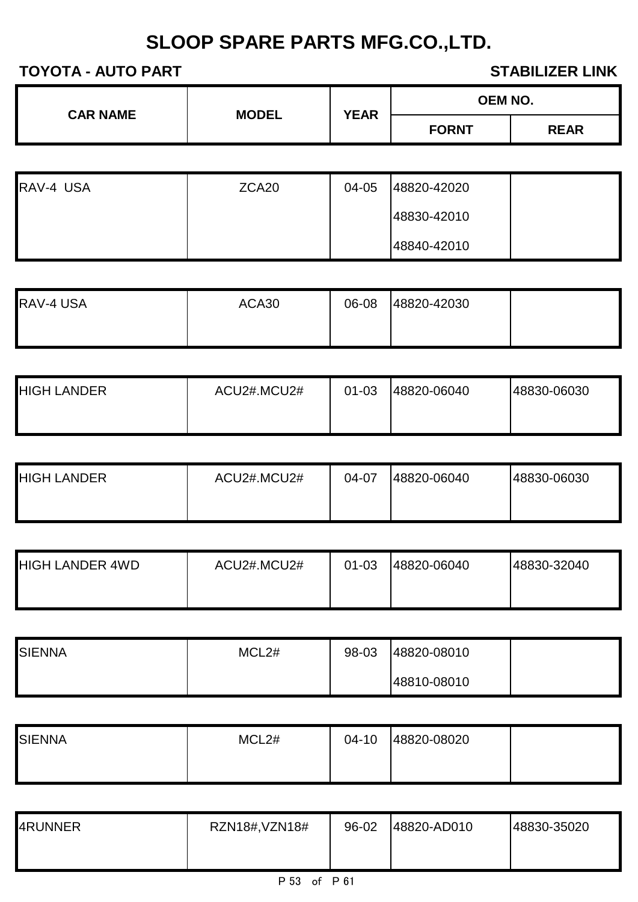| <b>CAR NAME</b> | <b>MODEL</b> | <b>YEAR</b> | <b>OEM NO.</b> |             |
|-----------------|--------------|-------------|----------------|-------------|
|                 |              |             | <b>FORNT</b>   | <b>REAR</b> |

| RAV-4 USA | ZCA <sub>20</sub> | 04-05 | 48820-42020 |  |
|-----------|-------------------|-------|-------------|--|
|           |                   |       | 48830-42010 |  |
|           |                   |       | 48840-42010 |  |

| RAV-4 USA | ACA30 | 06-08 | 48820-42030 |  |
|-----------|-------|-------|-------------|--|
|           |       |       |             |  |

| <b>HIGH LANDER</b> | ACU2#.MCU2# | $01 - 03$ | 48820-06040 | 48830-06030 |
|--------------------|-------------|-----------|-------------|-------------|
|                    |             |           |             |             |

| <b>HIGH LANDER</b> | ACU2#.MCU2# | 04-07 | 48820-06040 | 48830-06030 |
|--------------------|-------------|-------|-------------|-------------|
|                    |             |       |             |             |

| <b>HIGH LANDER 4WD</b> | ACU2#.MCU2# | $01 - 03$ | 48820-06040 | 48830-32040 |
|------------------------|-------------|-----------|-------------|-------------|
|                        |             |           |             |             |

| <b>SIENNA</b> | MCL <sub>2</sub> # | 98-03 | 48820-08010 |  |
|---------------|--------------------|-------|-------------|--|
|               |                    |       | 48810-08010 |  |

| <b>SIENNA</b> | MCL <sub>2#</sub> | $04-10$ | 48820-08020 |  |
|---------------|-------------------|---------|-------------|--|
|               |                   |         |             |  |

| 4RUNNER | RZN18#, VZN18# | 96-02 | 48820-AD010 | 48830-35020 |
|---------|----------------|-------|-------------|-------------|
|         |                |       |             |             |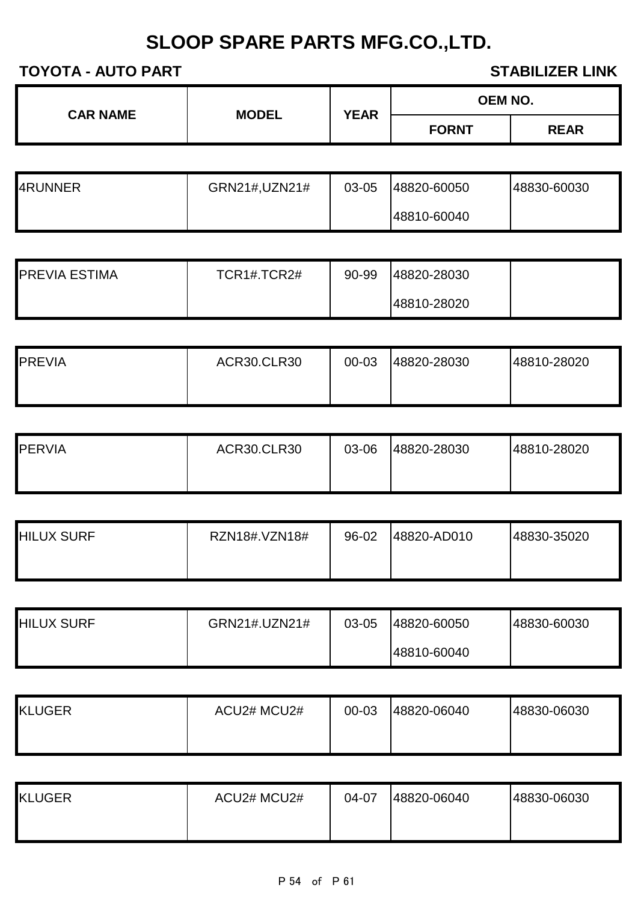| <b>CAR NAME</b> | <b>MODEL</b> |                             | <b>OEM NO.</b> |  |  |
|-----------------|--------------|-----------------------------|----------------|--|--|
|                 |              | <b>YEAR</b><br><b>FORNT</b> | <b>REAR</b>    |  |  |

| 4RUNNER | GRN21#,UZN21# | 03-05 | 48820-60050 | 48830-60030 |
|---------|---------------|-------|-------------|-------------|
|         |               |       | 48810-60040 |             |

| <b>PREVIA ESTIMA</b> | TCR1#.TCR2# | 90-99 | 48820-28030 |  |
|----------------------|-------------|-------|-------------|--|
|                      |             |       | 48810-28020 |  |

| <b>PREVIA</b> | <b>ACR30.CLR30</b> | 00-03 | 48820-28030 | 48810-28020 |
|---------------|--------------------|-------|-------------|-------------|
|               |                    |       |             |             |

| <b>PERVIA</b> | <b>ACR30.CLR30</b> | 03-06 | 48820-28030 | 48810-28020 |
|---------------|--------------------|-------|-------------|-------------|
|               |                    |       |             |             |

| <b>HILUX SURF</b> | RZN18#.VZN18# | 96-02 | 48820-AD010 | 48830-35020 |
|-------------------|---------------|-------|-------------|-------------|
|                   |               |       |             |             |

| <b>HILUX SURF</b> | GRN21#.UZN21# | 03-05 | 48820-60050 | 48830-60030 |
|-------------------|---------------|-------|-------------|-------------|
|                   |               |       | 48810-60040 |             |

| <b>KLUGER</b> | ACU2# MCU2# | 00-03 | 48820-06040 | 48830-06030 |
|---------------|-------------|-------|-------------|-------------|
|               |             |       |             |             |

| <b>KLUGER</b> | ACU2# MCU2# | 04-07 | 48820-06040 | 48830-06030 |
|---------------|-------------|-------|-------------|-------------|
|               |             |       |             |             |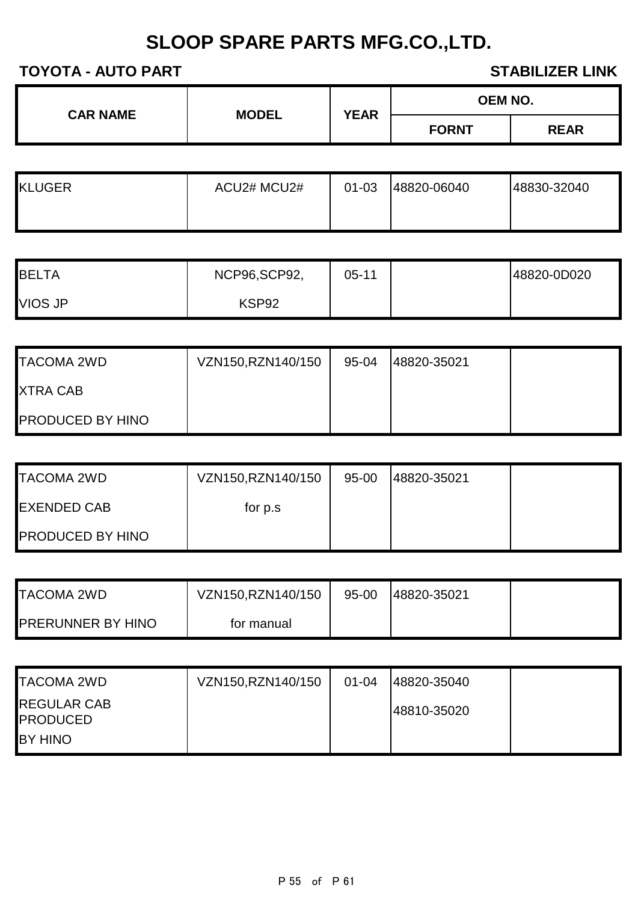| <b>CAR NAME</b> | <b>MODEL</b> | <b>YEAR</b> | <b>OEM NO.</b> |             |
|-----------------|--------------|-------------|----------------|-------------|
|                 |              |             | <b>FORNT</b>   | <b>REAR</b> |

| <b>KLUGER</b> | ACU2# MCU2# | 01-03 | 48820-06040 | 48830-32040 |
|---------------|-------------|-------|-------------|-------------|
|               |             |       |             |             |

| <b>BELTA</b>   | NCP96, SCP92, | 05-11 | 48820-0D020 |
|----------------|---------------|-------|-------------|
| <b>VIOS JP</b> | KSP92         |       |             |

| <b>TACOMA 2WD</b>       | VZN150,RZN140/150 | 95-04 | 48820-35021 |  |
|-------------------------|-------------------|-------|-------------|--|
| <b>XTRA CAB</b>         |                   |       |             |  |
| <b>PRODUCED BY HINO</b> |                   |       |             |  |

| <b>TACOMA 2WD</b>       | VZN150,RZN140/150 | 95-00 | 48820-35021 |  |
|-------------------------|-------------------|-------|-------------|--|
| <b>EXENDED CAB</b>      | for p.s.          |       |             |  |
| <b>PRODUCED BY HINO</b> |                   |       |             |  |

| <b>TACOMA 2WD</b>        | VZN150,RZN140/150 | 95-00 | 48820-35021 |  |
|--------------------------|-------------------|-------|-------------|--|
| <b>PRERUNNER BY HINO</b> | for manual        |       |             |  |

| <b>TACOMA 2WD</b>                     | VZN150, RZN140/150 | $01 - 04$ | 48820-35040 |  |
|---------------------------------------|--------------------|-----------|-------------|--|
| <b>REGULAR CAB</b><br><b>PRODUCED</b> |                    |           | 48810-35020 |  |
| BY HINO                               |                    |           |             |  |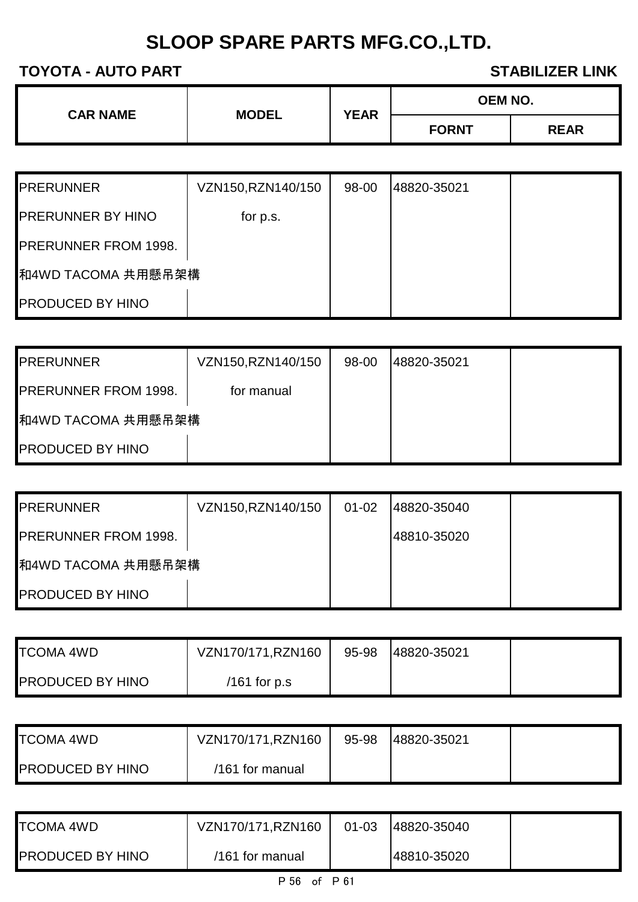| <b>CAR NAME</b> | <b>MODEL</b> | <b>YEAR</b> | <b>OEM NO.</b> |             |
|-----------------|--------------|-------------|----------------|-------------|
|                 |              |             | <b>FORNT</b>   | <b>REAR</b> |

| <b>PRERUNNER</b>            | VZN150, RZN140/150 | 98-00 | 48820-35021 |  |
|-----------------------------|--------------------|-------|-------------|--|
| <b>PRERUNNER BY HINO</b>    | for p.s.           |       |             |  |
| <b>PRERUNNER FROM 1998.</b> |                    |       |             |  |
| 和4WD TACOMA 共用懸吊架構          |                    |       |             |  |
| <b>PRODUCED BY HINO</b>     |                    |       |             |  |

| <b>PRERUNNER</b>            | VZN150,RZN140/150 | 98-00 | 148820-35021 |  |
|-----------------------------|-------------------|-------|--------------|--|
| <b>PRERUNNER FROM 1998.</b> | for manual        |       |              |  |
| 和4WD TACOMA 共用懸吊架構          |                   |       |              |  |
| <b>PRODUCED BY HINO</b>     |                   |       |              |  |

| <b>PRERUNNER</b>            | VZN150, RZN140/150 | $01 - 02$ | 148820-35040 |  |
|-----------------------------|--------------------|-----------|--------------|--|
| <b>PRERUNNER FROM 1998.</b> |                    |           | 48810-35020  |  |
| 和4WD TACOMA 共用懸吊架構          |                    |           |              |  |
| <b>PRODUCED BY HINO</b>     |                    |           |              |  |

| <b>TCOMA 4WD</b>        | VZN170/171, RZN160 | 95-98 | 48820-35021 |  |
|-------------------------|--------------------|-------|-------------|--|
| <b>PRODUCED BY HINO</b> | /161 for $p.s$     |       |             |  |

| <b>TCOMA 4WD</b>        | VZN170/171, RZN160 | 95-98 | 48820-35021 |  |
|-------------------------|--------------------|-------|-------------|--|
| <b>PRODUCED BY HINO</b> | /161 for manual    |       |             |  |

| <b>TCOMA 4WD</b>        | VZN170/171, RZN160 | $01 - 03$ | 48820-35040 |  |
|-------------------------|--------------------|-----------|-------------|--|
| <b>PRODUCED BY HINO</b> | /161 for manual    |           | 48810-35020 |  |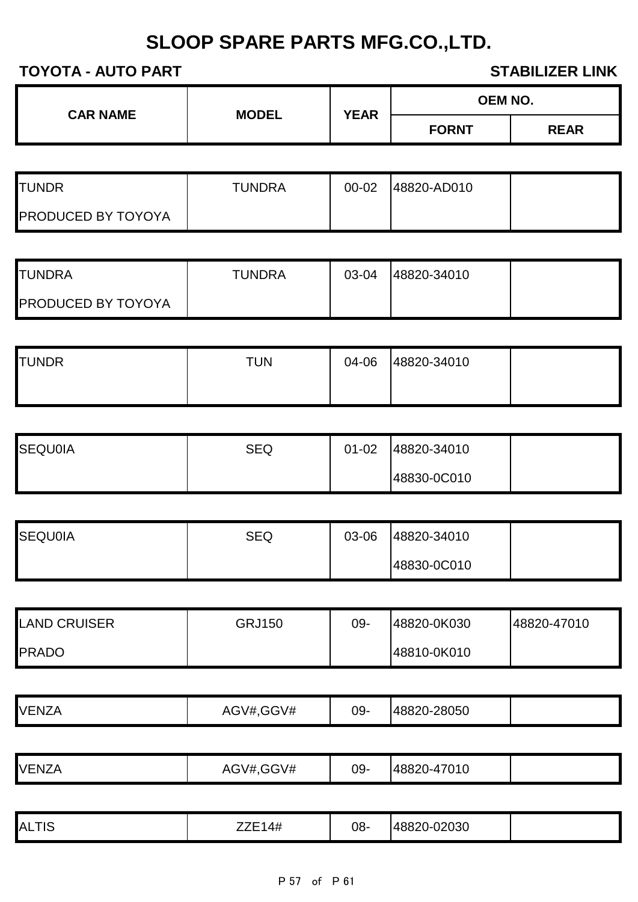| <b>CAR NAME</b> | <b>MODEL</b> | <b>YEAR</b> | <b>OEM NO.</b> |             |
|-----------------|--------------|-------------|----------------|-------------|
|                 |              |             | <b>FORNT</b>   | <b>REAR</b> |

| <b>ITUNDR</b>             | <b>TUNDRA</b> | $00 - 02$ | 48820-AD010 |  |
|---------------------------|---------------|-----------|-------------|--|
| <b>PRODUCED BY TOYOYA</b> |               |           |             |  |

| <b>ITUNDRA</b>            | <b>TUNDRA</b> | 03-04 | 48820-34010 |  |
|---------------------------|---------------|-------|-------------|--|
| <b>PRODUCED BY TOYOYA</b> |               |       |             |  |

| <b>TUNDR</b> | TUN | 04-06 | 48820-34010 |  |
|--------------|-----|-------|-------------|--|
|              |     |       |             |  |

| <b>SEQU0IA</b> | SEQ | 01-02 | 48820-34010 |  |
|----------------|-----|-------|-------------|--|
|                |     |       | 48830-0C010 |  |

| <b>SEQU0IA</b> | <b>SEQ</b> | 03-06 | 48820-34010 |  |
|----------------|------------|-------|-------------|--|
|                |            |       | 48830-0C010 |  |

| <b>LAND CRUISER</b> | GRJ150 | 09- | 48820-0K030 | 48820-47010 |
|---------------------|--------|-----|-------------|-------------|
| <b>PRADO</b>        |        |     | 48810-0K010 |             |

| <b>VENZA</b><br>--- | GGV#<br>AGV# | $09 -$ | 48820-28050 |  |
|---------------------|--------------|--------|-------------|--|
|                     |              |        |             |  |

| <b>VENZA</b> | AGV#, GGV# | 09- | 48820-47010 |  |
|--------------|------------|-----|-------------|--|

| T10<br>'ALTIవ | 77F14H<br>тπ | 08- | 48820-02030 |  |
|---------------|--------------|-----|-------------|--|
|---------------|--------------|-----|-------------|--|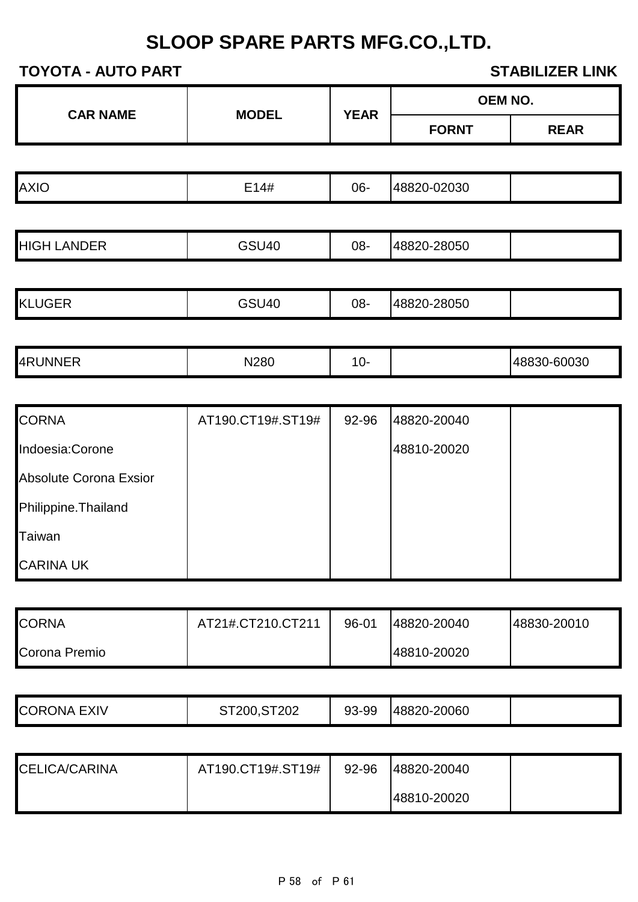|                               |                   |             |              | OEM NO.     |
|-------------------------------|-------------------|-------------|--------------|-------------|
| <b>CAR NAME</b>               | <b>MODEL</b>      | <b>YEAR</b> | <b>FORNT</b> | <b>REAR</b> |
|                               |                   |             |              |             |
| <b>AXIO</b>                   | E14#              | 06-         | 48820-02030  |             |
|                               |                   |             |              |             |
| <b>HIGH LANDER</b>            | <b>GSU40</b>      | 08-         | 48820-28050  |             |
|                               |                   |             |              |             |
| <b>KLUGER</b>                 | <b>GSU40</b>      | 08-         | 48820-28050  |             |
|                               |                   |             |              |             |
| 4RUNNER                       | N280              | $10-$       |              | 48830-60030 |
|                               |                   |             |              |             |
| <b>CORNA</b>                  | AT190.CT19#.ST19# | 92-96       | 48820-20040  |             |
| Indoesia:Corone               |                   |             | 48810-20020  |             |
| <b>Absolute Corona Exsior</b> |                   |             |              |             |
| Philippine. Thailand          |                   |             |              |             |
| Taiwan                        |                   |             |              |             |
| <b>CARINA UK</b>              |                   |             |              |             |
|                               |                   |             |              |             |
| <b>CORNA</b>                  | AT21#.CT210.CT211 | 96-01       | 48820-20040  | 48830-20010 |
| Corona Premio                 |                   |             | 48810-20020  |             |
|                               |                   |             |              |             |
| <b>CORONA EXIV</b>            | ST200, ST202      | 93-99       | 48820-20060  |             |
|                               |                   |             |              |             |
| CELICA/CARINA                 | AT190.CT19#.ST19# | 92-96       | 48820-20040  |             |
|                               |                   |             | 48810-20020  |             |
|                               |                   |             |              |             |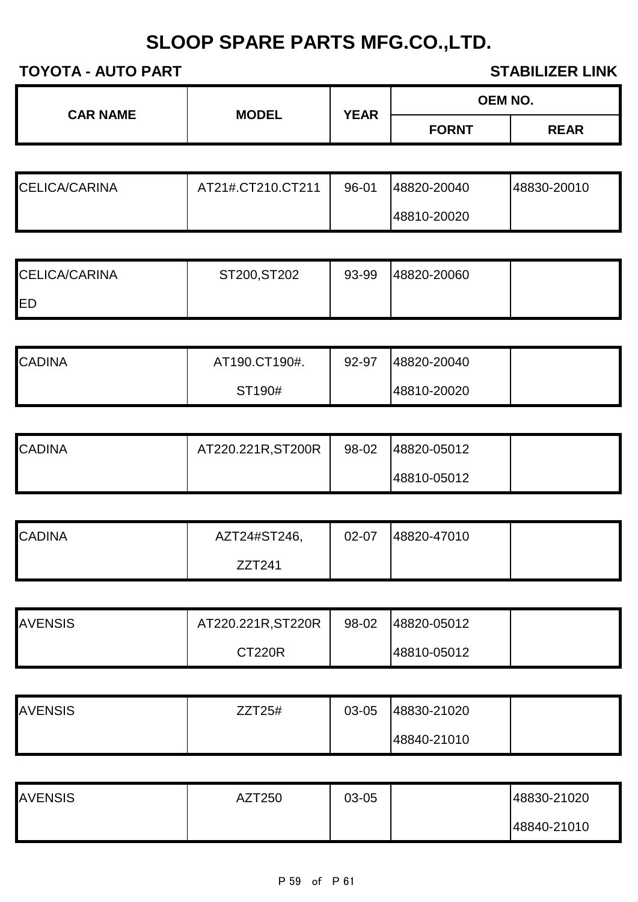| <b>CAR NAME</b><br><b>MODEL</b> | <b>YEAR</b> | <b>OEM NO.</b> |             |
|---------------------------------|-------------|----------------|-------------|
|                                 |             | <b>FORNT</b>   | <b>REAR</b> |

| CELICA/CARINA | AT21#.CT210.CT211 | 96-01 | 48820-20040 | 48830-20010 |
|---------------|-------------------|-------|-------------|-------------|
|               |                   |       | 48810-20020 |             |

| <b>CELICA/CARINA</b> | ST200, ST202 | 93-99 | 48820-20060 |  |
|----------------------|--------------|-------|-------------|--|
| <b>IED</b>           |              |       |             |  |

| <b>CADINA</b> | AT190.CT190#. | 92-97 | 48820-20040 |  |
|---------------|---------------|-------|-------------|--|
|               | ST190#        |       | 48810-20020 |  |

| <b>CADINA</b> | AT220.221R, ST200R | 98-02 | 48820-05012 |  |
|---------------|--------------------|-------|-------------|--|
|               |                    |       | 48810-05012 |  |

| <b>CADINA</b> | AZT24#ST246, | 02-07 | 48820-47010 |  |
|---------------|--------------|-------|-------------|--|
|               | ZZT241       |       |             |  |

| <b>AVENSIS</b> | AT220.221R, ST220R | 98-02 | 48820-05012 |  |
|----------------|--------------------|-------|-------------|--|
|                | <b>CT220R</b>      |       | 48810-05012 |  |

| <b>AVENSIS</b> | ZZT25# | 03-05 | 48830-21020 |  |
|----------------|--------|-------|-------------|--|
|                |        |       | 48840-21010 |  |

| <b>AVENSIS</b> | AZT250 | 03-05 | 48830-21020 |
|----------------|--------|-------|-------------|
|                |        |       | 48840-21010 |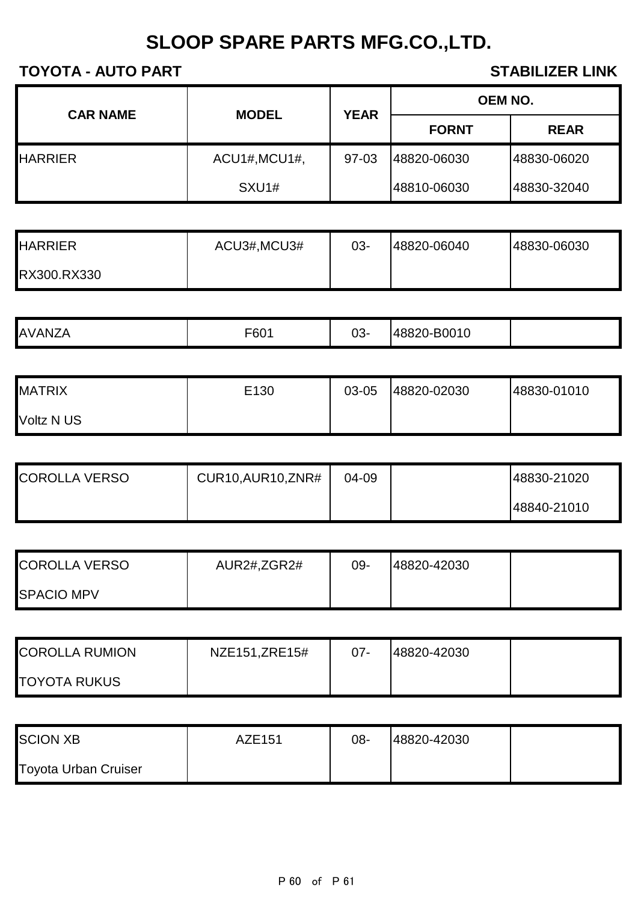| <b>CAR NAME</b> | <b>MODEL</b>  | <b>YEAR</b> | <b>OEM NO.</b> |             |
|-----------------|---------------|-------------|----------------|-------------|
|                 |               |             | <b>FORNT</b>   | <b>REAR</b> |
| <b>HARRIER</b>  | ACU1#, MCU1#, | 97-03       | 48820-06030    | 48830-06020 |
|                 | SXU1#         |             | 48810-06030    | 48830-32040 |

| <b>HARRIER</b> | ACU3#, MCU3# | $03 -$ | 48820-06040 | 48830-06030 |
|----------------|--------------|--------|-------------|-------------|
| RX300.RX330    |              |        |             |             |

|  | AVANZ. | <b>FOO4</b><br>$-60.$ | $03 -$ | 48820-B0010 |  |
|--|--------|-----------------------|--------|-------------|--|
|--|--------|-----------------------|--------|-------------|--|

| <b>MATRIX</b> | E130 | 03-05 | 48820-02030 | 48830-01010 |
|---------------|------|-------|-------------|-------------|
| Voltz N US    |      |       |             |             |

| <b>COROLLA VERSO</b> | CUR10, AUR10, ZNR# | 04-09 | 48830-21020 |
|----------------------|--------------------|-------|-------------|
|                      |                    |       | 48840-21010 |

| <b>COROLLA VERSO</b> | AUR2#,ZGR2# | 09- | 48820-42030 |  |
|----------------------|-------------|-----|-------------|--|
| <b>SPACIO MPV</b>    |             |     |             |  |

| <b>COROLLA RUMION</b> | NZE151, ZRE15# | $07 -$ | 48820-42030 |  |
|-----------------------|----------------|--------|-------------|--|
| <b>TOYOTA RUKUS</b>   |                |        |             |  |

| <b>SCION XB</b>             | AZE151 | 08- | 48820-42030 |  |
|-----------------------------|--------|-----|-------------|--|
| <b>Toyota Urban Cruiser</b> |        |     |             |  |